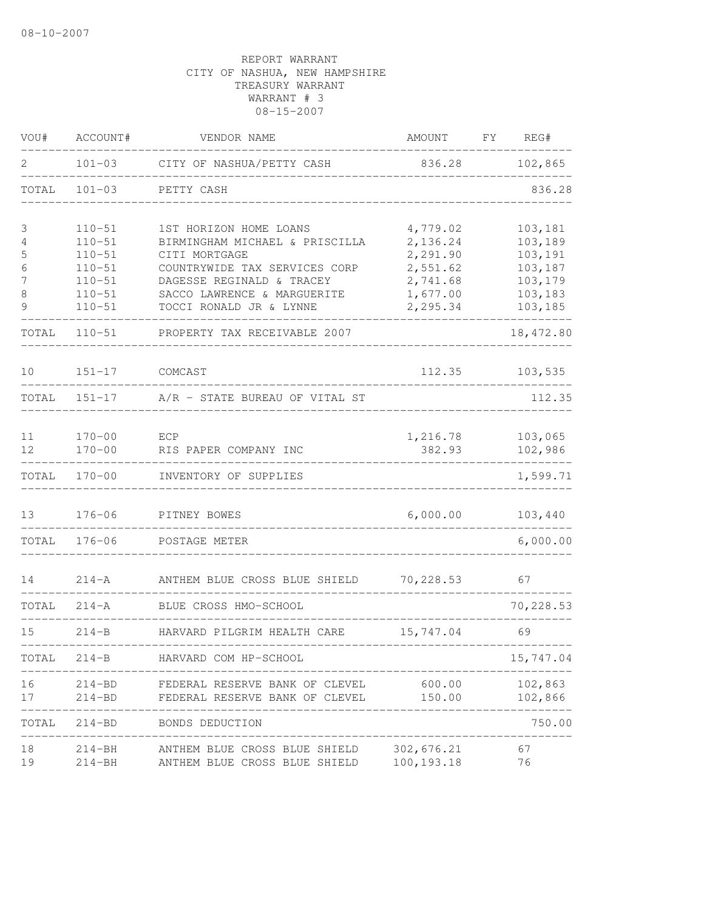| VOU#            | ACCOUNT#                 | VENDOR NAME                                                | AMOUNT               | FY | REG#               |
|-----------------|--------------------------|------------------------------------------------------------|----------------------|----|--------------------|
| 2               | $101 - 03$               | CITY OF NASHUA/PETTY CASH                                  | 836.28               |    | 102,865            |
| TOTAL           | $101 - 03$               | PETTY CASH                                                 |                      |    | 836.28             |
| 3               | $110 - 51$               | 1ST HORIZON HOME LOANS                                     | 4,779.02             |    | 103,181            |
| 4               | $110 - 51$               | BIRMINGHAM MICHAEL & PRISCILLA                             | 2,136.24             |    | 103,189            |
| 5               | $110 - 51$               | CITI MORTGAGE                                              | 2,291.90             |    | 103,191            |
| 6<br>7          | $110 - 51$<br>$110 - 51$ | COUNTRYWIDE TAX SERVICES CORP<br>DAGESSE REGINALD & TRACEY | 2,551.62<br>2,741.68 |    | 103,187<br>103,179 |
| 8               | $110 - 51$               | SACCO LAWRENCE & MARGUERITE                                | 1,677.00             |    | 103,183            |
| 9               | $110 - 51$               | TOCCI RONALD JR & LYNNE                                    | 2,295.34             |    | 103,185            |
| TOTAL           | $110 - 51$               | PROPERTY TAX RECEIVABLE 2007                               |                      |    | 18, 472.80         |
| 10              | $151 - 17$               | COMCAST                                                    | 112.35               |    | 103,535            |
| TOTAL           |                          | 151-17 A/R - STATE BUREAU OF VITAL ST                      |                      |    | 112.35             |
|                 |                          |                                                            |                      |    |                    |
| 11              | $170 - 00$               | ECP                                                        | 1,216.78             |    | 103,065            |
| 12 <sup>°</sup> | $170 - 00$               | RIS PAPER COMPANY INC                                      | 382.93               |    | 102,986            |
| TOTAL           | $170 - 00$               | INVENTORY OF SUPPLIES                                      |                      |    | 1,599.71           |
| 13              | $176 - 06$               | PITNEY BOWES                                               | 6,000.00             |    | 103,440            |
| TOTAL           | $176 - 06$               | POSTAGE METER                                              |                      |    | 6,000.00           |
| 14              | $214 - A$                | ANTHEM BLUE CROSS BLUE SHIELD                              | 70,228.53            |    | 67                 |
| TOTAL           | $214 - A$                | BLUE CROSS HMO-SCHOOL                                      |                      |    | 70,228.53          |
| 15              | $214 - B$                | HARVARD PILGRIM HEALTH CARE                                | 15,747.04            |    | 69                 |
| TOTAL           | $214-B$                  | HARVARD COM HP-SCHOOL                                      |                      |    | 15,747.04          |
| 16              | $214 - BD$               | FEDERAL RESERVE BANK OF CLEVEL                             | 600.00               |    | 102,863            |
| 17              | $214 - BD$               | FEDERAL RESERVE BANK OF CLEVEL                             | 150.00               |    | 102,866            |
| TOTAL           |                          | 214-BD BONDS DEDUCTION                                     |                      |    | 750.00             |
| 18              | $214 - BH$               | ANTHEM BLUE CROSS BLUE SHIELD                              | 302,676.21           |    | 67                 |
| 19              | $214 - BH$               | ANTHEM BLUE CROSS BLUE SHIELD                              | 100, 193. 18         |    | 76                 |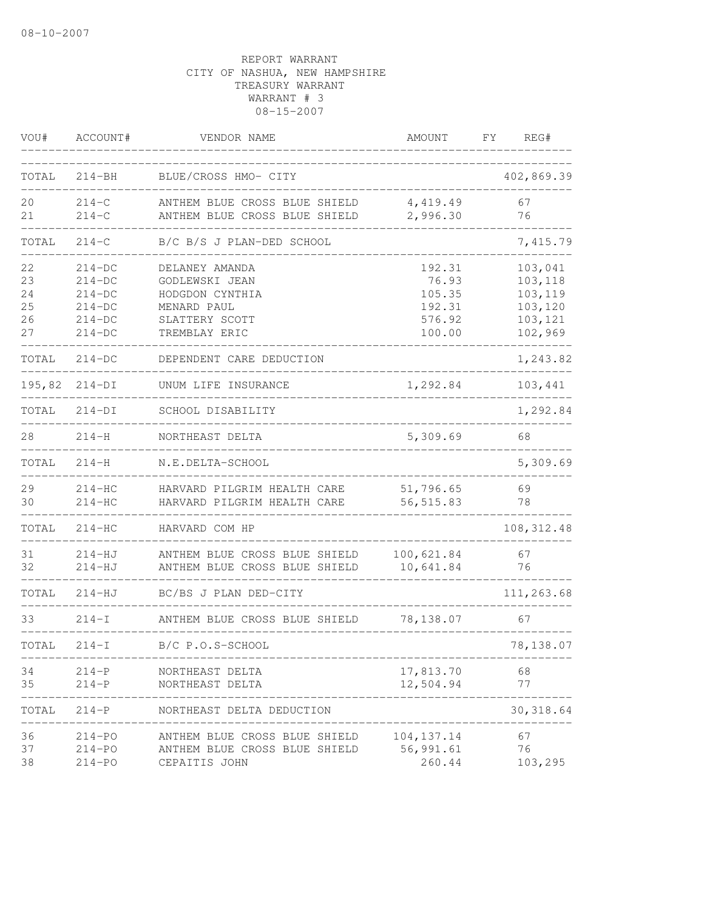| VOU#                             | ACCOUNT#                                                             | VENDOR NAME                                                                                           | AMOUNT                                                  | REG#<br>FΥ                                                     |
|----------------------------------|----------------------------------------------------------------------|-------------------------------------------------------------------------------------------------------|---------------------------------------------------------|----------------------------------------------------------------|
| TOTAL                            | $214 - BH$                                                           | BLUE/CROSS HMO- CITY                                                                                  |                                                         | 402,869.39                                                     |
| 20<br>21                         | $214 - C$<br>$214-C$                                                 | ANTHEM BLUE CROSS BLUE SHIELD<br>ANTHEM BLUE CROSS BLUE SHIELD                                        | 4,419.49<br>2,996.30                                    | 67<br>76                                                       |
| TOTAL                            | $214 - C$                                                            | B/C B/S J PLAN-DED SCHOOL                                                                             |                                                         | 7,415.79                                                       |
| 22<br>23<br>24<br>25<br>26<br>27 | $214-DC$<br>$214-DC$<br>$214-DC$<br>$214-DC$<br>$214-DC$<br>$214-DC$ | DELANEY AMANDA<br>GODLEWSKI JEAN<br>HODGDON CYNTHIA<br>MENARD PAUL<br>SLATTERY SCOTT<br>TREMBLAY ERIC | 192.31<br>76.93<br>105.35<br>192.31<br>576.92<br>100.00 | 103,041<br>103,118<br>103,119<br>103,120<br>103,121<br>102,969 |
| TOTAL                            | $214-DC$                                                             | DEPENDENT CARE DEDUCTION                                                                              |                                                         | 1,243.82                                                       |
|                                  | 195,82 214-DI                                                        | UNUM LIFE INSURANCE                                                                                   | 1,292.84                                                | 103,441                                                        |
| TOTAL                            | $214-DI$                                                             | SCHOOL DISABILITY                                                                                     |                                                         | 1,292.84                                                       |
| 28                               | $214 - H$                                                            | NORTHEAST DELTA                                                                                       | 5,309.69                                                | 68                                                             |
| TOTAL                            | $214-H$                                                              | N.E.DELTA-SCHOOL                                                                                      |                                                         | 5,309.69                                                       |
| 29<br>30                         | $214-HC$<br>$214-HC$                                                 | HARVARD PILGRIM HEALTH CARE<br>HARVARD PILGRIM HEALTH CARE                                            | 51,796.65<br>56, 515.83                                 | 69<br>78                                                       |
| TOTAL                            | $214 - HC$                                                           | HARVARD COM HP                                                                                        |                                                         | 108, 312.48                                                    |
| 31<br>32                         | $214-HJ$<br>$214-HJ$                                                 | ANTHEM BLUE CROSS BLUE SHIELD<br>ANTHEM BLUE CROSS BLUE SHIELD                                        | 100,621.84<br>10,641.84                                 | 67<br>76                                                       |
| TOTAL                            | $214 - HJ$                                                           | BC/BS J PLAN DED-CITY                                                                                 |                                                         | 111,263.68                                                     |
| 33                               | $214-I$                                                              | ANTHEM BLUE CROSS BLUE SHIELD                                                                         | 78,138.07                                               | 67                                                             |
| TOTAL                            | $214-I$                                                              | B/C P.O.S-SCHOOL                                                                                      |                                                         | 78,138.07                                                      |
| 34<br>35                         | $214-P$<br>$214 - P$                                                 | NORTHEAST DELTA<br>NORTHEAST DELTA                                                                    | 17,813.70<br>12,504.94                                  | 68<br>77                                                       |
| TOTAL                            | $214-P$                                                              | NORTHEAST DELTA DEDUCTION                                                                             |                                                         | 30, 318.64                                                     |
| 36<br>37<br>38                   | $214 - PO$<br>$214 - PQ$<br>$214 - PO$                               | ANTHEM BLUE CROSS BLUE SHIELD<br>ANTHEM BLUE CROSS BLUE SHIELD<br>CEPAITIS JOHN                       | 104, 137. 14<br>56,991.61<br>260.44                     | 67<br>76<br>103,295                                            |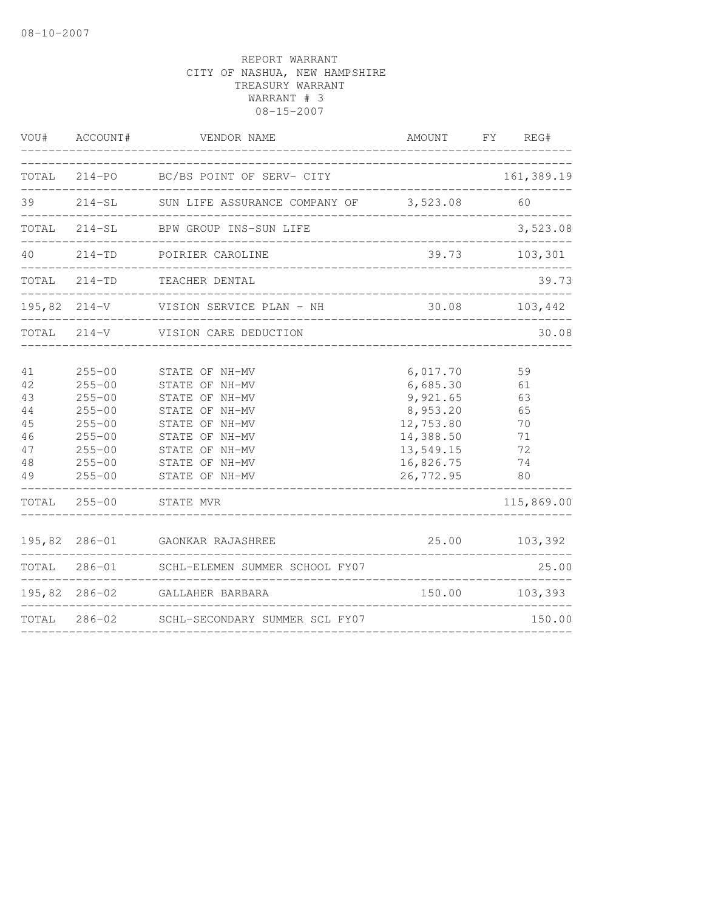|                                                    | VOU# ACCOUNT#                                                                                                              | VENDOR NAME<br>________________________                                                                                                                                                                                |                                                                                                               | AMOUNT FY REG#                                                   |
|----------------------------------------------------|----------------------------------------------------------------------------------------------------------------------------|------------------------------------------------------------------------------------------------------------------------------------------------------------------------------------------------------------------------|---------------------------------------------------------------------------------------------------------------|------------------------------------------------------------------|
|                                                    |                                                                                                                            | TOTAL 214-PO BC/BS POINT OF SERV- CITY                                                                                                                                                                                 | ____________________________                                                                                  | 161,389.19                                                       |
|                                                    |                                                                                                                            | 39 214-SL SUN LIFE ASSURANCE COMPANY OF 3,523.08 60                                                                                                                                                                    |                                                                                                               |                                                                  |
|                                                    |                                                                                                                            | TOTAL 214-SL BPW GROUP INS-SUN LIFE                                                                                                                                                                                    | -------------------------------------                                                                         | 3,523.08                                                         |
|                                                    |                                                                                                                            | 40 214-TD POIRIER CAROLINE                                                                                                                                                                                             |                                                                                                               | 39.73 103,301                                                    |
|                                                    |                                                                                                                            | TOTAL 214-TD TEACHER DENTAL                                                                                                                                                                                            |                                                                                                               | 39.73                                                            |
|                                                    |                                                                                                                            | 195,82 214-V VISION SERVICE PLAN - NH 30.08 103,442                                                                                                                                                                    |                                                                                                               |                                                                  |
|                                                    |                                                                                                                            | TOTAL 214-V VISION CARE DEDUCTION                                                                                                                                                                                      |                                                                                                               | 30.08                                                            |
| 41<br>42<br>43<br>44<br>45<br>46<br>47<br>48<br>49 | $255 - 00$<br>$255 - 00$<br>$255 - 00$<br>$255 - 00$<br>$255 - 00$<br>$255 - 00$<br>$255 - 00$<br>$255 - 00$<br>$255 - 00$ | STATE OF NH-MV<br>STATE OF NH-MV<br>STATE OF NH-MV<br>STATE OF NH-MV<br>STATE OF NH-MV<br>STATE OF NH-MV<br>STATE OF NH-MV<br>STATE OF NH-MV<br>STATE OF NH-MV<br>__________________________<br>TOTAL 255-00 STATE MVR | 6,017.70<br>6,685.30<br>9,921.65<br>8,953.20<br>12,753.80<br>14,388.50<br>13,549.15<br>16,826.75<br>26,772.95 | 59<br>61<br>63<br>65<br>70<br>71<br>72<br>74<br>80<br>115,869.00 |
|                                                    |                                                                                                                            |                                                                                                                                                                                                                        |                                                                                                               |                                                                  |
|                                                    |                                                                                                                            | 195,82 286-01 GAONKAR RAJASHREE<br>______________________                                                                                                                                                              |                                                                                                               | 25.00 103,392                                                    |
|                                                    |                                                                                                                            | TOTAL 286-01 SCHL-ELEMEN SUMMER SCHOOL FY07                                                                                                                                                                            |                                                                                                               | 25.00                                                            |
| 195,82                                             |                                                                                                                            | 286-02 GALLAHER BARBARA                                                                                                                                                                                                | 150.00                                                                                                        | 103,393                                                          |
|                                                    |                                                                                                                            | TOTAL 286-02 SCHL-SECONDARY SUMMER SCL FY07                                                                                                                                                                            | ___________________________________                                                                           | 150.00                                                           |
|                                                    |                                                                                                                            |                                                                                                                                                                                                                        |                                                                                                               |                                                                  |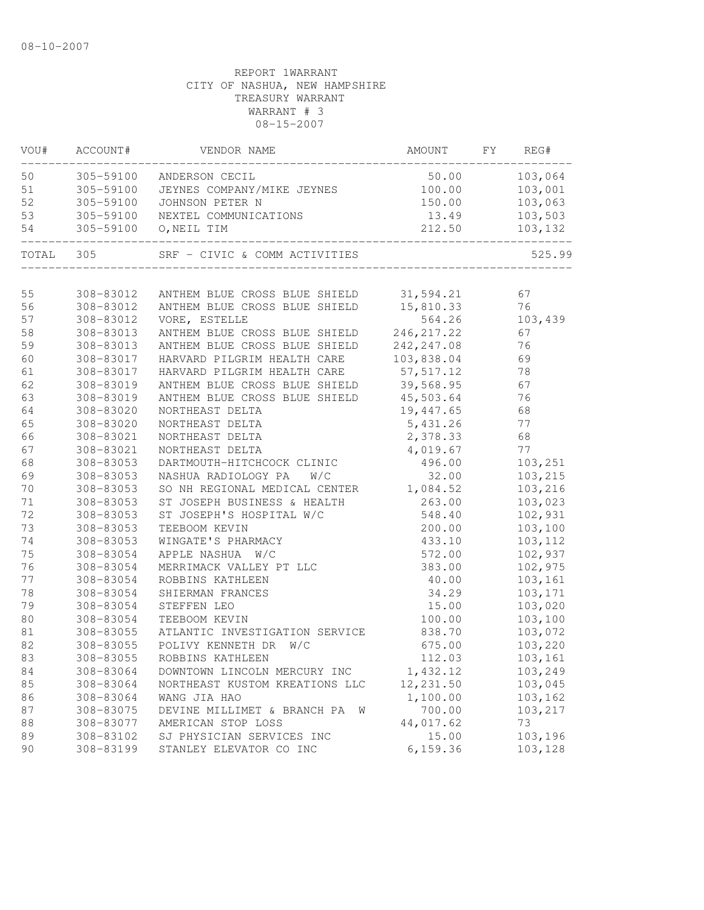| VOU#         | ACCOUNT#               | VENDOR NAME                               | AMOUNT           | FY | REG#               |
|--------------|------------------------|-------------------------------------------|------------------|----|--------------------|
| 50           | 305-59100              | ANDERSON CECIL                            | 50.00            |    | 103,064            |
| 51           | 305-59100              | JEYNES COMPANY/MIKE JEYNES                | 100.00           |    | 103,001            |
| 52           | 305-59100              | JOHNSON PETER N                           | 150.00           |    | 103,063            |
| 53           | 305-59100              | NEXTEL COMMUNICATIONS                     | 13.49            |    | 103,503            |
| 54           | 305-59100              | O, NEIL TIM                               | 212.50           |    | 103,132            |
| TOTAL        | 305                    | SRF - CIVIC & COMM ACTIVITIES             |                  |    | 525.99             |
| 55           | 308-83012              | ANTHEM BLUE CROSS BLUE SHIELD             | 31,594.21        |    | 67                 |
| 56           | 308-83012              | ANTHEM BLUE CROSS BLUE SHIELD             | 15,810.33        |    | 76                 |
| 57           | 308-83012              | VORE, ESTELLE                             | 564.26           |    | 103,439            |
| 58           | 308-83013              | ANTHEM BLUE CROSS BLUE SHIELD             | 246, 217.22      |    | 67                 |
| 59           | 308-83013              | ANTHEM BLUE CROSS BLUE SHIELD             | 242, 247.08      |    | 76                 |
| 60           | 308-83017              | HARVARD PILGRIM HEALTH CARE               | 103,838.04       |    | 69                 |
| 61           | 308-83017              | HARVARD PILGRIM HEALTH CARE               | 57, 517.12       |    | 78                 |
| 62           | 308-83019              | ANTHEM BLUE CROSS BLUE SHIELD             | 39,568.95        |    | 67                 |
| 63           | 308-83019              | ANTHEM BLUE CROSS BLUE SHIELD             | 45,503.64        |    | 76                 |
| 64           | 308-83020              | NORTHEAST DELTA                           | 19,447.65        |    | 68                 |
| 65           | 308-83020              | NORTHEAST DELTA                           | 5,431.26         |    | 77                 |
| 66           | 308-83021              | NORTHEAST DELTA                           | 2,378.33         |    | 68                 |
| 67           | 308-83021              | NORTHEAST DELTA                           | 4,019.67         |    | 77                 |
| 68           | 308-83053              | DARTMOUTH-HITCHCOCK CLINIC                | 496.00           |    | 103,251            |
| 69           | 308-83053              | NASHUA RADIOLOGY PA<br>W/C                | 32.00            |    | 103,215            |
| 70           | 308-83053              | SO NH REGIONAL MEDICAL CENTER 1,084.52    |                  |    | 103,216            |
| $7\,1$<br>72 | 308-83053              | ST JOSEPH BUSINESS & HEALTH               | 263.00<br>548.40 |    | 103,023            |
| 73           | 308-83053<br>308-83053 | ST JOSEPH'S HOSPITAL W/C<br>TEEBOOM KEVIN | 200.00           |    | 102,931<br>103,100 |
| 74           | 308-83053              | WINGATE'S PHARMACY                        | 433.10           |    | 103,112            |
| 75           | 308-83054              | APPLE NASHUA W/C                          | 572.00           |    | 102,937            |
| 76           | 308-83054              | MERRIMACK VALLEY PT LLC                   | 383.00           |    | 102,975            |
| 77           | 308-83054              | ROBBINS KATHLEEN                          | 40.00            |    | 103,161            |
| 78           | 308-83054              | SHIERMAN FRANCES                          | 34.29            |    | 103,171            |
| 79           | 308-83054              | STEFFEN LEO                               | 15.00            |    | 103,020            |
| 80           | 308-83054              | TEEBOOM KEVIN                             | 100.00           |    | 103,100            |
| 81           | 308-83055              | ATLANTIC INVESTIGATION SERVICE            | 838.70           |    | 103,072            |
| 82           | 308-83055              | POLIVY KENNETH DR<br>W/C                  | 675.00           |    | 103,220            |
| 83           | 308-83055              | ROBBINS KATHLEEN                          | 112.03           |    | 103,161            |
| 84           | 308-83064              | DOWNTOWN LINCOLN MERCURY INC              | 1,432.12         |    | 103,249            |
| 85           | 308-83064              | NORTHEAST KUSTOM KREATIONS LLC            | 12,231.50        |    | 103,045            |
| 86           | 308-83064              | WANG JIA HAO                              | 1,100.00         |    | 103,162            |
| 87           | 308-83075              | DEVINE MILLIMET & BRANCH PA<br>W          | 700.00           |    | 103,217            |
| 88           | 308-83077              | AMERICAN STOP LOSS                        | 44,017.62        |    | 73                 |
| 89           | 308-83102              | SJ PHYSICIAN SERVICES INC                 | 15.00            |    | 103,196            |
| 90           | 308-83199              | STANLEY ELEVATOR CO INC                   | 6, 159.36        |    | 103,128            |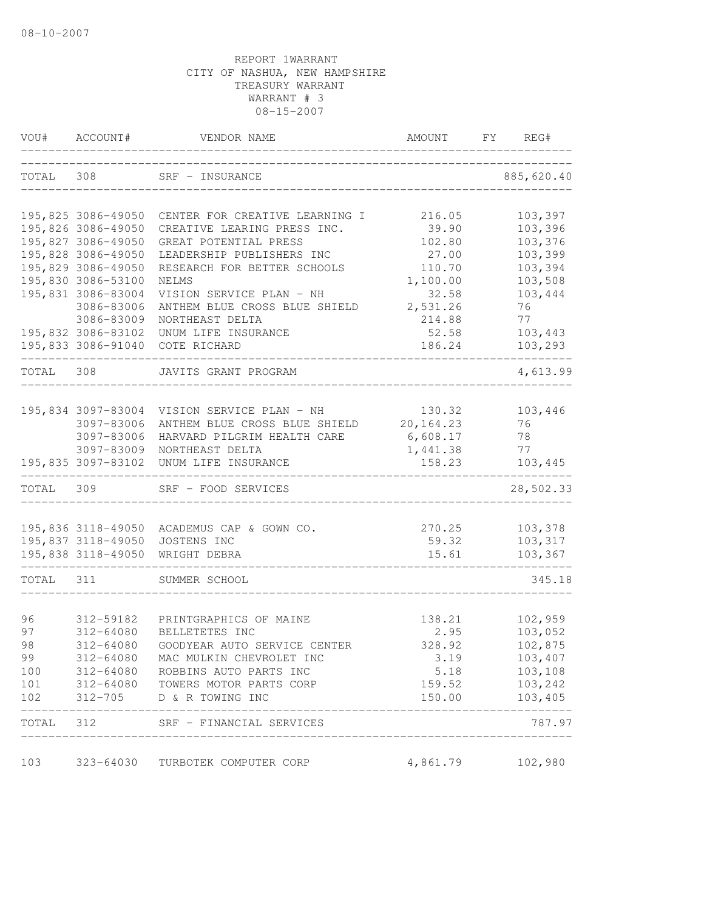| VOU#      | ACCOUNT#                         | VENDOR NAME                                               | AMOUNT                                 | FY | REG#          |
|-----------|----------------------------------|-----------------------------------------------------------|----------------------------------------|----|---------------|
| TOTAL 308 |                                  | SRF - INSURANCE                                           |                                        |    | 885,620.40    |
|           |                                  |                                                           |                                        |    |               |
|           | 195,825 3086-49050               | CENTER FOR CREATIVE LEARNING I                            | 216.05                                 |    | 103,397       |
|           | 195,826 3086-49050               | CREATIVE LEARING PRESS INC.                               | 39.90                                  |    | 103,396       |
|           | 195,827 3086-49050               | GREAT POTENTIAL PRESS                                     | 102.80                                 |    | 103,376       |
|           | 195,828 3086-49050               | LEADERSHIP PUBLISHERS INC                                 | 27.00                                  |    | 103,399       |
|           | 195,829 3086-49050               | RESEARCH FOR BETTER SCHOOLS                               | 110.70                                 |    | 103,394       |
|           | 195,830 3086-53100               | NELMS                                                     | 1,100.00                               |    | 103,508       |
|           | 195,831 3086-83004<br>3086-83006 | VISION SERVICE PLAN - NH<br>ANTHEM BLUE CROSS BLUE SHIELD | 32.58<br>2,531.26                      |    | 103,444<br>76 |
|           | 3086-83009                       | NORTHEAST DELTA                                           | 214.88                                 |    | 77            |
|           | 195,832 3086-83102               | UNUM LIFE INSURANCE                                       | 52.58                                  |    | 103,443       |
|           |                                  | 195,833 3086-91040 COTE RICHARD                           | 186.24                                 |    | 103,293       |
| TOTAL 308 |                                  | JAVITS GRANT PROGRAM                                      |                                        |    | 4,613.99      |
|           |                                  |                                                           |                                        |    |               |
|           | 195,834 3097-83004               | VISION SERVICE PLAN - NH                                  | 130.32                                 |    | 103,446       |
|           | 3097-83006                       | ANTHEM BLUE CROSS BLUE SHIELD                             | 20,164.23                              |    | 76            |
|           | 3097-83006                       | HARVARD PILGRIM HEALTH CARE                               | 6,608.17                               |    | 78            |
|           | 3097-83009                       | NORTHEAST DELTA                                           | 1,441.38                               |    | 77            |
|           | 195,835 3097-83102               | UNUM LIFE INSURANCE                                       | 158.23                                 |    | 103,445       |
| TOTAL 309 |                                  | SRF - FOOD SERVICES                                       |                                        |    | 28,502.33     |
|           | 195,836 3118-49050               | ACADEMUS CAP & GOWN CO.                                   | 270.25                                 |    | 103,378       |
|           | 195,837 3118-49050               | JOSTENS INC                                               | 59.32                                  |    | 103,317       |
|           | 195,838 3118-49050               | WRIGHT DEBRA                                              | 15.61                                  |    | 103,367       |
| TOTAL 311 |                                  | SUMMER SCHOOL                                             |                                        |    | 345.18        |
| 96        | 312-59182                        | PRINTGRAPHICS OF MAINE                                    | 138.21                                 |    | 102,959       |
| 97        | $312 - 64080$                    | BELLETETES INC                                            | 2.95                                   |    | 103,052       |
| 98        | 312-64080                        | GOODYEAR AUTO SERVICE CENTER                              | 328.92                                 |    | 102,875       |
| 99        |                                  | 312-64080 MAC MULKIN CHEVROLET INC                        | 3.19                                   |    | 103,407       |
| 100       |                                  | 312-64080 ROBBINS AUTO PARTS INC                          | 5.18                                   |    | 103,108       |
| 101       |                                  | 312-64080 TOWERS MOTOR PARTS CORP                         | 159.52                                 |    | 103,242       |
| 102       |                                  | 312-705 D & R TOWING INC                                  | 150.00                                 |    | 103,405       |
|           |                                  | TOTAL 312 SRF - FINANCIAL SERVICES                        | ______________________________________ |    | 787.97        |
| 103       |                                  | 323-64030 TURBOTEK COMPUTER CORP                          | 4,861.79                               |    | 102,980       |
|           |                                  |                                                           |                                        |    |               |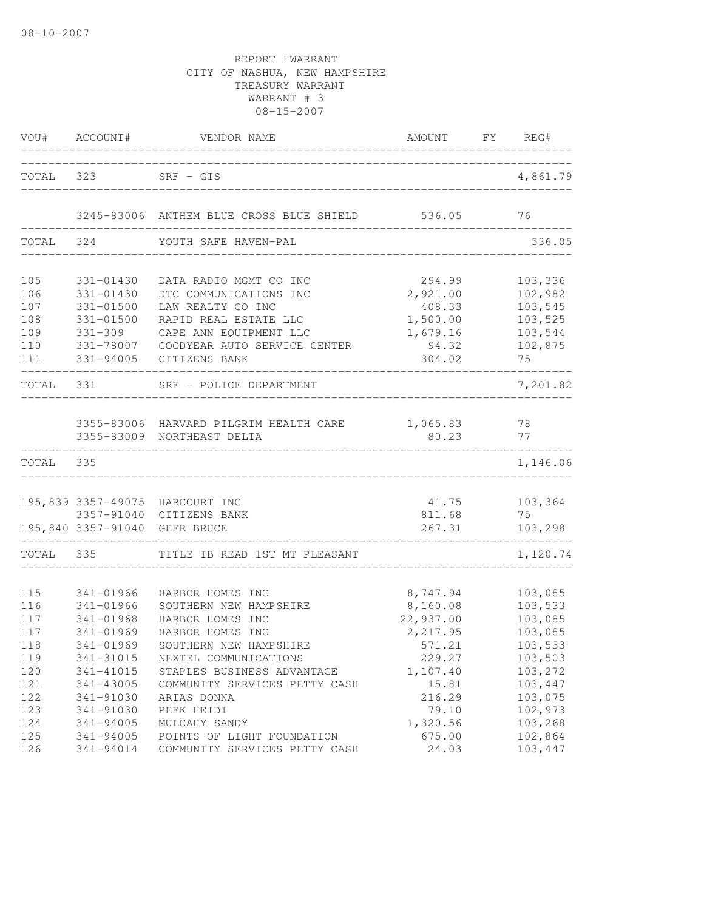|                                               | VOU# ACCOUNT#                                                                             | VENDOR NAME                                                                                                                                                               | AMOUNT FY REG#                                                                |                                                                           |
|-----------------------------------------------|-------------------------------------------------------------------------------------------|---------------------------------------------------------------------------------------------------------------------------------------------------------------------------|-------------------------------------------------------------------------------|---------------------------------------------------------------------------|
|                                               | TOTAL 323 SRF - GIS                                                                       | _____________________                                                                                                                                                     |                                                                               | 4,861.79                                                                  |
|                                               |                                                                                           | 3245-83006 ANTHEM BLUE CROSS BLUE SHIELD 536.05                                                                                                                           |                                                                               | 76                                                                        |
| TOTAL                                         | 324                                                                                       | YOUTH SAFE HAVEN-PAL                                                                                                                                                      |                                                                               | 536.05                                                                    |
| 105<br>106<br>107<br>108<br>109<br>110<br>111 | 331-01430<br>331-01430<br>331-01500<br>331-01500<br>$331 - 309$<br>331-78007<br>331-94005 | DATA RADIO MGMT CO INC<br>DTC COMMUNICATIONS INC<br>LAW REALTY CO INC<br>RAPID REAL ESTATE LLC<br>CAPE ANN EQUIPMENT LLC<br>GOODYEAR AUTO SERVICE CENTER<br>CITIZENS BANK | 294.99<br>2,921.00<br>408.33<br>1,500.00<br>1,679.16<br>94.32<br>304.02       | 103,336<br>102,982<br>103,545<br>103,525<br>103,544<br>102,875<br>75      |
| TOTAL 331                                     |                                                                                           | SRF - POLICE DEPARTMENT                                                                                                                                                   |                                                                               | 7,201.82                                                                  |
|                                               |                                                                                           | 3355-83006 HARVARD PILGRIM HEALTH CARE 1,065.83<br>3355-83009 NORTHEAST DELTA                                                                                             | 80.23                                                                         | 78<br>77                                                                  |
| TOTAL 335                                     |                                                                                           |                                                                                                                                                                           |                                                                               | 1,146.06                                                                  |
|                                               | 195,840 3357-91040 GEER BRUCE                                                             | 195,839 3357-49075 HARCOURT INC<br>3357-91040 CITIZENS BANK                                                                                                               | 41.75<br>811.68<br>267.31                                                     | 103,364<br>75<br>103,298                                                  |
| TOTAL 335                                     |                                                                                           | TITLE IB READ 1ST MT PLEASANT                                                                                                                                             |                                                                               | 1,120.74                                                                  |
| 115<br>116<br>117<br>117<br>118<br>119<br>120 | 341-01966<br>341-01966<br>341-01968<br>341-01969<br>341-01969<br>341-31015<br>341-41015   | HARBOR HOMES INC<br>SOUTHERN NEW HAMPSHIRE<br>HARBOR HOMES INC<br>HARBOR HOMES INC<br>SOUTHERN NEW HAMPSHIRE<br>NEXTEL COMMUNICATIONS<br>STAPLES BUSINESS ADVANTAGE       | 8,747.94<br>8,160.08<br>22,937.00<br>2,217.95<br>571.21<br>229.27<br>1,107.40 | 103,085<br>103,533<br>103,085<br>103,085<br>103,533<br>103,503<br>103,272 |
| 121<br>122<br>123<br>124<br>125<br>126        | 341-43005<br>341-91030<br>341-91030<br>341-94005<br>341-94005<br>341-94014                | COMMUNITY SERVICES PETTY CASH<br>ARIAS DONNA<br>PEEK HEIDI<br>MULCAHY SANDY<br>POINTS OF LIGHT FOUNDATION<br>COMMUNITY SERVICES PETTY CASH                                | 15.81<br>216.29<br>79.10<br>1,320.56<br>675.00<br>24.03                       | 103,447<br>103,075<br>102,973<br>103,268<br>102,864<br>103,447            |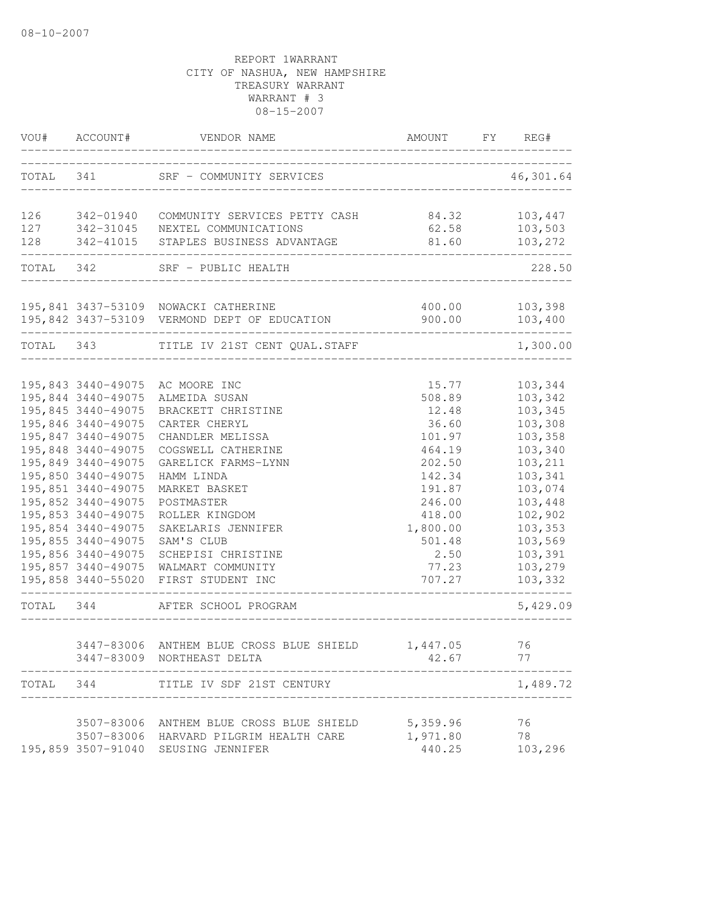| VOU#      | ACCOUNT#           | VENDOR NAME                                       | AMOUNT                               | FY | REG#      |
|-----------|--------------------|---------------------------------------------------|--------------------------------------|----|-----------|
| TOTAL 341 |                    | SRF - COMMUNITY SERVICES                          | ____________________________________ |    | 46,301.64 |
| 126       | 342-01940          | COMMUNITY SERVICES PETTY CASH                     | 84.32                                |    | 103,447   |
|           | 127 342-31045      | NEXTEL COMMUNICATIONS                             | 62.58                                |    | 103,503   |
| 128       | 342-41015          | STAPLES BUSINESS ADVANTAGE                        | 81.60                                |    | 103,272   |
|           |                    | TOTAL 342 SRF - PUBLIC HEALTH                     |                                      |    | 228.50    |
|           |                    | 195,841 3437-53109 NOWACKI CATHERINE              | 400.00                               |    | 103,398   |
|           |                    | 195,842 3437-53109 VERMOND DEPT OF EDUCATION      | 900.00                               |    | 103,400   |
| TOTAL 343 |                    | TITLE IV 21ST CENT QUAL.STAFF                     |                                      |    | 1,300.00  |
|           | 195,843 3440-49075 | AC MOORE INC                                      | 15.77                                |    | 103,344   |
|           | 195,844 3440-49075 | ALMEIDA SUSAN                                     | 508.89                               |    | 103,342   |
|           | 195,845 3440-49075 | BRACKETT CHRISTINE                                | 12.48                                |    | 103,345   |
|           | 195,846 3440-49075 | CARTER CHERYL                                     | 36.60                                |    | 103,308   |
|           | 195,847 3440-49075 | CHANDLER MELISSA                                  | 101.97                               |    | 103,358   |
|           | 195,848 3440-49075 | COGSWELL CATHERINE                                | 464.19                               |    | 103,340   |
|           | 195,849 3440-49075 | GARELICK FARMS-LYNN                               | 202.50                               |    | 103,211   |
|           | 195,850 3440-49075 | HAMM LINDA                                        | 142.34                               |    | 103,341   |
|           | 195,851 3440-49075 | MARKET BASKET                                     | 191.87                               |    | 103,074   |
|           | 195,852 3440-49075 | POSTMASTER                                        | 246.00                               |    | 103,448   |
|           | 195,853 3440-49075 | ROLLER KINGDOM                                    | 418.00                               |    | 102,902   |
|           | 195,854 3440-49075 | SAKELARIS JENNIFER                                | 1,800.00                             |    | 103,353   |
|           | 195,855 3440-49075 | SAM'S CLUB                                        | 501.48                               |    | 103,569   |
|           | 195,856 3440-49075 | SCHEPISI CHRISTINE                                | 2.50                                 |    | 103,391   |
|           | 195,857 3440-49075 | WALMART COMMUNITY                                 | 77.23                                |    | 103,279   |
|           | 195,858 3440-55020 | FIRST STUDENT INC                                 | 707.27                               |    | 103,332   |
| TOTAL 344 |                    | AFTER SCHOOL PROGRAM                              |                                      |    | 5,429.09  |
|           |                    | 3447-83006 ANTHEM BLUE CROSS BLUE SHIELD 1,447.05 |                                      |    | 76        |
|           |                    | 3447-83009 NORTHEAST DELTA                        | 42.67                                |    | 77        |
| TOTAL     | 344                | TITLE IV SDF 21ST CENTURY                         |                                      |    | 1,489.72  |
|           |                    | 3507-83006 ANTHEM BLUE CROSS BLUE SHIELD          | 5,359.96                             |    | 76        |
|           |                    | 3507-83006 HARVARD PILGRIM HEALTH CARE            | 1,971.80                             |    | 78        |
|           |                    | 195,859 3507-91040 SEUSING JENNIFER               | 440.25                               |    | 103,296   |
|           |                    |                                                   |                                      |    |           |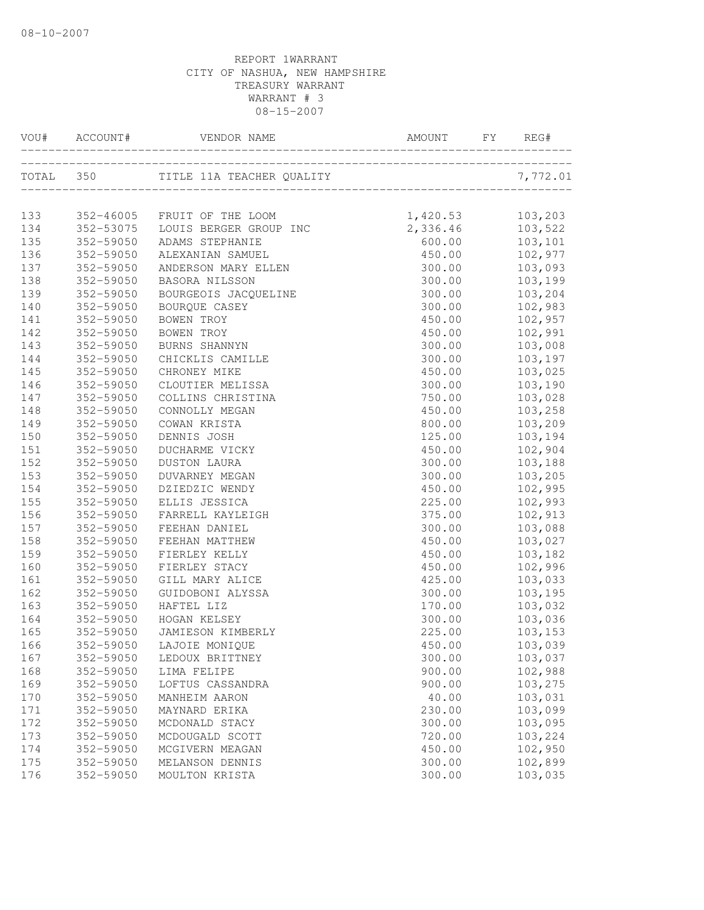|     | VOU# ACCOUNT# | ACCOUNT# VENDOR NAME ANOUNT FY REC |          | REG#     |
|-----|---------------|------------------------------------|----------|----------|
|     | TOTAL 350     |                                    |          | 7,772.01 |
|     |               |                                    |          |          |
| 133 |               | 352-46005 FRUIT OF THE LOOM        | 1,420.53 | 103,203  |
| 134 | 352-53075     | LOUIS BERGER GROUP INC             | 2,336.46 | 103,522  |
| 135 | 352-59050     | ADAMS STEPHANIE                    | 600.00   | 103,101  |
| 136 | 352-59050     | ALEXANIAN SAMUEL                   | 450.00   | 102,977  |
| 137 | 352-59050     | ANDERSON MARY ELLEN                | 300.00   | 103,093  |
| 138 | 352-59050     | BASORA NILSSON                     | 300.00   | 103,199  |
| 139 | 352-59050     | BOURGEOIS JACQUELINE               | 300.00   | 103,204  |
| 140 | 352-59050     | BOURQUE CASEY                      | 300.00   | 102,983  |
| 141 | 352-59050     | BOWEN TROY                         | 450.00   | 102,957  |
| 142 | 352-59050     | BOWEN TROY                         | 450.00   | 102,991  |
| 143 | 352-59050     | BURNS SHANNYN                      | 300.00   | 103,008  |
| 144 | 352-59050     | CHICKLIS CAMILLE                   | 300.00   | 103,197  |
| 145 | 352-59050     | CHRONEY MIKE                       | 450.00   | 103,025  |
| 146 | 352-59050     | CLOUTIER MELISSA                   | 300.00   | 103,190  |
| 147 | 352-59050     | COLLINS CHRISTINA                  | 750.00   | 103,028  |
| 148 | 352-59050     | CONNOLLY MEGAN                     | 450.00   | 103,258  |
| 149 | 352-59050     | COWAN KRISTA                       | 800.00   | 103,209  |
| 150 | 352-59050     | DENNIS JOSH                        | 125.00   | 103,194  |
| 151 | 352-59050     | DUCHARME VICKY                     | 450.00   | 102,904  |
| 152 | 352-59050     | <b>DUSTON LAURA</b>                | 300.00   | 103,188  |
| 153 | 352-59050     | DUVARNEY MEGAN                     | 300.00   | 103,205  |
| 154 | 352-59050     | DZIEDZIC WENDY                     | 450.00   | 102,995  |
| 155 | 352-59050     | ELLIS JESSICA                      | 225.00   | 102,993  |
| 156 | 352-59050     | FARRELL KAYLEIGH                   | 375.00   | 102,913  |
| 157 | 352-59050     | FEEHAN DANIEL                      | 300.00   | 103,088  |
| 158 | 352-59050     | FEEHAN MATTHEW                     | 450.00   | 103,027  |
| 159 | 352-59050     | FIERLEY KELLY                      | 450.00   | 103,182  |
| 160 | 352-59050     | FIERLEY STACY                      | 450.00   | 102,996  |
| 161 | 352-59050     | GILL MARY ALICE                    | 425.00   | 103,033  |
| 162 | 352-59050     | GUIDOBONI ALYSSA                   | 300.00   | 103,195  |
| 163 | 352-59050     | HAFTEL LIZ                         | 170.00   | 103,032  |
| 164 | 352-59050     | HOGAN KELSEY                       | 300.00   | 103,036  |
| 165 | 352-59050     | JAMIESON KIMBERLY                  | 225.00   | 103,153  |
| 166 |               | 352-59050 LAJOIE MONIQUE           | 450.00   | 103,039  |
| 167 | 352-59050     | LEDOUX BRITTNEY                    | 300.00   | 103,037  |
| 168 | 352-59050     | LIMA FELIPE                        | 900.00   | 102,988  |
| 169 | 352-59050     | LOFTUS CASSANDRA                   | 900.00   | 103,275  |
| 170 | 352-59050     | MANHEIM AARON                      | 40.00    | 103,031  |
| 171 | 352-59050     | MAYNARD ERIKA                      | 230.00   | 103,099  |
| 172 | 352-59050     | MCDONALD STACY                     | 300.00   | 103,095  |
| 173 | 352-59050     | MCDOUGALD SCOTT                    | 720.00   | 103,224  |
| 174 | 352-59050     | MCGIVERN MEAGAN                    | 450.00   | 102,950  |
| 175 | 352-59050     | MELANSON DENNIS                    | 300.00   | 102,899  |
| 176 | 352-59050     | MOULTON KRISTA                     | 300.00   | 103,035  |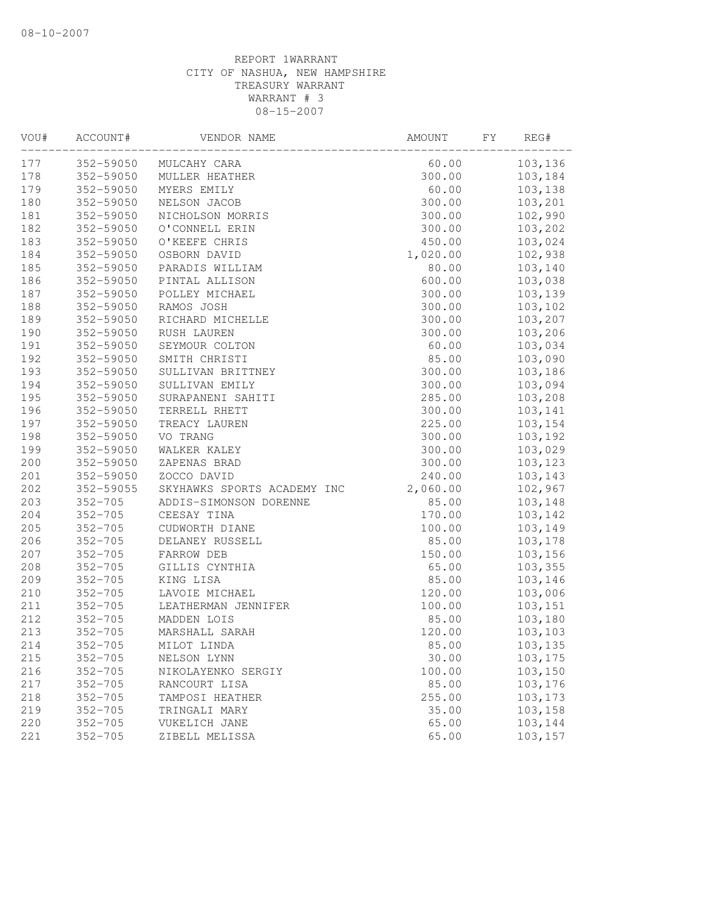| VOU# | ACCOUNT#    | VENDOR NAME                 | AMOUNT   | FY | REG#    |
|------|-------------|-----------------------------|----------|----|---------|
| 177  | 352-59050   | MULCAHY CARA                | 60.00    |    | 103,136 |
| 178  | 352-59050   | MULLER HEATHER              | 300.00   |    | 103,184 |
| 179  | 352-59050   | MYERS EMILY                 | 60.00    |    | 103,138 |
| 180  | 352-59050   | NELSON JACOB                | 300.00   |    | 103,201 |
| 181  | 352-59050   | NICHOLSON MORRIS            | 300.00   |    | 102,990 |
| 182  | 352-59050   | O'CONNELL ERIN              | 300.00   |    | 103,202 |
| 183  | 352-59050   | O'KEEFE CHRIS               | 450.00   |    | 103,024 |
| 184  | 352-59050   | OSBORN DAVID                | 1,020.00 |    | 102,938 |
| 185  | 352-59050   | PARADIS WILLIAM             | 80.00    |    | 103,140 |
| 186  | 352-59050   | PINTAL ALLISON              | 600.00   |    | 103,038 |
| 187  | 352-59050   | POLLEY MICHAEL              | 300.00   |    | 103,139 |
| 188  | 352-59050   | RAMOS JOSH                  | 300.00   |    | 103,102 |
| 189  | 352-59050   | RICHARD MICHELLE            | 300.00   |    | 103,207 |
| 190  | 352-59050   | RUSH LAUREN                 | 300.00   |    | 103,206 |
| 191  | 352-59050   | SEYMOUR COLTON              | 60.00    |    | 103,034 |
| 192  | 352-59050   | SMITH CHRISTI               | 85.00    |    | 103,090 |
| 193  | 352-59050   | SULLIVAN BRITTNEY           | 300.00   |    | 103,186 |
| 194  | 352-59050   | SULLIVAN EMILY              | 300.00   |    | 103,094 |
| 195  | 352-59050   | SURAPANENI SAHITI           | 285.00   |    | 103,208 |
| 196  | 352-59050   | TERRELL RHETT               | 300.00   |    | 103,141 |
| 197  | 352-59050   | TREACY LAUREN               | 225.00   |    | 103,154 |
| 198  | 352-59050   | VO TRANG                    | 300.00   |    | 103,192 |
| 199  | 352-59050   | WALKER KALEY                | 300.00   |    | 103,029 |
| 200  | 352-59050   | ZAPENAS BRAD                | 300.00   |    | 103,123 |
| 201  | 352-59050   | ZOCCO DAVID                 | 240.00   |    | 103,143 |
| 202  | 352-59055   | SKYHAWKS SPORTS ACADEMY INC | 2,060.00 |    | 102,967 |
| 203  | $352 - 705$ | ADDIS-SIMONSON DORENNE      | 85.00    |    | 103,148 |
| 204  | $352 - 705$ | CEESAY TINA                 | 170.00   |    | 103,142 |
| 205  | $352 - 705$ | CUDWORTH DIANE              | 100.00   |    | 103,149 |
| 206  | $352 - 705$ | DELANEY RUSSELL             | 85.00    |    | 103,178 |
| 207  | $352 - 705$ | FARROW DEB                  | 150.00   |    | 103,156 |
| 208  | $352 - 705$ | GILLIS CYNTHIA              | 65.00    |    | 103,355 |
| 209  | $352 - 705$ | KING LISA                   | 85.00    |    | 103,146 |
| 210  | $352 - 705$ | LAVOIE MICHAEL              | 120.00   |    | 103,006 |
| 211  | $352 - 705$ | LEATHERMAN JENNIFER         | 100.00   |    | 103,151 |
| 212  | $352 - 705$ | MADDEN LOIS                 | 85.00    |    | 103,180 |
| 213  | $352 - 705$ | MARSHALL SARAH              | 120.00   |    | 103,103 |
| 214  | $352 - 705$ | MILOT LINDA                 | 85.00    |    | 103,135 |
| 215  | $352 - 705$ | NELSON LYNN                 | 30.00    |    | 103,175 |
| 216  | $352 - 705$ | NIKOLAYENKO SERGIY          | 100.00   |    | 103,150 |
| 217  | $352 - 705$ | RANCOURT LISA               | 85.00    |    | 103,176 |
| 218  | $352 - 705$ | TAMPOSI HEATHER             | 255.00   |    | 103,173 |
| 219  | $352 - 705$ | TRINGALI MARY               | 35.00    |    | 103,158 |
| 220  | $352 - 705$ | VUKELICH JANE               | 65.00    |    | 103,144 |
| 221  | $352 - 705$ | ZIBELL MELISSA              | 65.00    |    | 103,157 |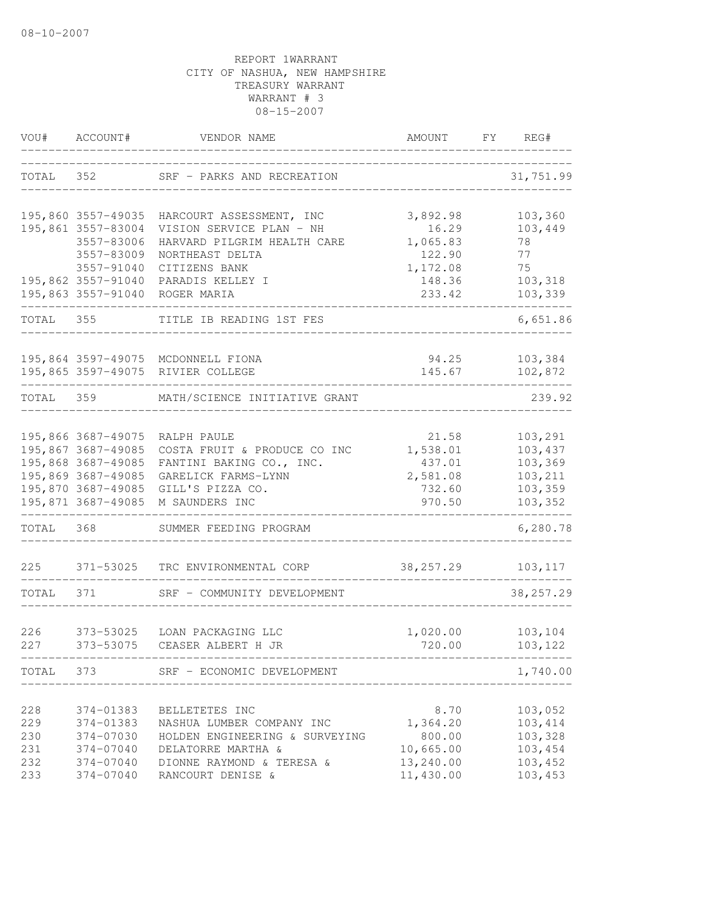| VOU#       | ACCOUNT#               | VENDOR NAME                                     | AMOUNT                   | FY | REG#               |
|------------|------------------------|-------------------------------------------------|--------------------------|----|--------------------|
| TOTAL      | 352                    | SRF - PARKS AND RECREATION                      |                          |    | 31,751.99          |
|            | 195,860 3557-49035     | HARCOURT ASSESSMENT, INC                        | 3,892.98                 |    | 103,360            |
|            | 195,861 3557-83004     | VISION SERVICE PLAN - NH                        | 16.29                    |    | 103,449            |
|            | 3557-83006             | HARVARD PILGRIM HEALTH CARE                     | 1,065.83                 |    | 78                 |
|            | 3557-83009             | NORTHEAST DELTA                                 | 122.90                   |    | 77                 |
|            | 3557-91040             | CITIZENS BANK                                   | 1,172.08                 |    | 75                 |
|            | 195,862 3557-91040     | PARADIS KELLEY I                                | 148.36                   |    | 103,318            |
|            | 195,863 3557-91040     | ROGER MARIA                                     | 233.42<br>______________ |    | 103,339            |
| TOTAL      | 355                    | TITLE IB READING 1ST FES                        |                          |    | 6,651.86           |
|            |                        | 195,864 3597-49075 MCDONNELL FIONA              | 94.25                    |    | 103,384            |
|            |                        | 195,865 3597-49075 RIVIER COLLEGE               | 145.67                   |    | 102,872            |
| TOTAL 359  |                        | MATH/SCIENCE INITIATIVE GRANT                   |                          |    | 239.92             |
|            | 195,866 3687-49075     | RALPH PAULE                                     | 21.58                    |    | 103,291            |
|            | 195,867 3687-49085     | COSTA FRUIT & PRODUCE CO INC                    | 1,538.01                 |    | 103,437            |
|            | 195,868 3687-49085     | FANTINI BAKING CO., INC.                        | 437.01                   |    | 103,369            |
|            | 195,869 3687-49085     | GARELICK FARMS-LYNN                             | 2,581.08                 |    | 103,211            |
|            | 195,870 3687-49085     | GILL'S PIZZA CO.                                | 732.60                   |    | 103,359            |
|            | 195,871 3687-49085     | M SAUNDERS INC                                  | 970.50                   |    | 103,352            |
| TOTAL      | 368                    | SUMMER FEEDING PROGRAM                          |                          |    | 6,280.78           |
| 225        | 371-53025              | TRC ENVIRONMENTAL CORP                          | 38, 257. 29              |    | 103,117            |
| TOTAL      | 371                    | SRF - COMMUNITY DEVELOPMENT                     |                          |    | 38, 257.29         |
|            |                        |                                                 |                          |    |                    |
| 226        | 373-53025              | LOAN PACKAGING LLC                              | 1,020.00                 |    | 103, 104           |
| 227        | 373-53075              | CEASER ALBERT H JR                              | 720.00                   |    | 103,122            |
|            |                        | TOTAL 373 SRF - ECONOMIC DEVELOPMENT            |                          |    | 1,740.00           |
|            |                        |                                                 |                          |    |                    |
| 228        | 374-01383              | BELLETETES INC                                  | 8.70                     |    | 103,052            |
| 229        | 374-01383              | NASHUA LUMBER COMPANY INC                       | 1,364.20                 |    | 103,414            |
| 230        | 374-07030              | HOLDEN ENGINEERING & SURVEYING                  | 800.00<br>10,665.00      |    | 103,328            |
| 231<br>232 | 374-07040<br>374-07040 | DELATORRE MARTHA &<br>DIONNE RAYMOND & TERESA & | 13,240.00                |    | 103,454<br>103,452 |
| 233        | 374-07040              | RANCOURT DENISE &                               | 11,430.00                |    | 103,453            |
|            |                        |                                                 |                          |    |                    |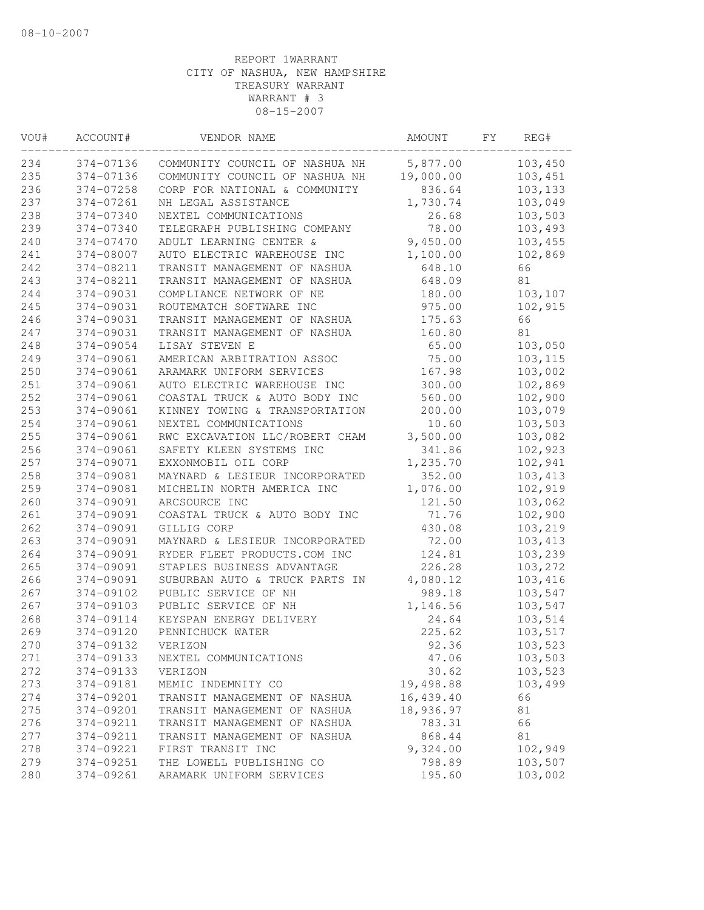| VOU# | ACCOUNT#  | VENDOR NAME                    | AMOUNT    | FΥ | REG#     |
|------|-----------|--------------------------------|-----------|----|----------|
| 234  | 374-07136 | COMMUNITY COUNCIL OF NASHUA NH | 5,877.00  |    | 103,450  |
| 235  | 374-07136 | COMMUNITY COUNCIL OF NASHUA NH | 19,000.00 |    | 103,451  |
| 236  | 374-07258 | CORP FOR NATIONAL & COMMUNITY  | 836.64    |    | 103,133  |
| 237  | 374-07261 | NH LEGAL ASSISTANCE            | 1,730.74  |    | 103,049  |
| 238  | 374-07340 | NEXTEL COMMUNICATIONS          | 26.68     |    | 103,503  |
| 239  | 374-07340 | TELEGRAPH PUBLISHING COMPANY   | 78.00     |    | 103,493  |
| 240  | 374-07470 | ADULT LEARNING CENTER &        | 9,450.00  |    | 103,455  |
| 241  | 374-08007 | AUTO ELECTRIC WAREHOUSE INC    | 1,100.00  |    | 102,869  |
| 242  | 374-08211 | TRANSIT MANAGEMENT OF NASHUA   | 648.10    |    | 66       |
| 243  | 374-08211 | TRANSIT MANAGEMENT OF NASHUA   | 648.09    |    | 81       |
| 244  | 374-09031 | COMPLIANCE NETWORK OF NE       | 180.00    |    | 103,107  |
| 245  | 374-09031 | ROUTEMATCH SOFTWARE INC        | 975.00    |    | 102,915  |
| 246  | 374-09031 | TRANSIT MANAGEMENT OF NASHUA   | 175.63    |    | 66       |
| 247  | 374-09031 | TRANSIT MANAGEMENT OF NASHUA   | 160.80    |    | 81       |
| 248  | 374-09054 | LISAY STEVEN E                 | 65.00     |    | 103,050  |
| 249  | 374-09061 | AMERICAN ARBITRATION ASSOC     | 75.00     |    | 103, 115 |
| 250  | 374-09061 | ARAMARK UNIFORM SERVICES       | 167.98    |    | 103,002  |
| 251  | 374-09061 | AUTO ELECTRIC WAREHOUSE INC    | 300.00    |    | 102,869  |
| 252  | 374-09061 | COASTAL TRUCK & AUTO BODY INC  | 560.00    |    | 102,900  |
| 253  | 374-09061 | KINNEY TOWING & TRANSPORTATION | 200.00    |    | 103,079  |
| 254  | 374-09061 | NEXTEL COMMUNICATIONS          | 10.60     |    | 103,503  |
| 255  | 374-09061 | RWC EXCAVATION LLC/ROBERT CHAM | 3,500.00  |    | 103,082  |
| 256  | 374-09061 | SAFETY KLEEN SYSTEMS INC       | 341.86    |    | 102,923  |
| 257  | 374-09071 | EXXONMOBIL OIL CORP            | 1,235.70  |    | 102,941  |
| 258  | 374-09081 | MAYNARD & LESIEUR INCORPORATED | 352.00    |    | 103,413  |
| 259  | 374-09081 | MICHELIN NORTH AMERICA INC     | 1,076.00  |    | 102,919  |
| 260  | 374-09091 | ARCSOURCE INC                  | 121.50    |    | 103,062  |
| 261  | 374-09091 | COASTAL TRUCK & AUTO BODY INC  | 71.76     |    | 102,900  |
| 262  | 374-09091 | GILLIG CORP                    | 430.08    |    | 103,219  |
| 263  | 374-09091 | MAYNARD & LESIEUR INCORPORATED | 72.00     |    | 103,413  |
| 264  | 374-09091 | RYDER FLEET PRODUCTS.COM INC   | 124.81    |    | 103,239  |
| 265  | 374-09091 | STAPLES BUSINESS ADVANTAGE     | 226.28    |    | 103,272  |
| 266  | 374-09091 | SUBURBAN AUTO & TRUCK PARTS IN | 4,080.12  |    | 103,416  |
| 267  | 374-09102 | PUBLIC SERVICE OF NH           | 989.18    |    | 103,547  |
| 267  | 374-09103 | PUBLIC SERVICE OF NH           | 1,146.56  |    | 103,547  |
| 268  | 374-09114 | KEYSPAN ENERGY DELIVERY        | 24.64     |    | 103,514  |
| 269  | 374-09120 | PENNICHUCK WATER               | 225.62    |    | 103,517  |
| 270  | 374-09132 | VERIZON                        | 92.36     |    | 103,523  |
| 271  | 374-09133 | NEXTEL COMMUNICATIONS          | 47.06     |    | 103,503  |
| 272  | 374-09133 | VERIZON                        | 30.62     |    | 103,523  |
| 273  | 374-09181 | MEMIC INDEMNITY CO             | 19,498.88 |    | 103,499  |
| 274  | 374-09201 | TRANSIT MANAGEMENT OF NASHUA   | 16,439.40 |    | 66       |
| 275  | 374-09201 | TRANSIT MANAGEMENT OF NASHUA   | 18,936.97 |    | 81       |
| 276  | 374-09211 | TRANSIT MANAGEMENT OF NASHUA   | 783.31    |    | 66       |
| 277  | 374-09211 | TRANSIT MANAGEMENT OF NASHUA   | 868.44    |    | 81       |
| 278  | 374-09221 | FIRST TRANSIT INC              | 9,324.00  |    | 102,949  |
| 279  | 374-09251 | THE LOWELL PUBLISHING CO       | 798.89    |    | 103,507  |
| 280  | 374-09261 | ARAMARK UNIFORM SERVICES       | 195.60    |    | 103,002  |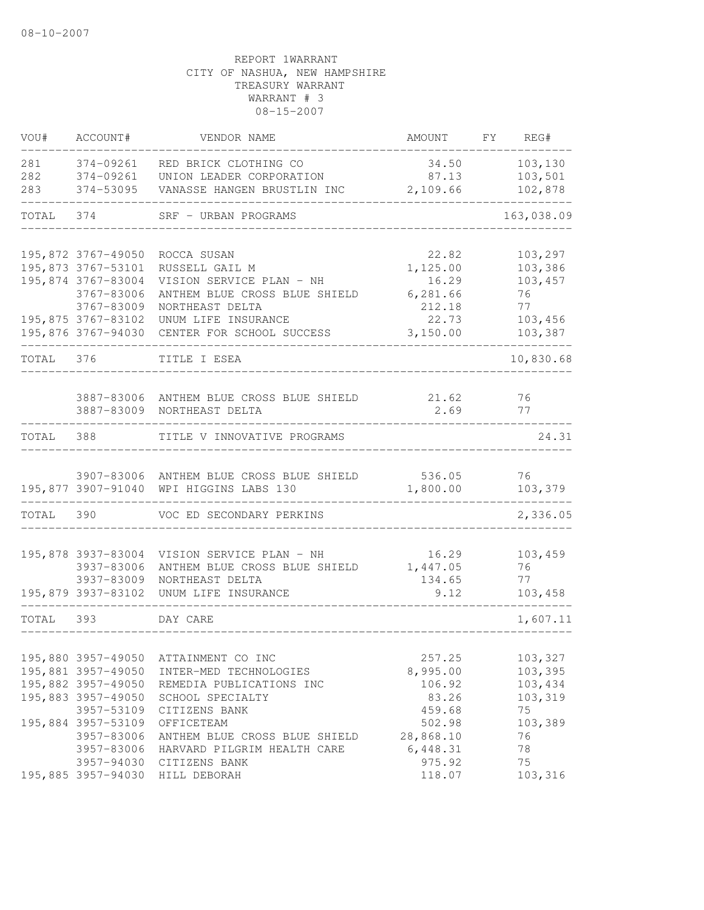| VOU#              | ACCOUNT#                                                                                           | VENDOR NAME                                                                                                  | AMOUNT                                              | FY | REG#                                           |
|-------------------|----------------------------------------------------------------------------------------------------|--------------------------------------------------------------------------------------------------------------|-----------------------------------------------------|----|------------------------------------------------|
| 281<br>282<br>283 | 374-09261<br>374-09261<br>374-53095                                                                | RED BRICK CLOTHING CO<br>UNION LEADER CORPORATION<br>VANASSE HANGEN BRUSTLIN INC                             | 34.50<br>87.13<br>2,109.66                          |    | 103,130<br>103,501<br>102,878                  |
| TOTAL             | 374                                                                                                | SRF - URBAN PROGRAMS                                                                                         |                                                     |    | 163,038.09                                     |
|                   |                                                                                                    |                                                                                                              |                                                     |    |                                                |
|                   | 195,872 3767-49050<br>195,873 3767-53101<br>195,874 3767-83004<br>3767-83006                       | ROCCA SUSAN<br>RUSSELL GAIL M<br>VISION SERVICE PLAN - NH<br>ANTHEM BLUE CROSS BLUE SHIELD                   | 22.82<br>1,125.00<br>16.29<br>6,281.66              |    | 103,297<br>103,386<br>103,457<br>76            |
|                   | 3767-83009<br>195,875 3767-83102<br>195,876 3767-94030                                             | NORTHEAST DELTA<br>UNUM LIFE INSURANCE<br>CENTER FOR SCHOOL SUCCESS                                          | 212.18<br>22.73<br>3,150.00                         |    | 77<br>103,456<br>103,387                       |
| TOTAL             | 376                                                                                                | TITLE I ESEA                                                                                                 |                                                     |    | 10,830.68                                      |
|                   |                                                                                                    |                                                                                                              |                                                     |    |                                                |
|                   | 3887-83009                                                                                         | 3887-83006 ANTHEM BLUE CROSS BLUE SHIELD<br>NORTHEAST DELTA                                                  | 21.62<br>2.69                                       |    | 76<br>77                                       |
| TOTAL             | 388                                                                                                | TITLE V INNOVATIVE PROGRAMS                                                                                  |                                                     |    | 24.31                                          |
|                   |                                                                                                    | 3907-83006 ANTHEM BLUE CROSS BLUE SHIELD<br>195,877 3907-91040 WPI HIGGINS LABS 130                          | 536.05<br>1,800.00                                  |    | 76<br>103,379                                  |
| TOTAL             | 390                                                                                                | VOC ED SECONDARY PERKINS                                                                                     |                                                     |    | 2,336.05                                       |
|                   | 195,878 3937-83004<br>3937-83006<br>3937-83009                                                     | VISION SERVICE PLAN - NH<br>ANTHEM BLUE CROSS BLUE SHIELD<br>NORTHEAST DELTA                                 | 16.29<br>1,447.05<br>134.65                         |    | 103,459<br>76<br>77                            |
|                   | 195,879 3937-83102                                                                                 | UNUM LIFE INSURANCE                                                                                          | 9.12                                                |    | 103,458                                        |
| TOTAL             | 393                                                                                                | DAY CARE                                                                                                     |                                                     |    | 1,607.11                                       |
|                   | 195,880 3957-49050<br>195,881 3957-49050<br>195,882 3957-49050<br>195,883 3957-49050<br>3957-53109 | ATTAINMENT CO INC<br>INTER-MED TECHNOLOGIES<br>REMEDIA PUBLICATIONS INC<br>SCHOOL SPECIALTY<br>CITIZENS BANK | 257.25<br>8,995.00<br>106.92<br>83.26<br>459.68     |    | 103,327<br>103,395<br>103,434<br>103,319<br>75 |
|                   | 195,884 3957-53109<br>3957-83006<br>3957-83006<br>3957-94030<br>195,885 3957-94030                 | OFFICETEAM<br>ANTHEM BLUE CROSS BLUE SHIELD<br>HARVARD PILGRIM HEALTH CARE<br>CITIZENS BANK<br>HILL DEBORAH  | 502.98<br>28,868.10<br>6,448.31<br>975.92<br>118.07 |    | 103,389<br>76<br>78<br>75<br>103,316           |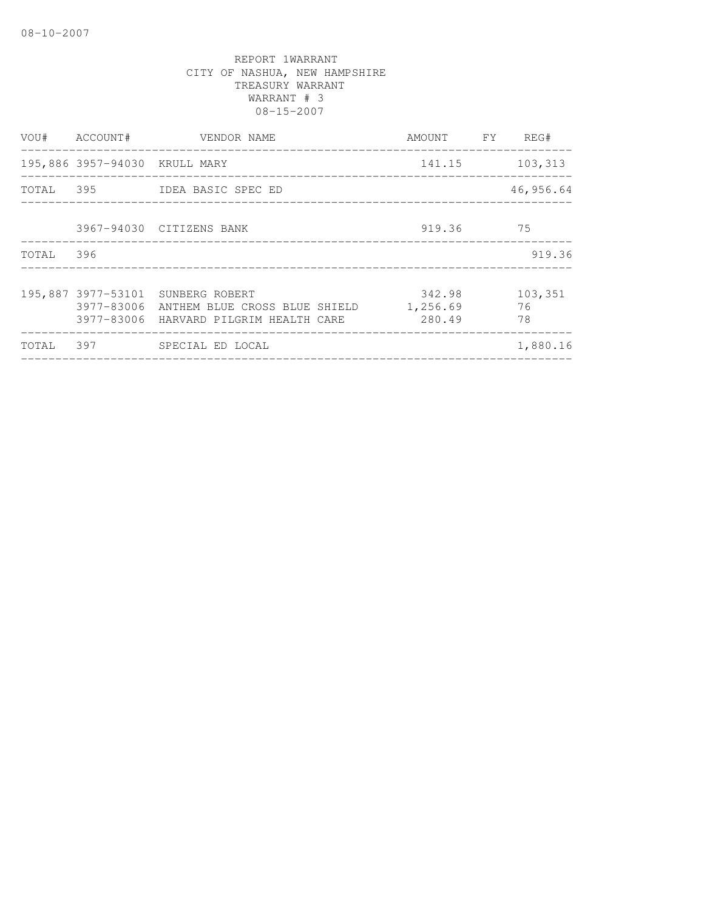|           | VOU# ACCOUNT#                 | VENDOR NAME<br>____________________                                                                                     | AMOUNT FY REG#               |                     |
|-----------|-------------------------------|-------------------------------------------------------------------------------------------------------------------------|------------------------------|---------------------|
|           | 195,886 3957-94030 KRULL MARY | _____________________________                                                                                           | 141.15                       | 103,313             |
|           |                               | TOTAL 395 IDEA BASIC SPEC ED                                                                                            |                              | 46,956.64           |
|           |                               | 3967-94030 CITIZENS BANK                                                                                                | 919.36 75                    |                     |
| TOTAL 396 |                               |                                                                                                                         |                              | 919.36              |
|           |                               | 195,887 3977-53101 SUNBERG ROBERT<br>3977-83006 ANTHEM BLUE CROSS BLUE SHIELD<br>3977-83006 HARVARD PILGRIM HEALTH CARE | 342.98<br>1,256.69<br>280.49 | 103,351<br>76<br>78 |
| TOTAL     |                               |                                                                                                                         |                              | 1,880.16            |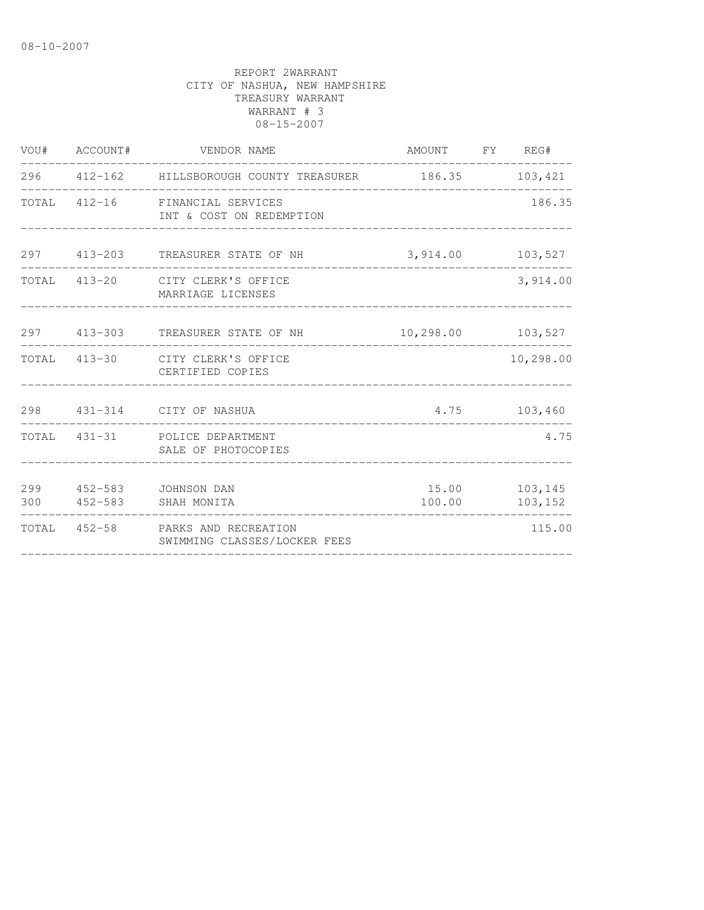| VOU# ACCOUNT# | VENDOR NAME                                                       | AMOUNT FY REG#                       |                          |
|---------------|-------------------------------------------------------------------|--------------------------------------|--------------------------|
|               | 296  412-162  HILLSBOROUGH COUNTY TREASURER  186.35  103,421      | ____________________________________ |                          |
|               | TOTAL 412-16 FINANCIAL SERVICES<br>INT & COST ON REDEMPTION       |                                      | 186.35                   |
|               | 297 413-203 TREASURER STATE OF NH                                 | 3,914.00 103,527                     |                          |
|               | TOTAL 413-20 CITY CLERK'S OFFICE<br>MARRIAGE LICENSES             |                                      | 3,914.00                 |
|               | 297 413-303 TREASURER STATE OF NH                                 | 10,298.00 103,527                    |                          |
|               | TOTAL 413-30 CITY CLERK'S OFFICE<br>CERTIFIED COPIES              |                                      | 10,298.00                |
|               | 298  431-314  CITY OF NASHUA                                      |                                      | 4.75 103,460             |
|               | TOTAL 431-31 POLICE DEPARTMENT<br>SALE OF PHOTOCOPIES             |                                      | 4.75                     |
|               | 299 452-583 JOHNSON DAN<br>300 452-583 SHAH MONITA                | 100.00                               | 15.00 103,145<br>103,152 |
|               | TOTAL 452-58 PARKS AND RECREATION<br>SWIMMING CLASSES/LOCKER FEES |                                      | 115.00                   |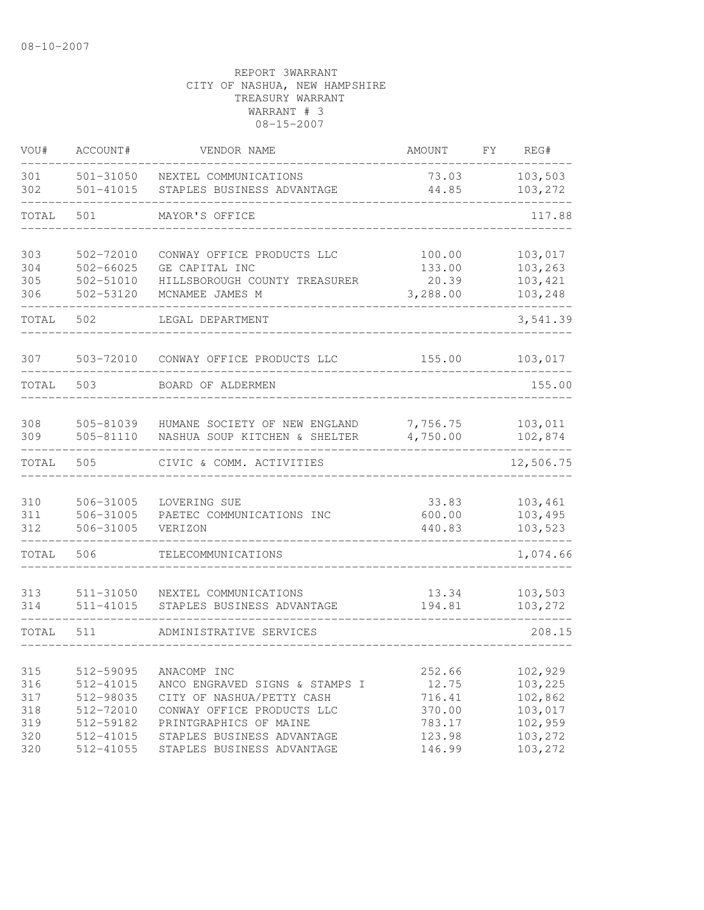| VOU#                            | ACCOUNT#                                                      | VENDOR NAME                                                                                                                        | <b>AMOUNT</b>                                 | FY | REG#                                                |
|---------------------------------|---------------------------------------------------------------|------------------------------------------------------------------------------------------------------------------------------------|-----------------------------------------------|----|-----------------------------------------------------|
| 301<br>302                      | $501 - 31050$<br>$501 - 41015$                                | NEXTEL COMMUNICATIONS<br>STAPLES BUSINESS ADVANTAGE                                                                                | 73.03<br>44.85                                |    | 103,503<br>103,272                                  |
| TOTAL                           | 501                                                           | MAYOR'S OFFICE                                                                                                                     |                                               |    | 117.88                                              |
| 303<br>304<br>305<br>306        | 502-72010<br>$502 - 66025$<br>502-51010<br>502-53120          | CONWAY OFFICE PRODUCTS LLC<br>GE CAPITAL INC<br>HILLSBOROUGH COUNTY TREASURER<br>MCNAMEE JAMES M                                   | 100.00<br>133.00<br>20.39<br>3,288.00         |    | 103,017<br>103,263<br>103,421<br>103,248            |
| TOTAL                           | 502                                                           | LEGAL DEPARTMENT                                                                                                                   |                                               |    | 3,541.39                                            |
| 307                             | 503-72010                                                     | CONWAY OFFICE PRODUCTS LLC                                                                                                         | 155.00                                        |    | 103,017                                             |
| TOTAL                           | 503                                                           | BOARD OF ALDERMEN                                                                                                                  |                                               |    | 155.00                                              |
| 308<br>309                      | 505-81039<br>505-81110                                        | HUMANE SOCIETY OF NEW ENGLAND<br>NASHUA SOUP KITCHEN & SHELTER                                                                     | 7,756.75<br>4,750.00                          |    | 103,011<br>102,874                                  |
| TOTAL                           | 505                                                           | CIVIC & COMM. ACTIVITIES                                                                                                           |                                               |    | 12,506.75                                           |
| 310<br>311<br>312               | 506-31005<br>506-31005<br>506-31005                           | LOVERING SUE<br>PAETEC COMMUNICATIONS INC<br>VERIZON                                                                               | 33.83<br>600.00<br>440.83                     |    | 103,461<br>103,495<br>103,523                       |
| TOTAL                           | 506                                                           | TELECOMMUNICATIONS                                                                                                                 |                                               |    | 1,074.66                                            |
| 313<br>314                      | 511-31050<br>$511 - 41015$                                    | NEXTEL COMMUNICATIONS<br>STAPLES BUSINESS ADVANTAGE                                                                                | 13.34<br>194.81                               |    | 103,503<br>103,272                                  |
| TOTAL                           | 511                                                           | ADMINISTRATIVE SERVICES                                                                                                            |                                               |    | 208.15                                              |
| 315<br>316<br>317<br>318<br>319 | 512-59095<br>512-41015<br>512-98035<br>512-72010<br>512-59182 | ANACOMP INC<br>ANCO ENGRAVED SIGNS & STAMPS I<br>CITY OF NASHUA/PETTY CASH<br>CONWAY OFFICE PRODUCTS LLC<br>PRINTGRAPHICS OF MAINE | 252.66<br>12.75<br>716.41<br>370.00<br>783.17 |    | 102,929<br>103,225<br>102,862<br>103,017<br>102,959 |
| 320<br>320                      | 512-41015<br>512-41055                                        | STAPLES BUSINESS ADVANTAGE<br>STAPLES BUSINESS ADVANTAGE                                                                           | 123.98<br>146.99                              |    | 103,272<br>103,272                                  |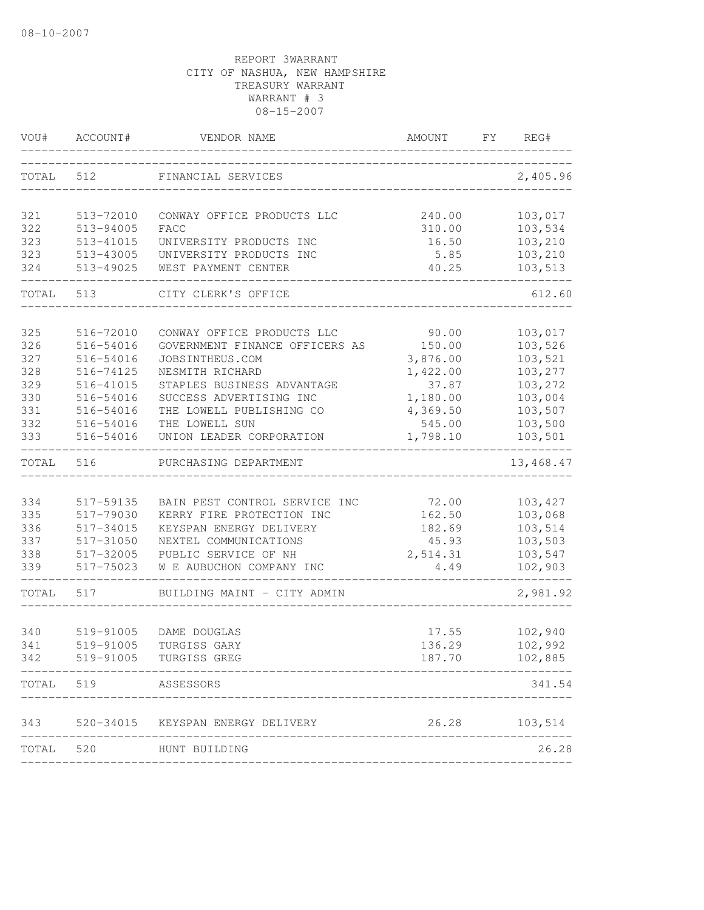| VOU#       | ACCOUNT#               | VENDOR NAME                                                | AMOUNT           | FY | REG#               |
|------------|------------------------|------------------------------------------------------------|------------------|----|--------------------|
| TOTAL      | 512                    | FINANCIAL SERVICES                                         |                  |    | 2,405.96           |
| 321        | 513-72010              | CONWAY OFFICE PRODUCTS LLC                                 | 240.00           |    | 103,017            |
| 322        | 513-94005              | FACC                                                       | 310.00           |    | 103,534            |
| 323        | 513-41015              | UNIVERSITY PRODUCTS INC                                    | 16.50            |    | 103,210            |
| 323        | 513-43005              | UNIVERSITY PRODUCTS INC                                    | 5.85             |    | 103,210            |
| 324        | 513-49025              | WEST PAYMENT CENTER                                        | 40.25            |    | 103,513            |
| TOTAL      | 513                    | CITY CLERK'S OFFICE                                        |                  |    | 612.60             |
| 325        | 516-72010              | CONWAY OFFICE PRODUCTS LLC                                 | 90.00            |    | 103,017            |
| 326        | 516-54016              | GOVERNMENT FINANCE OFFICERS AS                             | 150.00           |    | 103,526            |
| 327        | 516-54016              | JOBSINTHEUS.COM                                            | 3,876.00         |    | 103,521            |
| 328        | 516-74125              | NESMITH RICHARD                                            | 1,422.00         |    | 103,277            |
| 329        | 516-41015              | STAPLES BUSINESS ADVANTAGE                                 | 37.87            |    | 103,272            |
| 330        | 516-54016              | SUCCESS ADVERTISING INC                                    | 1,180.00         |    | 103,004            |
| 331        | 516-54016              | THE LOWELL PUBLISHING CO                                   | 4,369.50         |    | 103,507            |
| 332        | 516-54016              | THE LOWELL SUN                                             | 545.00           |    | 103,500            |
| 333        | 516-54016              | UNION LEADER CORPORATION                                   | 1,798.10         |    | 103,501            |
| TOTAL      | 516                    | PURCHASING DEPARTMENT                                      |                  |    | 13,468.47          |
| 334        |                        |                                                            | 72.00            |    |                    |
| 335        | 517-59135<br>517-79030 | BAIN PEST CONTROL SERVICE INC<br>KERRY FIRE PROTECTION INC | 162.50           |    | 103,427<br>103,068 |
| 336        | 517-34015              | KEYSPAN ENERGY DELIVERY                                    | 182.69           |    | 103,514            |
| 337        | 517-31050              | NEXTEL COMMUNICATIONS                                      | 45.93            |    | 103,503            |
| 338        | 517-32005              | PUBLIC SERVICE OF NH                                       | 2,514.31         |    | 103,547            |
| 339        | 517-75023              | W E AUBUCHON COMPANY INC                                   | 4.49             |    | 102,903            |
| TOTAL      | 517                    | BUILDING MAINT - CITY ADMIN                                |                  |    | 2,981.92           |
|            |                        |                                                            |                  |    |                    |
| 340        | 519-91005              | DAME DOUGLAS                                               | 17.55            |    | 102,940            |
| 341<br>342 | 519-91005              | TURGISS GARY<br>519-91005 TURGISS GREG                     | 136.29<br>187.70 |    | 102,992<br>102,885 |
|            |                        |                                                            |                  |    |                    |
| TOTAL      | 519                    | ASSESSORS                                                  |                  |    | 341.54             |
| 343        |                        | 520-34015 KEYSPAN ENERGY DELIVERY                          |                  |    | 26.28 103,514      |
| TOTAL      |                        | 520 HUNT BUILDING                                          |                  |    | 26.28              |
|            |                        |                                                            |                  |    |                    |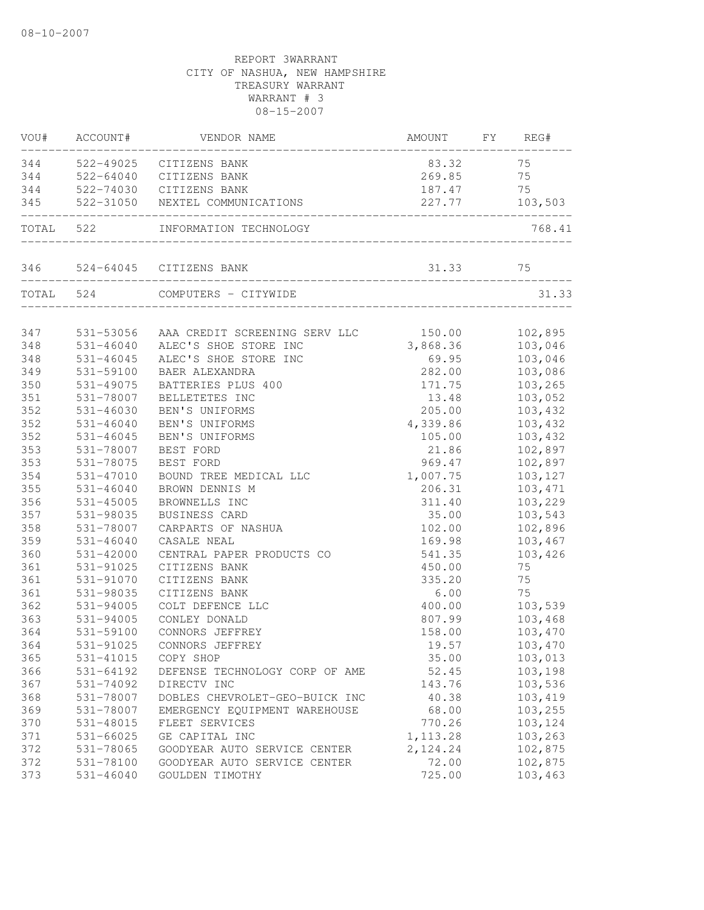|     | VOU# ACCOUNT# | VENDOR NAME                                            | AMOUNT    | FY REG# |
|-----|---------------|--------------------------------------------------------|-----------|---------|
|     |               | 344 522-49025 CITIZENS BANK                            | 83.32 75  |         |
|     |               | 344 522-64040 CITIZENS BANK                            | 269.85    | 75      |
|     |               | 344 522-74030 CITIZENS BANK                            | 187.47    | 75      |
| 345 |               | 522-31050 NEXTEL COMMUNICATIONS<br>______________      | 227.77    | 103,503 |
|     | TOTAL 522     | INFORMATION TECHNOLOGY                                 |           | 768.41  |
|     |               | 346 524-64045 CITIZENS BANK                            |           |         |
|     |               | TOTAL 524 COMPUTERS - CITYWIDE                         |           | 31.33   |
| 347 |               | 531-53056 AAA CREDIT SCREENING SERV LLC 150.00 102,895 |           |         |
| 348 | 531-46040     | ALEC'S SHOE STORE INC                                  | 3,868.36  | 103,046 |
| 348 | $531 - 46045$ | ALEC'S SHOE STORE INC                                  | 69.95     | 103,046 |
| 349 | 531-59100     | BAER ALEXANDRA                                         | 282.00    | 103,086 |
| 350 | 531-49075     | BATTERIES PLUS 400                                     | 171.75    | 103,265 |
| 351 | 531-78007     | BELLETETES INC                                         | 13.48     | 103,052 |
| 352 | $531 - 46030$ | BEN'S UNIFORMS                                         | 205.00    | 103,432 |
| 352 | $531 - 46040$ | BEN'S UNIFORMS                                         | 4,339.86  | 103,432 |
| 352 | $531 - 46045$ | BEN'S UNIFORMS                                         | 105.00    | 103,432 |
| 353 | 531-78007     | BEST FORD                                              | 21.86     | 102,897 |
| 353 | 531-78075     | BEST FORD                                              | 969.47    | 102,897 |
| 354 | 531-47010     | BOUND TREE MEDICAL LLC                                 | 1,007.75  | 103,127 |
| 355 | $531 - 46040$ | BROWN DENNIS M                                         | 206.31    | 103,471 |
| 356 | 531-45005     | BROWNELLS INC                                          | 311.40    | 103,229 |
| 357 | 531-98035     | BUSINESS CARD                                          | 35.00     | 103,543 |
| 358 | 531-78007     | CARPARTS OF NASHUA                                     | 102.00    | 102,896 |
| 359 | $531 - 46040$ | CASALE NEAL                                            | 169.98    | 103,467 |
| 360 | 531-42000     | CENTRAL PAPER PRODUCTS CO                              | 541.35    | 103,426 |
| 361 | 531-91025     | CITIZENS BANK                                          | 450.00    | 75      |
| 361 | 531-91070     | CITIZENS BANK                                          | 335.20    | 75      |
| 361 | 531-98035     | CITIZENS BANK                                          | 6.00      | 75      |
| 362 | 531-94005     | COLT DEFENCE LLC                                       | 400.00    | 103,539 |
| 363 | 531-94005     | CONLEY DONALD                                          | 807.99    | 103,468 |
| 364 | 531-59100     | CONNORS JEFFREY                                        | 158.00    | 103,470 |
| 364 | 531-91025     | CONNORS JEFFREY                                        | 19.57     | 103,470 |
| 365 | 531-41015     | COPY SHOP                                              | 35.00     | 103,013 |
| 366 | 531-64192     | DEFENSE TECHNOLOGY CORP OF AME                         | 52.45     | 103,198 |
| 367 | 531-74092     | DIRECTV INC                                            | 143.76    | 103,536 |
| 368 | 531-78007     | DOBLES CHEVROLET-GEO-BUICK INC                         | 40.38     | 103,419 |
| 369 | 531-78007     | EMERGENCY EQUIPMENT WAREHOUSE                          | 68.00     | 103,255 |
| 370 | 531-48015     | FLEET SERVICES                                         | 770.26    | 103,124 |
| 371 | 531-66025     | GE CAPITAL INC                                         | 1, 113.28 | 103,263 |
| 372 | 531-78065     | GOODYEAR AUTO SERVICE CENTER                           | 2,124.24  | 102,875 |
| 372 | 531-78100     | GOODYEAR AUTO SERVICE CENTER                           | 72.00     | 102,875 |
| 373 | $531 - 46040$ | GOULDEN TIMOTHY                                        | 725.00    | 103,463 |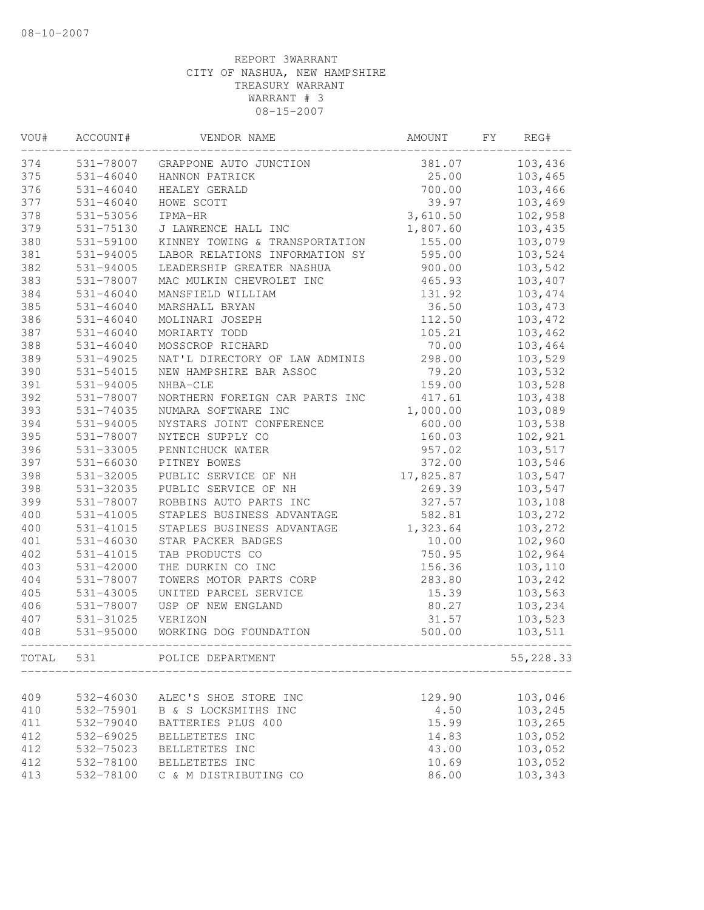| VOU#  | ACCOUNT#      | VENDOR NAME                    | AMOUNT    | FY | REG#      |
|-------|---------------|--------------------------------|-----------|----|-----------|
| 374   | 531-78007     | GRAPPONE AUTO JUNCTION         | 381.07    |    | 103,436   |
| 375   | $531 - 46040$ | HANNON PATRICK                 | 25.00     |    | 103,465   |
| 376   | $531 - 46040$ | HEALEY GERALD                  | 700.00    |    | 103,466   |
| 377   | $531 - 46040$ | HOWE SCOTT                     | 39.97     |    | 103,469   |
| 378   | 531-53056     | IPMA-HR                        | 3,610.50  |    | 102,958   |
| 379   | 531-75130     | J LAWRENCE HALL INC            | 1,807.60  |    | 103,435   |
| 380   | 531-59100     | KINNEY TOWING & TRANSPORTATION | 155.00    |    | 103,079   |
| 381   | 531-94005     | LABOR RELATIONS INFORMATION SY | 595.00    |    | 103,524   |
| 382   | 531-94005     | LEADERSHIP GREATER NASHUA      | 900.00    |    | 103,542   |
| 383   | 531-78007     | MAC MULKIN CHEVROLET INC       | 465.93    |    | 103,407   |
| 384   | $531 - 46040$ | MANSFIELD WILLIAM              | 131.92    |    | 103,474   |
| 385   | $531 - 46040$ | MARSHALL BRYAN                 | 36.50     |    | 103,473   |
| 386   | $531 - 46040$ | MOLINARI JOSEPH                | 112.50    |    | 103,472   |
| 387   | $531 - 46040$ | MORIARTY TODD                  | 105.21    |    | 103,462   |
| 388   | $531 - 46040$ | MOSSCROP RICHARD               | 70.00     |    | 103,464   |
| 389   | 531-49025     | NAT'L DIRECTORY OF LAW ADMINIS | 298.00    |    | 103,529   |
| 390   | 531-54015     | NEW HAMPSHIRE BAR ASSOC        | 79.20     |    | 103,532   |
| 391   | 531-94005     | NHBA-CLE                       | 159.00    |    | 103,528   |
| 392   | 531-78007     | NORTHERN FOREIGN CAR PARTS INC | 417.61    |    | 103,438   |
| 393   | 531-74035     | NUMARA SOFTWARE INC            | 1,000.00  |    | 103,089   |
| 394   | 531-94005     | NYSTARS JOINT CONFERENCE       | 600.00    |    | 103,538   |
| 395   | 531-78007     | NYTECH SUPPLY CO               | 160.03    |    | 102,921   |
| 396   | 531-33005     | PENNICHUCK WATER               | 957.02    |    | 103,517   |
| 397   | 531-66030     | PITNEY BOWES                   | 372.00    |    | 103,546   |
| 398   | 531-32005     | PUBLIC SERVICE OF NH           | 17,825.87 |    | 103,547   |
| 398   | 531-32035     | PUBLIC SERVICE OF NH           | 269.39    |    | 103,547   |
| 399   | 531-78007     | ROBBINS AUTO PARTS INC         | 327.57    |    | 103,108   |
| 400   | 531-41005     | STAPLES BUSINESS ADVANTAGE     | 582.81    |    | 103,272   |
| 400   | $531 - 41015$ | STAPLES BUSINESS ADVANTAGE     | 1,323.64  |    | 103,272   |
| 401   | 531-46030     | STAR PACKER BADGES             | 10.00     |    | 102,960   |
| 402   | 531-41015     | TAB PRODUCTS CO                | 750.95    |    | 102,964   |
| 403   | 531-42000     | THE DURKIN CO INC              | 156.36    |    | 103,110   |
| 404   | 531-78007     | TOWERS MOTOR PARTS CORP        | 283.80    |    | 103,242   |
| 405   | 531-43005     | UNITED PARCEL SERVICE          | 15.39     |    | 103,563   |
| 406   | 531-78007     | USP OF NEW ENGLAND             | 80.27     |    | 103,234   |
| 407   | 531-31025     | VERIZON                        | 31.57     |    | 103,523   |
| 408   | 531-95000     | WORKING DOG FOUNDATION         | 500.00    |    | 103,511   |
| TOTAL | 531           | POLICE DEPARTMENT              |           |    | 55,228.33 |
|       |               |                                |           |    |           |
| 409   | 532-46030     | ALEC'S SHOE STORE INC          | 129.90    |    | 103,046   |
| 410   | 532-75901     | B & S LOCKSMITHS INC           | 4.50      |    | 103,245   |
| 411   | 532-79040     | BATTERIES PLUS 400             | 15.99     |    | 103,265   |
| 412   | 532-69025     | BELLETETES INC                 | 14.83     |    | 103,052   |
| 412   | 532-75023     | BELLETETES INC                 | 43.00     |    | 103,052   |
| 412   | 532-78100     | BELLETETES INC                 | 10.69     |    | 103,052   |
| 413   | 532-78100     | C & M DISTRIBUTING CO          | 86.00     |    | 103,343   |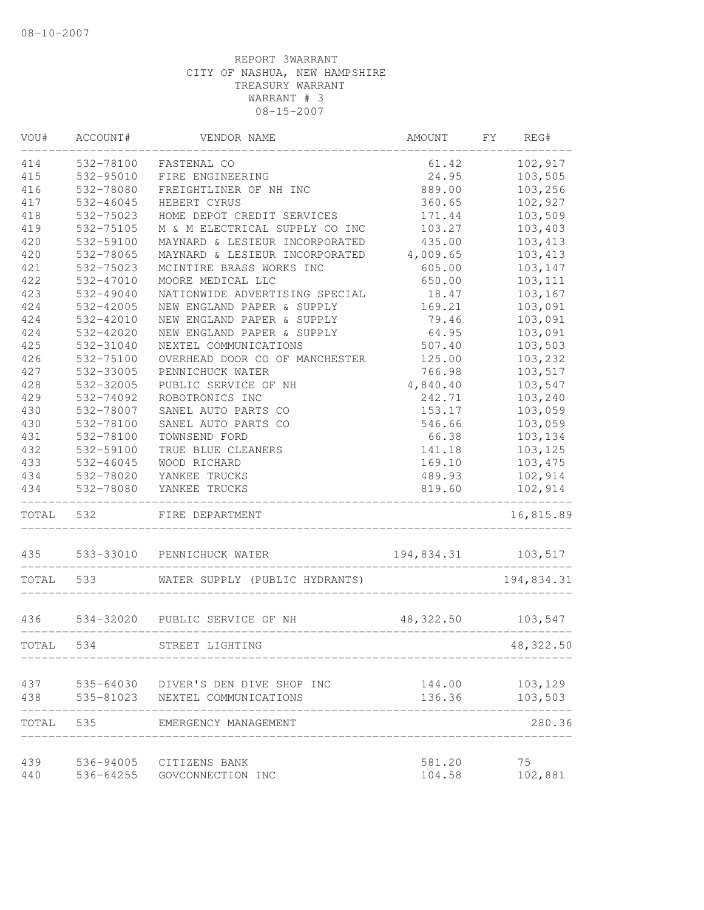| VOU#  | ACCOUNT#  | VENDOR NAME                         | AMOUNT                           | FΥ | REG#       |
|-------|-----------|-------------------------------------|----------------------------------|----|------------|
| 414   | 532-78100 | FASTENAL CO                         | 61.42                            |    | 102,917    |
| 415   | 532-95010 | FIRE ENGINEERING                    | 24.95                            |    | 103,505    |
| 416   | 532-78080 | FREIGHTLINER OF NH INC              | 889.00                           |    | 103,256    |
| 417   | 532-46045 | HEBERT CYRUS                        | 360.65                           |    | 102,927    |
| 418   | 532-75023 | HOME DEPOT CREDIT SERVICES          | 171.44                           |    | 103,509    |
| 419   | 532-75105 | M & M ELECTRICAL SUPPLY CO INC      | 103.27                           |    | 103,403    |
| 420   | 532-59100 | MAYNARD & LESIEUR INCORPORATED      | 435.00                           |    | 103,413    |
| 420   | 532-78065 | MAYNARD & LESIEUR INCORPORATED      | 4,009.65                         |    | 103, 413   |
| 421   | 532-75023 | MCINTIRE BRASS WORKS INC            | 605.00                           |    | 103,147    |
| 422   | 532-47010 | MOORE MEDICAL LLC                   | 650.00                           |    | 103, 111   |
| 423   | 532-49040 | NATIONWIDE ADVERTISING SPECIAL      | 18.47                            |    | 103,167    |
| 424   | 532-42005 | NEW ENGLAND PAPER & SUPPLY          | 169.21                           |    | 103,091    |
| 424   | 532-42010 | NEW ENGLAND PAPER & SUPPLY          | 79.46                            |    | 103,091    |
| 424   | 532-42020 | NEW ENGLAND PAPER & SUPPLY          | 64.95                            |    | 103,091    |
| 425   | 532-31040 | NEXTEL COMMUNICATIONS               | 507.40                           |    | 103,503    |
| 426   | 532-75100 | OVERHEAD DOOR CO OF MANCHESTER      | 125.00                           |    | 103,232    |
| 427   | 532-33005 | PENNICHUCK WATER                    | 766.98                           |    | 103,517    |
| 428   | 532-32005 | PUBLIC SERVICE OF NH                | 4,840.40                         |    | 103,547    |
| 429   | 532-74092 | ROBOTRONICS INC                     | 242.71                           |    | 103,240    |
| 430   | 532-78007 | SANEL AUTO PARTS CO                 | 153.17                           |    | 103,059    |
| 430   | 532-78100 | SANEL AUTO PARTS CO                 | 546.66                           |    | 103,059    |
| 431   | 532-78100 | TOWNSEND FORD                       | 66.38                            |    | 103,134    |
| 432   | 532-59100 | TRUE BLUE CLEANERS                  | 141.18                           |    | 103,125    |
| 433   | 532-46045 | WOOD RICHARD                        | 169.10                           |    | 103,475    |
| 434   | 532-78020 | YANKEE TRUCKS                       | 489.93                           |    | 102,914    |
| 434   | 532-78080 | YANKEE TRUCKS                       | 819.60<br>______________________ |    | 102,914    |
| TOTAL | 532       | FIRE DEPARTMENT                     |                                  |    | 16,815.89  |
| 435   | 533-33010 | PENNICHUCK WATER                    | 194,834.31 103,517               |    |            |
| TOTAL | 533       | WATER SUPPLY (PUBLIC HYDRANTS)      |                                  |    | 194,834.31 |
| 436   |           | 534-32020 PUBLIC SERVICE OF NH      | 48,322.50                        |    | 103,547    |
| TOTAL | 534       | STREET LIGHTING                     |                                  |    | 48,322.50  |
|       |           |                                     |                                  |    |            |
| 437   |           | 535-64030 DIVER'S DEN DIVE SHOP INC | 144.00                           |    | 103,129    |
| 438   | 535-81023 | NEXTEL COMMUNICATIONS               | 136.36                           |    | 103,503    |
| TOTAL | 535       | EMERGENCY MANAGEMENT                |                                  |    | 280.36     |
| 439   |           | 536-94005 CITIZENS BANK             | 581.20                           |    | 75         |
| 440   | 536-64255 | GOVCONNECTION INC                   | 104.58                           |    | 102,881    |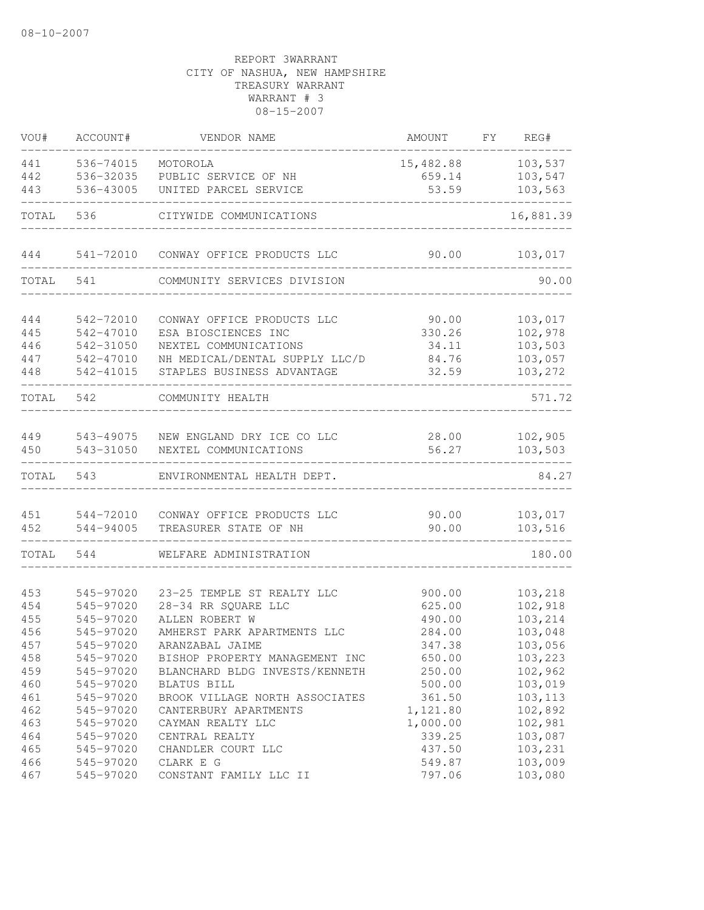| VOU#       | ACCOUNT#               | VENDOR NAME                                                      | AMOUNT           | FY.<br>REG#        |
|------------|------------------------|------------------------------------------------------------------|------------------|--------------------|
| 441        | 536-74015              | MOTOROLA                                                         | 15,482.88        | 103,537            |
| 442        | 536-32035              | PUBLIC SERVICE OF NH                                             | 659.14           | 103,547            |
| 443        | 536-43005              | UNITED PARCEL SERVICE                                            | 53.59            | 103,563            |
| TOTAL      | 536                    | CITYWIDE COMMUNICATIONS                                          |                  | 16,881.39          |
| 444        | 541-72010              | CONWAY OFFICE PRODUCTS LLC                                       | 90.00            | 103,017            |
| TOTAL      | 541                    | COMMUNITY SERVICES DIVISION                                      |                  | 90.00              |
| 444        | 542-72010              | CONWAY OFFICE PRODUCTS LLC                                       | 90.00            | 103,017            |
| 445        | 542-47010              | ESA BIOSCIENCES INC                                              | 330.26           | 102,978            |
| 446        | 542-31050              | NEXTEL COMMUNICATIONS                                            | 34.11            | 103,503            |
| 447        | 542-47010              | NH MEDICAL/DENTAL SUPPLY LLC/D                                   | 84.76            | 103,057            |
| 448        | 542-41015              | STAPLES BUSINESS ADVANTAGE                                       | 32.59            | 103,272            |
| TOTAL      | 542                    | COMMUNITY HEALTH                                                 |                  | 571.72             |
| 449        | 543-49075              | NEW ENGLAND DRY ICE CO LLC                                       | 28.00            | 102,905            |
| 450        | 543-31050              | NEXTEL COMMUNICATIONS                                            | 56.27            | 103,503            |
| TOTAL      | 543                    | ENVIRONMENTAL HEALTH DEPT.                                       |                  | 84.27              |
| 451        |                        | CONWAY OFFICE PRODUCTS LLC                                       | 90.00            | 103,017            |
| 452        | 544-72010<br>544-94005 | TREASURER STATE OF NH                                            | 90.00            | 103,516            |
| TOTAL      | 544                    | WELFARE ADMINISTRATION                                           |                  | 180.00             |
|            |                        |                                                                  |                  |                    |
| 453        | 545-97020              | 23-25 TEMPLE ST REALTY LLC                                       | 900.00           | 103,218            |
| 454        | 545-97020              | 28-34 RR SQUARE LLC                                              | 625.00           | 102,918            |
| 455        | 545-97020              | ALLEN ROBERT W<br>AMHERST PARK APARTMENTS LLC                    | 490.00<br>284.00 | 103,214            |
| 456<br>457 | 545-97020<br>545-97020 | ARANZABAL JAIME                                                  |                  | 103,048            |
|            |                        |                                                                  | 347.38           | 103,056            |
| 458        | 545-97020              | BISHOP PROPERTY MANAGEMENT INC<br>BLANCHARD BLDG INVESTS/KENNETH | 650.00           | 103,223            |
| 459        | 545-97020              |                                                                  | 250.00           | 102,962            |
| 460        | 545-97020              | BLATUS BILL                                                      | 500.00           | 103,019<br>103,113 |
| 461        | 545-97020              | BROOK VILLAGE NORTH ASSOCIATES                                   | 361.50           |                    |
| 462        | 545-97020              | CANTERBURY APARTMENTS                                            | 1,121.80         | 102,892            |
| 463        | 545-97020              | CAYMAN REALTY LLC                                                | 1,000.00         | 102,981            |
| 464        | 545-97020              | CENTRAL REALTY                                                   | 339.25           | 103,087            |
| 465        | 545-97020              | CHANDLER COURT LLC                                               | 437.50           | 103,231            |
| 466        | 545-97020              | CLARK E G                                                        | 549.87           | 103,009            |
| 467        | 545-97020              | CONSTANT FAMILY LLC II                                           | 797.06           | 103,080            |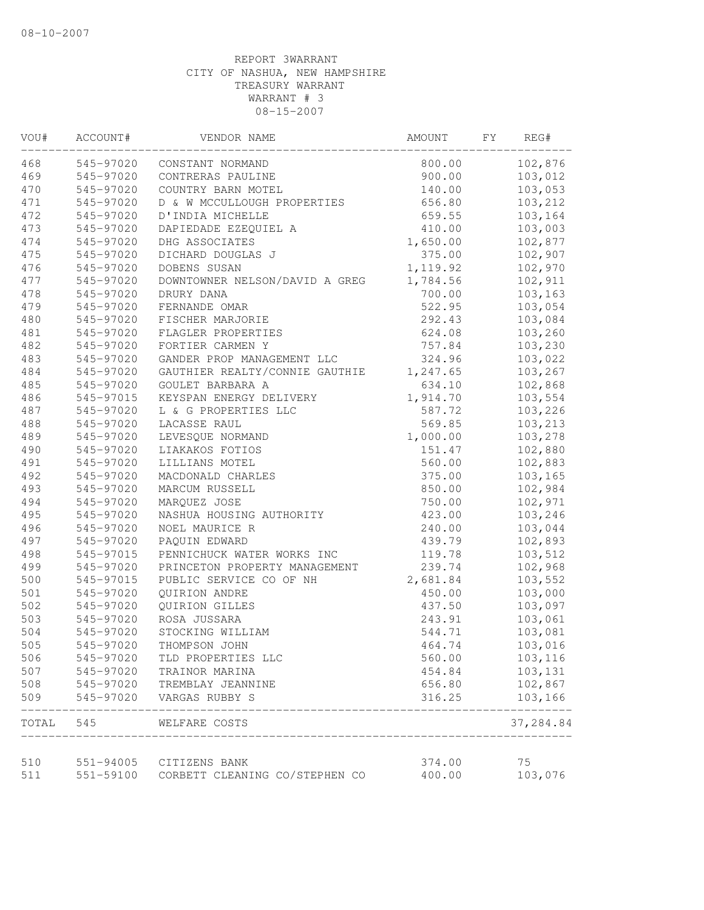| VOU#  | ACCOUNT#  | VENDOR NAME                    | AMOUNT    | FΥ | REG#                     |
|-------|-----------|--------------------------------|-----------|----|--------------------------|
| 468   | 545-97020 | CONSTANT NORMAND               | 800.00    |    | 102,876                  |
| 469   | 545-97020 | CONTRERAS PAULINE              | 900.00    |    | 103,012                  |
| 470   | 545-97020 | COUNTRY BARN MOTEL             | 140.00    |    | 103,053                  |
| 471   | 545-97020 | D & W MCCULLOUGH PROPERTIES    | 656.80    |    | 103,212                  |
| 472   | 545-97020 | D'INDIA MICHELLE               | 659.55    |    | 103,164                  |
| 473   | 545-97020 | DAPIEDADE EZEQUIEL A           | 410.00    |    | 103,003                  |
| 474   | 545-97020 | DHG ASSOCIATES                 | 1,650.00  |    | 102,877                  |
| 475   | 545-97020 | DICHARD DOUGLAS J              | 375.00    |    | 102,907                  |
| 476   | 545-97020 | DOBENS SUSAN                   | 1, 119.92 |    | 102,970                  |
| 477   | 545-97020 | DOWNTOWNER NELSON/DAVID A GREG | 1,784.56  |    | 102,911                  |
| 478   | 545-97020 | DRURY DANA                     | 700.00    |    | 103,163                  |
| 479   | 545-97020 | FERNANDE OMAR                  | 522.95    |    | 103,054                  |
| 480   | 545-97020 | FISCHER MARJORIE               | 292.43    |    | 103,084                  |
| 481   | 545-97020 | FLAGLER PROPERTIES             | 624.08    |    | 103,260                  |
| 482   | 545-97020 | FORTIER CARMEN Y               | 757.84    |    | 103,230                  |
| 483   | 545-97020 | GANDER PROP MANAGEMENT LLC     | 324.96    |    | 103,022                  |
| 484   | 545-97020 | GAUTHIER REALTY/CONNIE GAUTHIE | 1,247.65  |    | 103,267                  |
| 485   | 545-97020 | GOULET BARBARA A               | 634.10    |    | 102,868                  |
| 486   | 545-97015 | KEYSPAN ENERGY DELIVERY        | 1,914.70  |    | 103,554                  |
| 487   | 545-97020 | L & G PROPERTIES LLC           | 587.72    |    | 103,226                  |
| 488   | 545-97020 | LACASSE RAUL                   | 569.85    |    | 103,213                  |
| 489   | 545-97020 | LEVESQUE NORMAND               | 1,000.00  |    | 103,278                  |
| 490   | 545-97020 | LIAKAKOS FOTIOS                | 151.47    |    | 102,880                  |
| 491   | 545-97020 | LILLIANS MOTEL                 | 560.00    |    | 102,883                  |
| 492   | 545-97020 | MACDONALD CHARLES              | 375.00    |    | 103,165                  |
| 493   | 545-97020 | MARCUM RUSSELL                 | 850.00    |    | 102,984                  |
| 494   | 545-97020 | MARQUEZ JOSE                   | 750.00    |    | 102,971                  |
| 495   | 545-97020 | NASHUA HOUSING AUTHORITY       | 423.00    |    | 103,246                  |
| 496   | 545-97020 | NOEL MAURICE R                 | 240.00    |    | 103,044                  |
| 497   | 545-97020 | PAQUIN EDWARD                  | 439.79    |    | 102,893                  |
| 498   | 545-97015 | PENNICHUCK WATER WORKS INC     | 119.78    |    | 103,512                  |
| 499   | 545-97020 | PRINCETON PROPERTY MANAGEMENT  | 239.74    |    | 102,968                  |
| 500   | 545-97015 | PUBLIC SERVICE CO OF NH        | 2,681.84  |    | 103,552                  |
| 501   | 545-97020 | QUIRION ANDRE                  | 450.00    |    | 103,000                  |
| 502   | 545-97020 | QUIRION GILLES                 | 437.50    |    | 103,097                  |
| 503   | 545-97020 | ROSA JUSSARA                   | 243.91    |    | 103,061                  |
| 504   | 545-97020 | STOCKING WILLIAM               | 544.71    |    | 103,081                  |
| 505   | 545-97020 | THOMPSON JOHN                  | 464.74    |    | 103,016                  |
| 506   | 545-97020 | TLD PROPERTIES LLC             | 560.00    |    | 103,116                  |
| 507   | 545-97020 | TRAINOR MARINA                 | 454.84    |    | 103,131                  |
| 508   | 545-97020 | TREMBLAY JEANNINE              | 656.80    |    | 102,867                  |
| 509   | 545-97020 | VARGAS RUBBY S                 | 316.25    |    | 103,166<br>$\frac{1}{2}$ |
| TOTAL | 545       | WELFARE COSTS                  |           |    | 37,284.84                |
| 510   | 551-94005 | CITIZENS BANK                  | 374.00    |    | 75                       |
| 511   | 551-59100 | CORBETT CLEANING CO/STEPHEN CO | 400.00    |    | 103,076                  |
|       |           |                                |           |    |                          |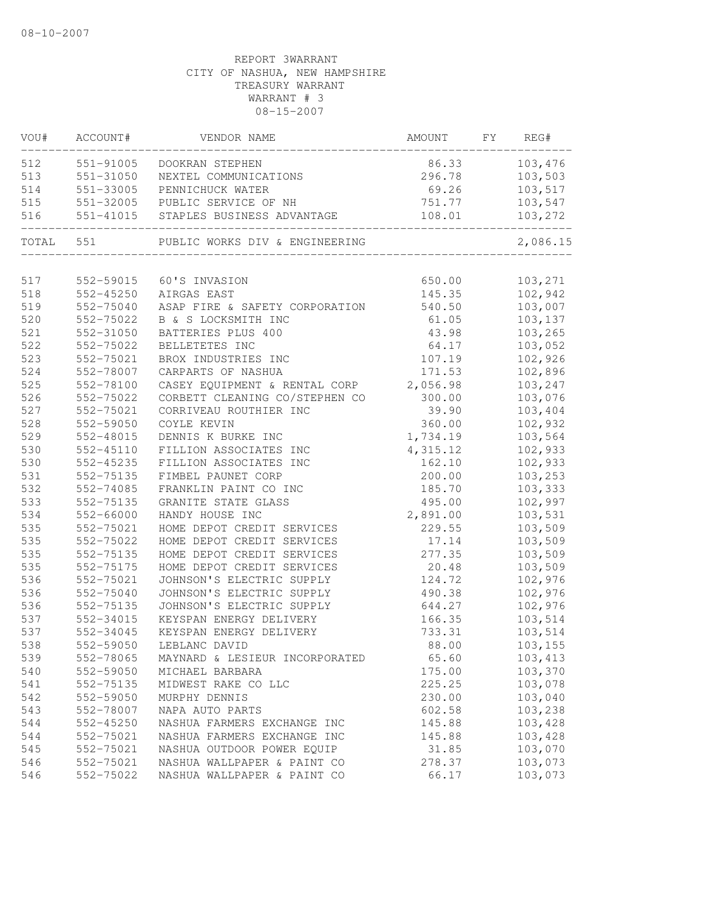| VOU#      | ACCOUNT#  | VENDOR NAME                          | AMOUNT   | FY | REG#     |
|-----------|-----------|--------------------------------------|----------|----|----------|
| 512       | 551-91005 | DOOKRAN STEPHEN                      | 86.33    |    | 103,476  |
| 513       | 551-31050 | NEXTEL COMMUNICATIONS                | 296.78   |    | 103,503  |
| 514       | 551-33005 | PENNICHUCK WATER                     | 69.26    |    | 103,517  |
| 515       | 551-32005 | PUBLIC SERVICE OF NH                 | 751.77   |    | 103,547  |
| 516       |           | 551-41015 STAPLES BUSINESS ADVANTAGE | 108.01   |    | 103,272  |
| TOTAL 551 |           | PUBLIC WORKS DIV & ENGINEERING       |          |    | 2,086.15 |
| 517       | 552-59015 | 60'S INVASION                        | 650.00   |    | 103,271  |
| 518       | 552-45250 | AIRGAS EAST                          | 145.35   |    | 102,942  |
| 519       | 552-75040 | ASAP FIRE & SAFETY CORPORATION       | 540.50   |    | 103,007  |
| 520       | 552-75022 | B & S LOCKSMITH INC                  | 61.05    |    | 103,137  |
| 521       | 552-31050 | BATTERIES PLUS 400                   | 43.98    |    | 103,265  |
| 522       | 552-75022 | BELLETETES INC                       | 64.17    |    | 103,052  |
| 523       | 552-75021 | BROX INDUSTRIES INC                  | 107.19   |    | 102,926  |
| 524       | 552-78007 | CARPARTS OF NASHUA                   | 171.53   |    | 102,896  |
| 525       | 552-78100 | CASEY EQUIPMENT & RENTAL CORP        | 2,056.98 |    | 103,247  |
| 526       | 552-75022 | CORBETT CLEANING CO/STEPHEN CO       | 300.00   |    | 103,076  |
| 527       | 552-75021 | CORRIVEAU ROUTHIER INC               | 39.90    |    | 103,404  |
| 528       | 552-59050 | COYLE KEVIN                          | 360.00   |    | 102,932  |
| 529       | 552-48015 | DENNIS K BURKE INC                   | 1,734.19 |    | 103,564  |
| 530       | 552-45110 | FILLION ASSOCIATES INC               | 4,315.12 |    | 102,933  |
| 530       | 552-45235 | FILLION ASSOCIATES INC               | 162.10   |    | 102,933  |
| 531       | 552-75135 | FIMBEL PAUNET CORP                   | 200.00   |    | 103,253  |
| 532       | 552-74085 | FRANKLIN PAINT CO INC                | 185.70   |    | 103,333  |
| 533       | 552-75135 | GRANITE STATE GLASS                  | 495.00   |    | 102,997  |
| 534       | 552-66000 | HANDY HOUSE INC                      | 2,891.00 |    | 103,531  |
| 535       | 552-75021 | HOME DEPOT CREDIT SERVICES           | 229.55   |    | 103,509  |
| 535       | 552-75022 | HOME DEPOT CREDIT SERVICES           | 17.14    |    | 103,509  |
| 535       | 552-75135 | HOME DEPOT CREDIT SERVICES           | 277.35   |    | 103,509  |
| 535       | 552-75175 | HOME DEPOT CREDIT SERVICES           | 20.48    |    | 103,509  |
| 536       | 552-75021 | JOHNSON'S ELECTRIC SUPPLY            | 124.72   |    | 102,976  |
| 536       | 552-75040 | JOHNSON'S ELECTRIC SUPPLY            | 490.38   |    | 102,976  |
| 536       | 552-75135 | JOHNSON'S ELECTRIC SUPPLY            | 644.27   |    | 102,976  |
| 537       | 552-34015 | KEYSPAN ENERGY DELIVERY              | 166.35   |    | 103,514  |
| 537       | 552-34045 | KEYSPAN ENERGY DELIVERY              | 733.31   |    | 103,514  |
| 538       | 552-59050 | LEBLANC DAVID                        | 88.00    |    | 103,155  |
| 539       | 552-78065 | MAYNARD & LESIEUR INCORPORATED       | 65.60    |    | 103,413  |
| 540       | 552-59050 | MICHAEL BARBARA                      | 175.00   |    | 103,370  |
| 541       | 552-75135 | MIDWEST RAKE CO LLC                  | 225.25   |    | 103,078  |
| 542       | 552-59050 | MURPHY DENNIS                        | 230.00   |    | 103,040  |
| 543       | 552-78007 | NAPA AUTO PARTS                      | 602.58   |    | 103,238  |
| 544       | 552-45250 | NASHUA FARMERS EXCHANGE INC          | 145.88   |    | 103,428  |
| 544       | 552-75021 | NASHUA FARMERS EXCHANGE INC          | 145.88   |    | 103,428  |
| 545       | 552-75021 | NASHUA OUTDOOR POWER EQUIP           | 31.85    |    | 103,070  |
| 546       | 552-75021 | NASHUA WALLPAPER & PAINT CO          | 278.37   |    | 103,073  |
| 546       | 552-75022 | NASHUA WALLPAPER & PAINT CO          | 66.17    |    | 103,073  |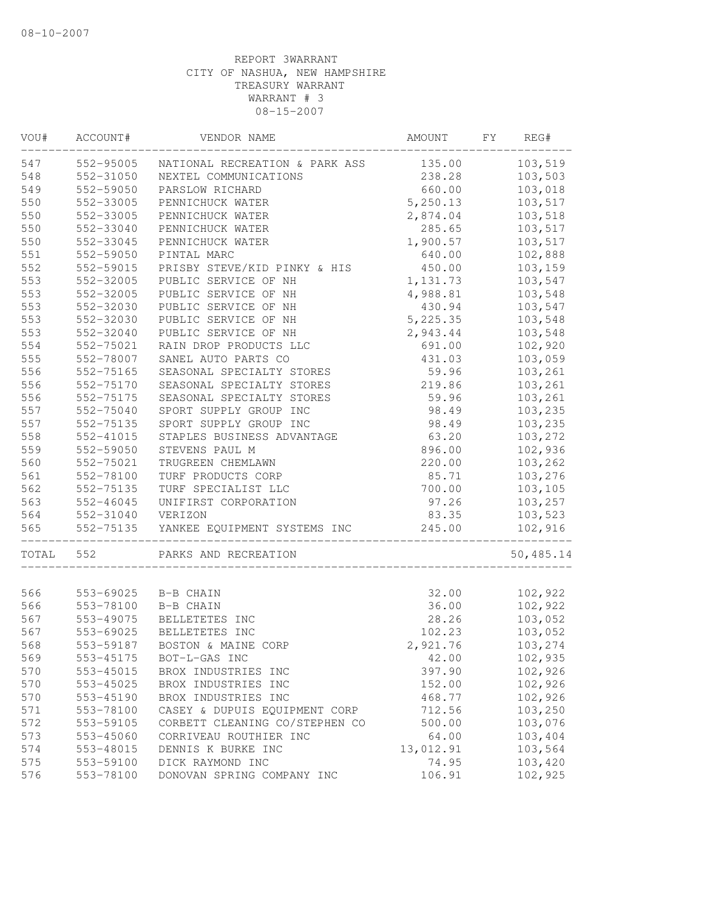| VOU#  | ACCOUNT#      | VENDOR NAME                    | AMOUNT    | FΥ | REG#      |
|-------|---------------|--------------------------------|-----------|----|-----------|
| 547   | 552-95005     | NATIONAL RECREATION & PARK ASS | 135.00    |    | 103,519   |
| 548   | 552-31050     | NEXTEL COMMUNICATIONS          | 238.28    |    | 103,503   |
| 549   | 552-59050     | PARSLOW RICHARD                | 660.00    |    | 103,018   |
| 550   | 552-33005     | PENNICHUCK WATER               | 5,250.13  |    | 103,517   |
| 550   | 552-33005     | PENNICHUCK WATER               | 2,874.04  |    | 103,518   |
| 550   | 552-33040     | PENNICHUCK WATER               | 285.65    |    | 103,517   |
| 550   | 552-33045     | PENNICHUCK WATER               | 1,900.57  |    | 103,517   |
| 551   | 552-59050     | PINTAL MARC                    | 640.00    |    | 102,888   |
| 552   | 552-59015     | PRISBY STEVE/KID PINKY & HIS   | 450.00    |    | 103,159   |
| 553   | 552-32005     | PUBLIC SERVICE OF NH           | 1,131.73  |    | 103,547   |
| 553   | 552-32005     | PUBLIC SERVICE OF NH           | 4,988.81  |    | 103,548   |
| 553   | 552-32030     | PUBLIC SERVICE OF NH           | 430.94    |    | 103,547   |
| 553   | 552-32030     | PUBLIC SERVICE OF NH           | 5,225.35  |    | 103,548   |
| 553   | 552-32040     | PUBLIC SERVICE OF NH           | 2,943.44  |    | 103,548   |
| 554   | 552-75021     | RAIN DROP PRODUCTS LLC         | 691.00    |    | 102,920   |
| 555   | 552-78007     | SANEL AUTO PARTS CO            | 431.03    |    | 103,059   |
| 556   | 552-75165     | SEASONAL SPECIALTY STORES      | 59.96     |    | 103,261   |
| 556   | 552-75170     | SEASONAL SPECIALTY STORES      | 219.86    |    | 103,261   |
| 556   | 552-75175     | SEASONAL SPECIALTY STORES      | 59.96     |    | 103,261   |
| 557   | 552-75040     | SPORT SUPPLY GROUP INC         | 98.49     |    | 103,235   |
| 557   | 552-75135     | SPORT SUPPLY GROUP INC         | 98.49     |    | 103,235   |
| 558   | 552-41015     | STAPLES BUSINESS ADVANTAGE     | 63.20     |    | 103,272   |
| 559   | 552-59050     | STEVENS PAUL M                 | 896.00    |    | 102,936   |
| 560   | 552-75021     | TRUGREEN CHEMLAWN              | 220.00    |    | 103,262   |
| 561   | 552-78100     | TURF PRODUCTS CORP             | 85.71     |    | 103,276   |
| 562   | 552-75135     | TURF SPECIALIST LLC            | 700.00    |    | 103,105   |
| 563   | $552 - 46045$ | UNIFIRST CORPORATION           | 97.26     |    | 103,257   |
| 564   | 552-31040     | VERIZON                        | 83.35     |    | 103,523   |
| 565   | 552-75135     | YANKEE EQUIPMENT SYSTEMS INC   | 245.00    |    | 102,916   |
| TOTAL | 552           | PARKS AND RECREATION           |           |    | 50,485.14 |
|       |               |                                |           |    |           |
| 566   | 553-69025     | B-B CHAIN                      | 32.00     |    | 102,922   |
| 566   | 553-78100     | B-B CHAIN                      | 36.00     |    | 102,922   |
| 567   | 553-49075     | BELLETETES INC                 | 28.26     |    | 103,052   |
| 567   | 553-69025     | BELLETETES INC                 | 102.23    |    | 103,052   |
| 568   | 553-59187     | BOSTON & MAINE CORP            | 2,921.76  |    | 103,274   |
| 569   | 553-45175     | BOT-L-GAS INC                  | 42.00     |    | 102,935   |
| 570   | 553-45015     | BROX INDUSTRIES INC            | 397.90    |    | 102,926   |
| 570   | 553-45025     | BROX INDUSTRIES INC            | 152.00    |    | 102,926   |
| 570   | 553-45190     | BROX INDUSTRIES INC            | 468.77    |    | 102,926   |
| 571   | 553-78100     | CASEY & DUPUIS EQUIPMENT CORP  | 712.56    |    | 103,250   |
| 572   | 553-59105     | CORBETT CLEANING CO/STEPHEN CO | 500.00    |    | 103,076   |
| 573   | 553-45060     | CORRIVEAU ROUTHIER INC         | 64.00     |    | 103,404   |
| 574   | 553-48015     | DENNIS K BURKE INC             | 13,012.91 |    | 103,564   |
| 575   | 553-59100     | DICK RAYMOND INC               | 74.95     |    | 103,420   |
| 576   | 553-78100     | DONOVAN SPRING COMPANY INC     | 106.91    |    | 102,925   |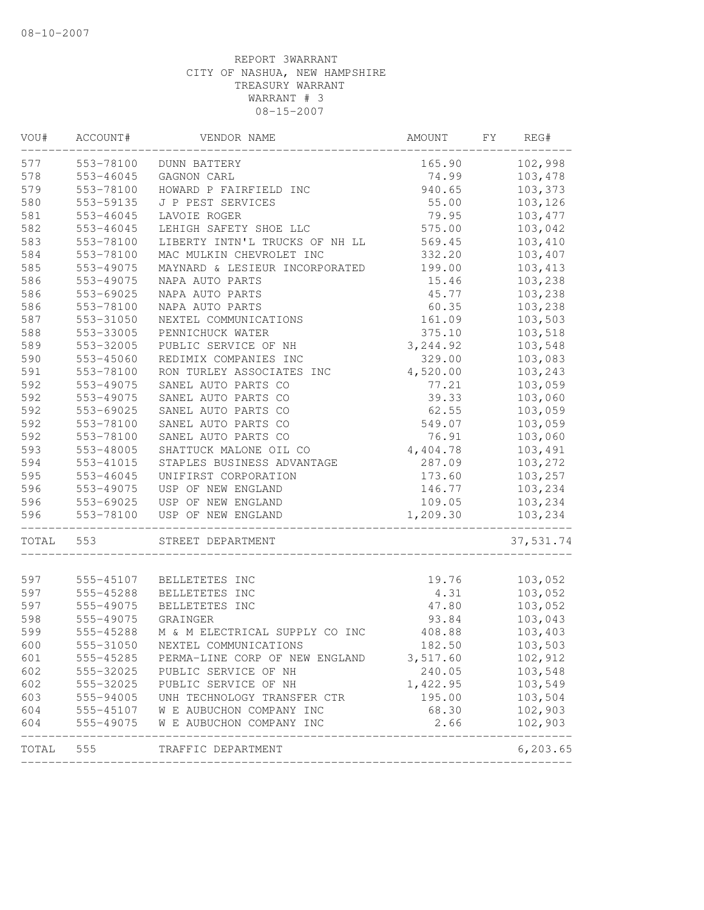| VOU#       | ACCOUNT#               | VENDOR NAME                                  | AMOUNT             | FY | REG#                    |
|------------|------------------------|----------------------------------------------|--------------------|----|-------------------------|
| 577        | 553-78100              | <b>DUNN BATTERY</b>                          | 165.90             |    | 102,998                 |
| 578        | 553-46045              | GAGNON CARL                                  | 74.99              |    | 103,478                 |
| 579        | 553-78100              | HOWARD P FAIRFIELD INC                       | 940.65             |    | 103,373                 |
| 580        | 553-59135              | J P PEST SERVICES                            | 55.00              |    | 103,126                 |
| 581        | 553-46045              | LAVOIE ROGER                                 | 79.95              |    | 103, 477                |
| 582        | 553-46045              | LEHIGH SAFETY SHOE LLC                       | 575.00             |    | 103,042                 |
| 583        | 553-78100              | LIBERTY INTN'L TRUCKS OF NH LL               | 569.45             |    | 103,410                 |
| 584        | 553-78100              | MAC MULKIN CHEVROLET INC                     | 332.20             |    | 103,407                 |
| 585        | 553-49075              | MAYNARD & LESIEUR INCORPORATED               | 199.00             |    | 103,413                 |
| 586        | 553-49075              | NAPA AUTO PARTS                              | 15.46              |    | 103,238                 |
| 586        | 553-69025              | NAPA AUTO PARTS                              | 45.77              |    | 103,238                 |
| 586        | 553-78100              | NAPA AUTO PARTS                              | 60.35              |    | 103,238                 |
| 587        | 553-31050              | NEXTEL COMMUNICATIONS                        | 161.09             |    | 103,503                 |
| 588        | 553-33005              | PENNICHUCK WATER                             | 375.10             |    | 103,518                 |
| 589        | 553-32005              | PUBLIC SERVICE OF NH                         | 3, 244.92          |    | 103,548                 |
| 590        | 553-45060              | REDIMIX COMPANIES INC                        | 329.00             |    | 103,083                 |
| 591        | 553-78100              | RON TURLEY ASSOCIATES INC                    | 4,520.00           |    | 103,243                 |
| 592        | 553-49075              | SANEL AUTO PARTS CO                          | 77.21              |    | 103,059                 |
| 592        | 553-49075              | SANEL AUTO PARTS CO                          | 39.33              |    | 103,060                 |
| 592        | 553-69025              | SANEL AUTO PARTS CO                          | 62.55              |    | 103,059                 |
| 592        | 553-78100              | SANEL AUTO PARTS CO                          | 549.07             |    | 103,059                 |
| 592        | 553-78100              | SANEL AUTO PARTS CO                          | 76.91              |    | 103,060                 |
| 593        | 553-48005              | SHATTUCK MALONE OIL CO                       | 4,404.78           |    | 103,491                 |
| 594        | 553-41015              | STAPLES BUSINESS ADVANTAGE                   | 287.09             |    | 103,272                 |
| 595        | 553-46045              | UNIFIRST CORPORATION                         | 173.60             |    | 103,257                 |
| 596        | 553-49075              | USP OF NEW ENGLAND                           | 146.77             |    | 103,234                 |
| 596        | 553-69025              | USP OF NEW ENGLAND                           | 109.05             |    | 103,234                 |
| 596        | 553-78100              | USP OF NEW ENGLAND                           | 1,209.30           |    | 103,234                 |
| TOTAL      | 553                    | STREET DEPARTMENT                            |                    |    | 37,531.74               |
| 597        |                        | BELLETETES INC                               |                    |    | 103,052                 |
| 597        | 555-45107<br>555-45288 | BELLETETES INC                               | 19.76              |    | 103,052                 |
| 597        |                        |                                              | 4.31<br>47.80      |    | 103,052                 |
| 598        | 555-49075<br>555-49075 | BELLETETES INC<br>GRAINGER                   | 93.84              |    | 103,043                 |
| 599        | 555-45288              | M & M ELECTRICAL SUPPLY CO INC               | 408.88             |    | 103,403                 |
| 600        | 555-31050              |                                              | 182.50             |    | 103,503                 |
|            |                        | NEXTEL COMMUNICATIONS                        |                    |    |                         |
| 601<br>602 | 555-45285<br>555-32025 | PERMA-LINE CORP OF NEW ENGLAND               | 3,517.60<br>240.05 |    | 102,912                 |
| 602        | 555-32025              | PUBLIC SERVICE OF NH<br>PUBLIC SERVICE OF NH | 1,422.95           |    | 103,548<br>103,549      |
|            | 555-94005              | UNH TECHNOLOGY TRANSFER CTR                  |                    |    | 103,504                 |
| 603<br>604 |                        |                                              | 195.00<br>68.30    |    | 102,903                 |
|            |                        | 555-45107 W E AUBUCHON COMPANY INC           |                    |    |                         |
| 604        | 555-49075              | W E AUBUCHON COMPANY INC                     | 2.66               |    | 102,903<br>------------ |
| TOTAL      | 555                    | TRAFFIC DEPARTMENT                           |                    |    | 6, 203.65               |
|            |                        |                                              |                    |    |                         |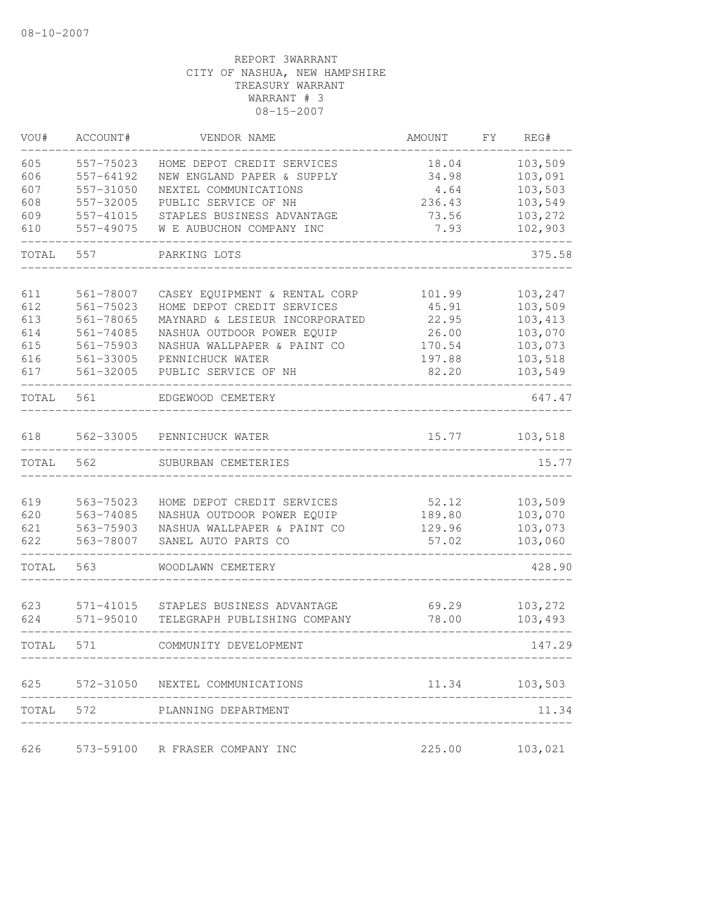| VOU#       | ACCOUNT#               | VENDOR NAME                                                  | AMOUNT         | FY. | REG#               |
|------------|------------------------|--------------------------------------------------------------|----------------|-----|--------------------|
| 605        | 557-75023              | HOME DEPOT CREDIT SERVICES                                   | 18.04          |     | 103,509            |
| 606        | 557-64192              | NEW ENGLAND PAPER & SUPPLY                                   | 34.98          |     | 103,091            |
| 607        | 557-31050              | NEXTEL COMMUNICATIONS                                        | 4.64           |     | 103,503            |
| 608        | 557-32005              | PUBLIC SERVICE OF NH                                         | 236.43         |     | 103,549            |
| 609        | 557-41015              | STAPLES BUSINESS ADVANTAGE                                   | 73.56          |     | 103,272            |
| 610        | 557-49075              | W E AUBUCHON COMPANY INC                                     | 7.93           |     | 102,903            |
| TOTAL      | 557                    | PARKING LOTS                                                 |                |     | 375.58             |
|            |                        |                                                              |                |     |                    |
| 611        | 561-78007              | CASEY EQUIPMENT & RENTAL CORP                                | 101.99         |     | 103,247<br>103,509 |
| 612<br>613 | 561-75023<br>561-78065 | HOME DEPOT CREDIT SERVICES<br>MAYNARD & LESIEUR INCORPORATED | 45.91<br>22.95 |     | 103,413            |
| 614        | 561-74085              | NASHUA OUTDOOR POWER EQUIP                                   | 26.00          |     | 103,070            |
| 615        | 561-75903              | NASHUA WALLPAPER & PAINT CO                                  | 170.54         |     | 103,073            |
| 616        | 561-33005              | PENNICHUCK WATER                                             | 197.88         |     | 103,518            |
| 617        | 561-32005              | PUBLIC SERVICE OF NH                                         | 82.20          |     | 103,549            |
| TOTAL      | 561                    | EDGEWOOD CEMETERY                                            |                |     | 647.47             |
|            |                        |                                                              |                |     |                    |
| 618        | 562-33005              | PENNICHUCK WATER                                             | 15.77          |     | 103,518            |
| TOTAL      | 562                    | SUBURBAN CEMETERIES                                          |                |     | 15.77              |
|            |                        |                                                              |                |     |                    |
| 619        | 563-75023              | HOME DEPOT CREDIT SERVICES                                   | 52.12          |     | 103,509            |
| 620        | 563-74085              | NASHUA OUTDOOR POWER EQUIP                                   | 189.80         |     | 103,070            |
| 621        | 563-75903              | NASHUA WALLPAPER & PAINT CO                                  | 129.96         |     | 103,073            |
| 622        | 563-78007              | SANEL AUTO PARTS CO                                          | 57.02          |     | 103,060            |
| TOTAL      | 563                    | WOODLAWN CEMETERY                                            |                |     | 428.90             |
| 623        | 571-41015              | STAPLES BUSINESS ADVANTAGE                                   | 69.29          |     | 103,272            |
| 624        | 571-95010              | TELEGRAPH PUBLISHING COMPANY                                 | 78.00          |     | 103,493            |
| TOTAL      | 571                    | COMMUNITY DEVELOPMENT                                        |                |     | 147.29             |
|            |                        |                                                              |                |     |                    |
|            |                        | 625 572-31050 NEXTEL COMMUNICATIONS                          | 11.34          |     | 103,503            |
|            |                        | TOTAL 572 PLANNING DEPARTMENT                                |                |     | 11.34              |
| 626        |                        | 573-59100 R FRASER COMPANY INC                               | 225.00         |     | 103,021            |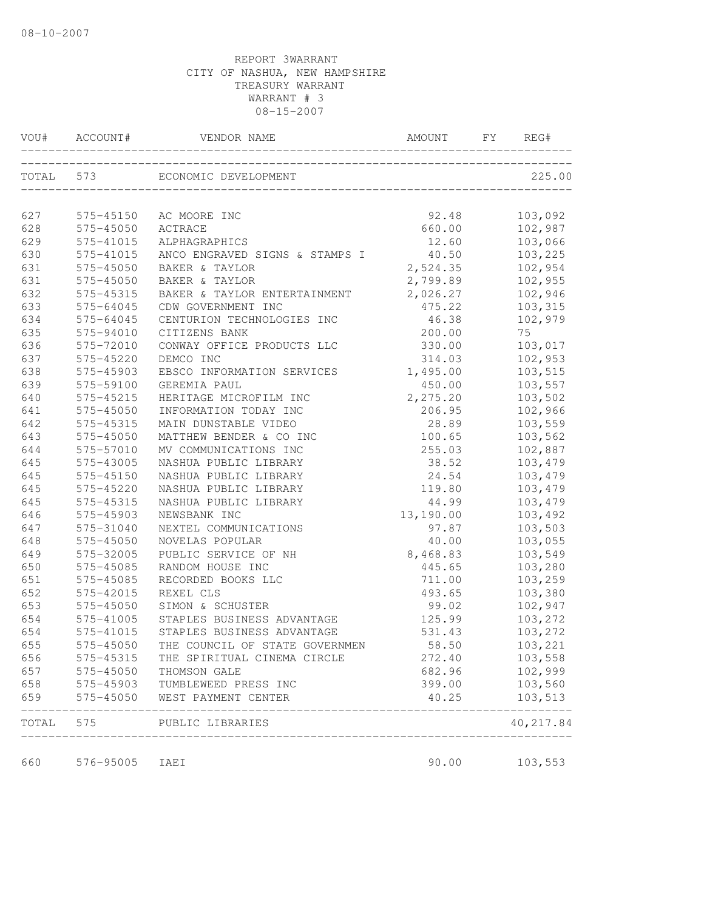| VOU#  |           |                                |           | REG#      |
|-------|-----------|--------------------------------|-----------|-----------|
|       |           | TOTAL 573 ECONOMIC DEVELOPMENT |           | 225.00    |
| 627   | 575-45150 | AC MOORE INC                   | 92.48     | 103,092   |
| 628   | 575-45050 | ACTRACE                        | 660.00    | 102,987   |
| 629   | 575-41015 | ALPHAGRAPHICS                  | 12.60     | 103,066   |
| 630   | 575-41015 | ANCO ENGRAVED SIGNS & STAMPS I | 40.50     | 103,225   |
| 631   | 575-45050 | BAKER & TAYLOR                 | 2,524.35  | 102,954   |
| 631   | 575-45050 | BAKER & TAYLOR                 | 2,799.89  | 102,955   |
| 632   | 575-45315 | BAKER & TAYLOR ENTERTAINMENT   | 2,026.27  | 102,946   |
| 633   | 575-64045 | CDW GOVERNMENT INC             | 475.22    | 103,315   |
| 634   | 575-64045 | CENTURION TECHNOLOGIES INC     | 46.38     | 102,979   |
| 635   | 575-94010 | CITIZENS BANK                  | 200.00    | 75        |
| 636   | 575-72010 | CONWAY OFFICE PRODUCTS LLC     | 330.00    | 103,017   |
| 637   | 575-45220 | DEMCO INC                      | 314.03    | 102,953   |
| 638   | 575-45903 | EBSCO INFORMATION SERVICES     | 1,495.00  | 103,515   |
| 639   | 575-59100 | GEREMIA PAUL                   | 450.00    | 103,557   |
| 640   | 575-45215 | HERITAGE MICROFILM INC         | 2,275.20  | 103,502   |
| 641   | 575-45050 | INFORMATION TODAY INC          | 206.95    | 102,966   |
| 642   | 575-45315 | MAIN DUNSTABLE VIDEO           | 28.89     | 103,559   |
| 643   | 575-45050 | MATTHEW BENDER & CO INC        | 100.65    | 103,562   |
| 644   | 575-57010 | MV COMMUNICATIONS INC          | 255.03    | 102,887   |
| 645   | 575-43005 | NASHUA PUBLIC LIBRARY          | 38.52     | 103,479   |
| 645   | 575-45150 | NASHUA PUBLIC LIBRARY          | 24.54     | 103,479   |
| 645   | 575-45220 | NASHUA PUBLIC LIBRARY          | 119.80    | 103,479   |
| 645   | 575-45315 | NASHUA PUBLIC LIBRARY          | 44.99     | 103,479   |
| 646   | 575-45903 | NEWSBANK INC                   | 13,190.00 | 103,492   |
| 647   | 575-31040 | NEXTEL COMMUNICATIONS          | 97.87     | 103,503   |
| 648   | 575-45050 | NOVELAS POPULAR                | 40.00     | 103,055   |
| 649   | 575-32005 | PUBLIC SERVICE OF NH           | 8,468.83  | 103,549   |
| 650   | 575-45085 | RANDOM HOUSE INC               | 445.65    | 103,280   |
| 651   | 575-45085 | RECORDED BOOKS LLC             | 711.00    | 103,259   |
| 652   | 575-42015 | REXEL CLS                      | 493.65    | 103,380   |
| 653   | 575-45050 | SIMON & SCHUSTER               | 99.02     | 102,947   |
| 654   | 575-41005 | STAPLES BUSINESS ADVANTAGE     | 125.99    | 103,272   |
| 654   | 575-41015 | STAPLES BUSINESS ADVANTAGE     | 531.43    | 103,272   |
| 655   | 575-45050 | THE COUNCIL OF STATE GOVERNMEN | 58.50     | 103,221   |
| 656   | 575-45315 | THE SPIRITUAL CINEMA CIRCLE    | 272.40    | 103,558   |
| 657   | 575-45050 | THOMSON GALE                   | 682.96    | 102,999   |
| 658   | 575-45903 | TUMBLEWEED PRESS INC           | 399.00    | 103,560   |
| 659   | 575-45050 | WEST PAYMENT CENTER            | 40.25     | 103,513   |
| TOTAL | 575       | PUBLIC LIBRARIES               |           | 40,217.84 |
| 660   | 576-95005 | IAEI                           | 90.00     | 103,553   |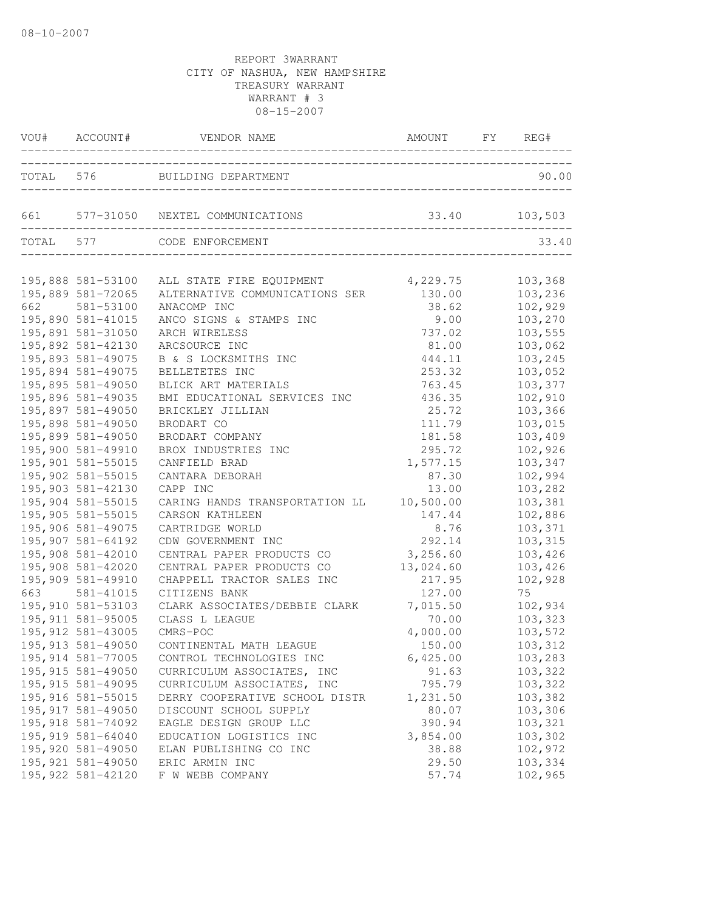|           | VOU# ACCOUNT#      | VENDOR NAME                                            | AMOUNT FY REG# |         |
|-----------|--------------------|--------------------------------------------------------|----------------|---------|
|           |                    | TOTAL 576 BUILDING DEPARTMENT                          |                | 90.00   |
| 661       |                    | 577-31050 NEXTEL COMMUNICATIONS                        | 33.40          | 103,503 |
| TOTAL 577 |                    | CODE ENFORCEMENT<br>__________________________________ |                | 33.40   |
|           | 195,888 581-53100  | ALL STATE FIRE EQUIPMENT                               | 4,229.75       | 103,368 |
|           | 195,889 581-72065  | ALTERNATIVE COMMUNICATIONS SER                         | 130.00         | 103,236 |
| 662       | 581-53100          | ANACOMP INC                                            | 38.62          | 102,929 |
|           | 195,890 581-41015  | ANCO SIGNS & STAMPS INC                                | 9.00           | 103,270 |
|           | 195,891 581-31050  | ARCH WIRELESS                                          | 737.02         | 103,555 |
|           | 195,892 581-42130  | ARCSOURCE INC                                          | 81.00          | 103,062 |
|           | 195,893 581-49075  | B & S LOCKSMITHS INC                                   | 444.11         | 103,245 |
|           | 195,894 581-49075  | BELLETETES INC                                         | 253.32         | 103,052 |
|           | 195,895 581-49050  | BLICK ART MATERIALS                                    | 763.45         | 103,377 |
|           | 195,896 581-49035  | BMI EDUCATIONAL SERVICES INC                           | 436.35         | 102,910 |
|           | 195,897 581-49050  | BRICKLEY JILLIAN                                       | 25.72          | 103,366 |
|           | 195,898 581-49050  | BRODART CO                                             | 111.79         | 103,015 |
|           | 195,899 581-49050  | BRODART COMPANY                                        | 181.58         | 103,409 |
|           | 195,900 581-49910  | BROX INDUSTRIES INC                                    | 295.72         | 102,926 |
|           | 195,901 581-55015  | CANFIELD BRAD                                          | 1,577.15       | 103,347 |
|           | 195,902 581-55015  | CANTARA DEBORAH                                        | 87.30          | 102,994 |
|           | 195,903 581-42130  | CAPP INC                                               | 13.00          | 103,282 |
|           | 195,904 581-55015  | CARING HANDS TRANSPORTATION LL                         | 10,500.00      | 103,381 |
|           | 195,905 581-55015  | CARSON KATHLEEN                                        | 147.44         | 102,886 |
|           | 195,906 581-49075  | CARTRIDGE WORLD                                        | 8.76           | 103,371 |
|           | 195,907 581-64192  | CDW GOVERNMENT INC                                     | 292.14         | 103,315 |
|           | 195,908 581-42010  | CENTRAL PAPER PRODUCTS CO                              | 3,256.60       | 103,426 |
|           | 195,908 581-42020  | CENTRAL PAPER PRODUCTS CO                              | 13,024.60      | 103,426 |
|           | 195,909 581-49910  | CHAPPELL TRACTOR SALES INC                             | 217.95         | 102,928 |
| 663       | 581-41015          | CITIZENS BANK                                          | 127.00         | 75      |
|           | 195,910 581-53103  | CLARK ASSOCIATES/DEBBIE CLARK                          | 7,015.50       | 102,934 |
|           | 195, 911 581-95005 | CLASS L LEAGUE                                         | 70.00          | 103,323 |
|           | 195, 912 581-43005 | CMRS-POC                                               | 4,000.00       | 103,572 |
|           | 195, 913 581-49050 | CONTINENTAL MATH LEAGUE                                | 150.00         | 103,312 |
|           | 195, 914 581-77005 | CONTROL TECHNOLOGIES INC                               | 6,425.00       | 103,283 |
|           | 195, 915 581-49050 | CURRICULUM ASSOCIATES, INC                             | 91.63          | 103,322 |
|           | 195, 915 581-49095 | CURRICULUM ASSOCIATES, INC                             | 795.79         | 103,322 |
|           | 195, 916 581-55015 | DERRY COOPERATIVE SCHOOL DISTR                         | 1,231.50       | 103,382 |
|           | 195, 917 581-49050 | DISCOUNT SCHOOL SUPPLY                                 | 80.07          | 103,306 |
|           | 195, 918 581-74092 | EAGLE DESIGN GROUP LLC                                 | 390.94         | 103,321 |
|           | 195, 919 581-64040 | EDUCATION LOGISTICS INC                                | 3,854.00       | 103,302 |
|           | 195,920 581-49050  | ELAN PUBLISHING CO INC                                 | 38.88          | 102,972 |
|           | 195, 921 581-49050 | ERIC ARMIN INC                                         | 29.50          | 103,334 |
|           | 195, 922 581-42120 | F W WEBB COMPANY                                       | 57.74          | 102,965 |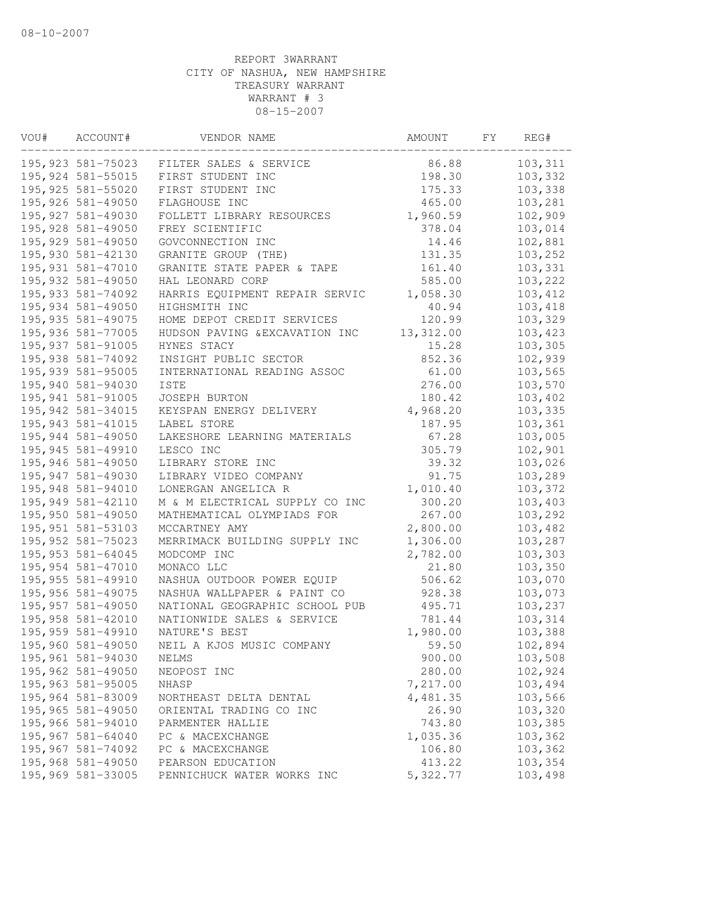| VOU# | ACCOUNT#           | VENDOR NAME                    | AMOUNT    | FΥ | REG#    |
|------|--------------------|--------------------------------|-----------|----|---------|
|      | 195,923 581-75023  | FILTER SALES & SERVICE         | 86.88     |    | 103,311 |
|      | 195, 924 581-55015 | FIRST STUDENT INC              | 198.30    |    | 103,332 |
|      | 195, 925 581-55020 | FIRST STUDENT INC              | 175.33    |    | 103,338 |
|      | 195,926 581-49050  | FLAGHOUSE INC                  | 465.00    |    | 103,281 |
|      | 195, 927 581-49030 | FOLLETT LIBRARY RESOURCES      | 1,960.59  |    | 102,909 |
|      | 195, 928 581-49050 | FREY SCIENTIFIC                | 378.04    |    | 103,014 |
|      | 195, 929 581-49050 | GOVCONNECTION INC              | 14.46     |    | 102,881 |
|      | 195,930 581-42130  | GRANITE GROUP (THE)            | 131.35    |    | 103,252 |
|      | 195,931 581-47010  | GRANITE STATE PAPER & TAPE     | 161.40    |    | 103,331 |
|      | 195,932 581-49050  | HAL LEONARD CORP               | 585.00    |    | 103,222 |
|      | 195, 933 581-74092 | HARRIS EQUIPMENT REPAIR SERVIC | 1,058.30  |    | 103,412 |
|      | 195,934 581-49050  | HIGHSMITH INC                  | 40.94     |    | 103,418 |
|      | 195, 935 581-49075 | HOME DEPOT CREDIT SERVICES     | 120.99    |    | 103,329 |
|      | 195,936 581-77005  | HUDSON PAVING & EXCAVATION INC | 13,312.00 |    | 103,423 |
|      | 195, 937 581-91005 | HYNES STACY                    | 15.28     |    | 103,305 |
|      | 195,938 581-74092  | INSIGHT PUBLIC SECTOR          | 852.36    |    | 102,939 |
|      | 195,939 581-95005  | INTERNATIONAL READING ASSOC    | 61.00     |    | 103,565 |
|      | 195,940 581-94030  | ISTE                           | 276.00    |    | 103,570 |
|      | 195, 941 581-91005 | <b>JOSEPH BURTON</b>           | 180.42    |    | 103,402 |
|      | 195, 942 581-34015 | KEYSPAN ENERGY DELIVERY        | 4,968.20  |    | 103,335 |
|      | 195, 943 581-41015 | LABEL STORE                    | 187.95    |    | 103,361 |
|      | 195,944 581-49050  | LAKESHORE LEARNING MATERIALS   | 67.28     |    | 103,005 |
|      | 195, 945 581-49910 | LESCO INC                      | 305.79    |    | 102,901 |
|      | 195,946 581-49050  | LIBRARY STORE INC              | 39.32     |    | 103,026 |
|      | 195,947 581-49030  | LIBRARY VIDEO COMPANY          | 91.75     |    | 103,289 |
|      | 195,948 581-94010  | LONERGAN ANGELICA R            | 1,010.40  |    | 103,372 |
|      | 195,949 581-42110  | M & M ELECTRICAL SUPPLY CO INC | 300.20    |    | 103,403 |
|      | 195,950 581-49050  | MATHEMATICAL OLYMPIADS FOR     | 267.00    |    | 103,292 |
|      | 195, 951 581-53103 | MCCARTNEY AMY                  | 2,800.00  |    | 103,482 |
|      | 195, 952 581-75023 | MERRIMACK BUILDING SUPPLY INC  | 1,306.00  |    | 103,287 |
|      | 195, 953 581-64045 | MODCOMP INC                    | 2,782.00  |    | 103,303 |
|      | 195, 954 581-47010 | MONACO LLC                     | 21.80     |    | 103,350 |
|      | 195,955 581-49910  | NASHUA OUTDOOR POWER EQUIP     | 506.62    |    | 103,070 |
|      | 195,956 581-49075  | NASHUA WALLPAPER & PAINT CO    | 928.38    |    | 103,073 |
|      | 195,957 581-49050  | NATIONAL GEOGRAPHIC SCHOOL PUB | 495.71    |    | 103,237 |
|      | 195,958 581-42010  | NATIONWIDE SALES & SERVICE     | 781.44    |    | 103,314 |
|      | 195,959 581-49910  | NATURE'S BEST                  | 1,980.00  |    | 103,388 |
|      | 195,960 581-49050  | NEIL A KJOS MUSIC COMPANY      | 59.50     |    | 102,894 |
|      | 195,961 581-94030  | NELMS                          | 900.00    |    | 103,508 |
|      | 195,962 581-49050  | NEOPOST INC                    | 280.00    |    | 102,924 |
|      | 195, 963 581-95005 | NHASP                          | 7,217.00  |    | 103,494 |
|      | 195,964 581-83009  | NORTHEAST DELTA DENTAL         | 4,481.35  |    | 103,566 |
|      | 195,965 581-49050  | ORIENTAL TRADING CO INC        | 26.90     |    | 103,320 |
|      | 195,966 581-94010  | PARMENTER HALLIE               | 743.80    |    | 103,385 |
|      | 195,967 581-64040  | PC & MACEXCHANGE               | 1,035.36  |    | 103,362 |
|      | 195,967 581-74092  | PC & MACEXCHANGE               | 106.80    |    | 103,362 |
|      | 195,968 581-49050  | PEARSON EDUCATION              | 413.22    |    | 103,354 |
|      | 195,969 581-33005  | PENNICHUCK WATER WORKS INC     | 5,322.77  |    | 103,498 |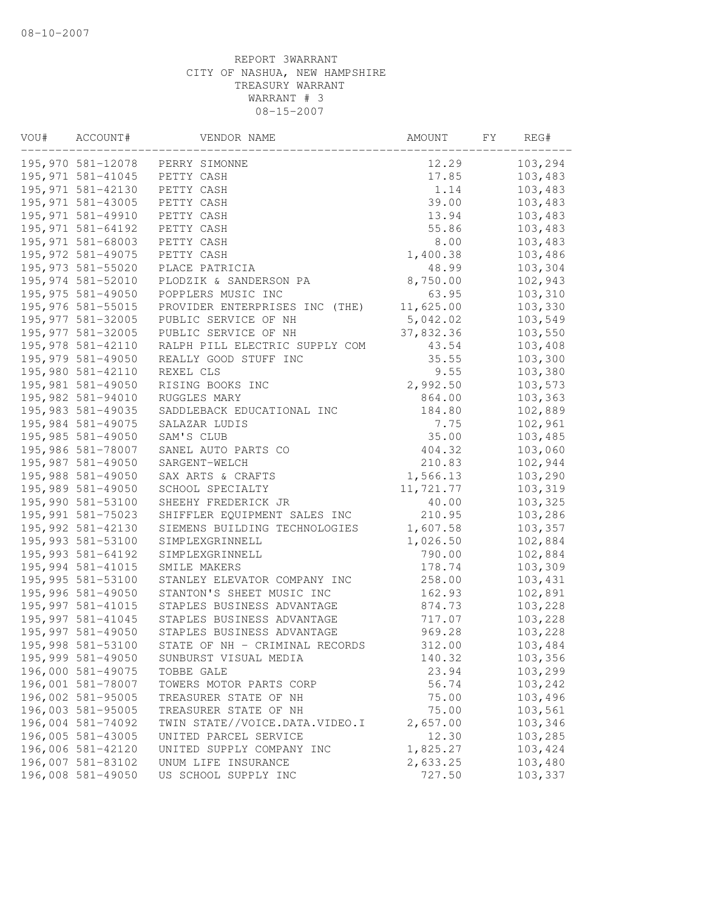| VOU# | ACCOUNT#           | VENDOR NAME                    | AMOUNT    | FY. | REG#    |
|------|--------------------|--------------------------------|-----------|-----|---------|
|      | 195,970 581-12078  | PERRY SIMONNE                  | 12.29     |     | 103,294 |
|      | 195, 971 581-41045 | PETTY CASH                     | 17.85     |     | 103,483 |
|      | 195, 971 581-42130 | PETTY CASH                     | 1.14      |     | 103,483 |
|      | 195, 971 581-43005 | PETTY CASH                     | 39.00     |     | 103,483 |
|      | 195, 971 581-49910 | PETTY CASH                     | 13.94     |     | 103,483 |
|      | 195, 971 581-64192 | PETTY CASH                     | 55.86     |     | 103,483 |
|      | 195,971 581-68003  | PETTY CASH                     | 8.00      |     | 103,483 |
|      | 195, 972 581-49075 | PETTY CASH                     | 1,400.38  |     | 103,486 |
|      | 195, 973 581-55020 | PLACE PATRICIA                 | 48.99     |     | 103,304 |
|      | 195,974 581-52010  | PLODZIK & SANDERSON PA         | 8,750.00  |     | 102,943 |
|      | 195, 975 581-49050 | POPPLERS MUSIC INC             | 63.95     |     | 103,310 |
|      | 195,976 581-55015  | PROVIDER ENTERPRISES INC (THE) | 11,625.00 |     | 103,330 |
|      | 195, 977 581-32005 | PUBLIC SERVICE OF NH           | 5,042.02  |     | 103,549 |
|      | 195, 977 581-32005 | PUBLIC SERVICE OF NH           | 37,832.36 |     | 103,550 |
|      | 195,978 581-42110  | RALPH PILL ELECTRIC SUPPLY COM | 43.54     |     | 103,408 |
|      | 195,979 581-49050  | REALLY GOOD STUFF INC          | 35.55     |     | 103,300 |
|      | 195,980 581-42110  | REXEL CLS                      | 9.55      |     | 103,380 |
|      | 195,981 581-49050  | RISING BOOKS INC               | 2,992.50  |     | 103,573 |
|      | 195,982 581-94010  | RUGGLES MARY                   | 864.00    |     | 103,363 |
|      | 195,983 581-49035  | SADDLEBACK EDUCATIONAL INC     | 184.80    |     | 102,889 |
|      | 195,984 581-49075  | SALAZAR LUDIS                  | 7.75      |     | 102,961 |
|      | 195,985 581-49050  | SAM'S CLUB                     | 35.00     |     | 103,485 |
|      | 195,986 581-78007  | SANEL AUTO PARTS CO            | 404.32    |     | 103,060 |
|      | 195,987 581-49050  | SARGENT-WELCH                  | 210.83    |     | 102,944 |
|      | 195,988 581-49050  | SAX ARTS & CRAFTS              | 1,566.13  |     | 103,290 |
|      | 195,989 581-49050  | SCHOOL SPECIALTY               | 11,721.77 |     | 103,319 |
|      | 195,990 581-53100  | SHEEHY FREDERICK JR            | 40.00     |     | 103,325 |
|      | 195,991 581-75023  | SHIFFLER EQUIPMENT SALES INC   | 210.95    |     | 103,286 |
|      | 195,992 581-42130  | SIEMENS BUILDING TECHNOLOGIES  | 1,607.58  |     | 103,357 |
|      | 195,993 581-53100  | SIMPLEXGRINNELL                | 1,026.50  |     | 102,884 |
|      | 195, 993 581-64192 | SIMPLEXGRINNELL                | 790.00    |     | 102,884 |
|      | 195,994 581-41015  | SMILE MAKERS                   | 178.74    |     | 103,309 |
|      | 195,995 581-53100  | STANLEY ELEVATOR COMPANY INC   | 258.00    |     | 103,431 |
|      | 195,996 581-49050  | STANTON'S SHEET MUSIC INC      | 162.93    |     | 102,891 |
|      | 195,997 581-41015  | STAPLES BUSINESS ADVANTAGE     | 874.73    |     | 103,228 |
|      | 195,997 581-41045  | STAPLES BUSINESS ADVANTAGE     | 717.07    |     | 103,228 |
|      | 195,997 581-49050  | STAPLES BUSINESS ADVANTAGE     | 969.28    |     | 103,228 |
|      | 195,998 581-53100  | STATE OF NH - CRIMINAL RECORDS | 312.00    |     | 103,484 |
|      | 195,999 581-49050  | SUNBURST VISUAL MEDIA          | 140.32    |     | 103,356 |
|      | 196,000 581-49075  | TOBBE GALE                     | 23.94     |     | 103,299 |
|      | 196,001 581-78007  | TOWERS MOTOR PARTS CORP        | 56.74     |     | 103,242 |
|      | 196,002 581-95005  | TREASURER STATE OF NH          | 75.00     |     | 103,496 |
|      | 196,003 581-95005  | TREASURER STATE OF NH          | 75.00     |     | 103,561 |
|      | 196,004 581-74092  | TWIN STATE//VOICE.DATA.VIDEO.I | 2,657.00  |     | 103,346 |
|      | 196,005 581-43005  | UNITED PARCEL SERVICE          | 12.30     |     | 103,285 |
|      | 196,006 581-42120  | UNITED SUPPLY COMPANY INC      | 1,825.27  |     | 103,424 |
|      | 196,007 581-83102  | UNUM LIFE INSURANCE            | 2,633.25  |     | 103,480 |
|      | 196,008 581-49050  | US SCHOOL SUPPLY INC           | 727.50    |     | 103,337 |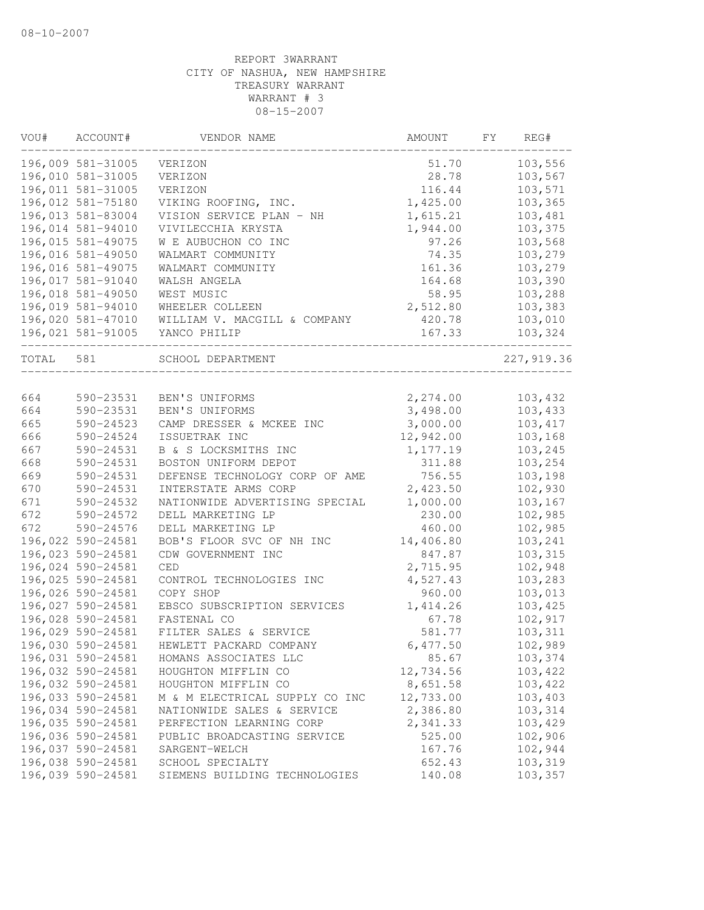| VOU#      | ACCOUNT#          | VENDOR NAME                    | AMOUNT    | FY | REG#        |
|-----------|-------------------|--------------------------------|-----------|----|-------------|
|           | 196,009 581-31005 | VERIZON                        | 51.70     |    | 103,556     |
|           | 196,010 581-31005 | VERIZON                        | 28.78     |    | 103,567     |
|           | 196,011 581-31005 | VERIZON                        | 116.44    |    | 103,571     |
|           | 196,012 581-75180 | VIKING ROOFING, INC.           | 1,425.00  |    | 103,365     |
|           | 196,013 581-83004 | VISION SERVICE PLAN - NH       | 1,615.21  |    | 103,481     |
|           | 196,014 581-94010 | VIVILECCHIA KRYSTA             | 1,944.00  |    | 103,375     |
|           | 196,015 581-49075 | W E AUBUCHON CO INC            | 97.26     |    | 103,568     |
|           | 196,016 581-49050 | WALMART COMMUNITY              | 74.35     |    | 103,279     |
|           | 196,016 581-49075 | WALMART COMMUNITY              | 161.36    |    | 103,279     |
|           | 196,017 581-91040 | WALSH ANGELA                   | 164.68    |    | 103,390     |
|           | 196,018 581-49050 | WEST MUSIC                     | 58.95     |    | 103,288     |
|           | 196,019 581-94010 | WHEELER COLLEEN                | 2,512.80  |    | 103,383     |
|           | 196,020 581-47010 | WILLIAM V. MACGILL & COMPANY   | 420.78    |    | 103,010     |
|           | 196,021 581-91005 | YANCO PHILIP                   | 167.33    |    | 103,324     |
| TOTAL 581 |                   | SCHOOL DEPARTMENT              |           |    | 227, 919.36 |
|           |                   |                                |           |    |             |
| 664       | 590-23531         | BEN'S UNIFORMS                 | 2,274.00  |    | 103,432     |
| 664       | 590-23531         | BEN'S UNIFORMS                 | 3,498.00  |    | 103,433     |
| 665       | 590-24523         | CAMP DRESSER & MCKEE INC       | 3,000.00  |    | 103, 417    |
| 666       | 590-24524         | ISSUETRAK INC                  | 12,942.00 |    | 103,168     |
| 667       | 590-24531         | B & S LOCKSMITHS INC           | 1,177.19  |    | 103,245     |
| 668       | 590-24531         | BOSTON UNIFORM DEPOT           | 311.88    |    | 103,254     |
| 669       | 590-24531         | DEFENSE TECHNOLOGY CORP OF AME | 756.55    |    | 103,198     |
| 670       | 590-24531         | INTERSTATE ARMS CORP           | 2,423.50  |    | 102,930     |
| 671       | 590-24532         | NATIONWIDE ADVERTISING SPECIAL | 1,000.00  |    | 103,167     |
| 672       | 590-24572         | DELL MARKETING LP              | 230.00    |    | 102,985     |
| 672       | 590-24576         | DELL MARKETING LP              | 460.00    |    | 102,985     |
|           | 196,022 590-24581 | BOB'S FLOOR SVC OF NH INC      | 14,406.80 |    | 103,241     |
|           | 196,023 590-24581 | CDW GOVERNMENT INC             | 847.87    |    | 103,315     |
|           | 196,024 590-24581 | CED                            | 2,715.95  |    | 102,948     |
|           | 196,025 590-24581 | CONTROL TECHNOLOGIES INC       | 4,527.43  |    | 103,283     |
|           | 196,026 590-24581 | COPY SHOP                      | 960.00    |    | 103,013     |
|           | 196,027 590-24581 | EBSCO SUBSCRIPTION SERVICES    | 1,414.26  |    | 103,425     |
|           | 196,028 590-24581 | FASTENAL CO                    | 67.78     |    | 102,917     |
|           | 196,029 590-24581 | FILTER SALES & SERVICE         | 581.77    |    | 103,311     |
|           | 196,030 590-24581 | HEWLETT PACKARD COMPANY        | 6,477.50  |    | 102,989     |
|           | 196,031 590-24581 | HOMANS ASSOCIATES LLC          | 85.67     |    | 103,374     |
|           | 196,032 590-24581 | HOUGHTON MIFFLIN CO            | 12,734.56 |    | 103,422     |
|           | 196,032 590-24581 | HOUGHTON MIFFLIN CO            | 8,651.58  |    | 103,422     |
|           | 196,033 590-24581 | M & M ELECTRICAL SUPPLY CO INC | 12,733.00 |    | 103,403     |
|           | 196,034 590-24581 | NATIONWIDE SALES & SERVICE     | 2,386.80  |    | 103,314     |
|           | 196,035 590-24581 | PERFECTION LEARNING CORP       | 2,341.33  |    | 103,429     |
|           | 196,036 590-24581 | PUBLIC BROADCASTING SERVICE    | 525.00    |    | 102,906     |
|           | 196,037 590-24581 | SARGENT-WELCH                  | 167.76    |    | 102,944     |
|           | 196,038 590-24581 | SCHOOL SPECIALTY               | 652.43    |    | 103,319     |
|           | 196,039 590-24581 | SIEMENS BUILDING TECHNOLOGIES  | 140.08    |    | 103,357     |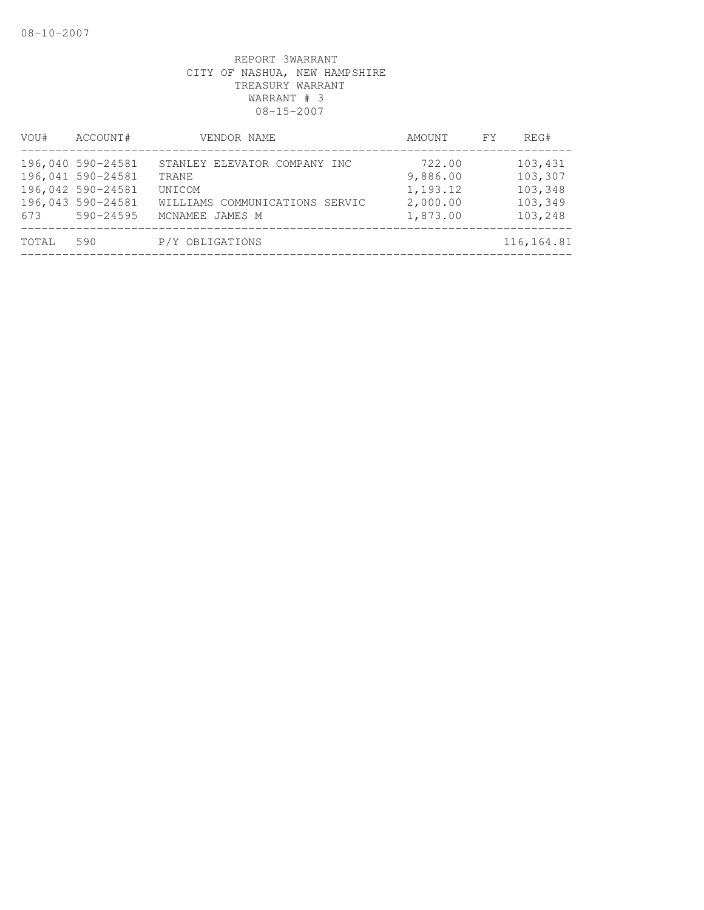| VOU#  | ACCOUNT#                                                                                      | VENDOR NAME                                                                                          | AMOUNT                                                 | <b>FY</b> | REG#                                                |
|-------|-----------------------------------------------------------------------------------------------|------------------------------------------------------------------------------------------------------|--------------------------------------------------------|-----------|-----------------------------------------------------|
| 673   | 196,040 590-24581<br>196,041 590-24581<br>196,042 590-24581<br>196,043 590-24581<br>590-24595 | STANLEY ELEVATOR COMPANY INC<br>TRANE<br>UNICOM<br>WILLIAMS COMMUNICATIONS SERVIC<br>MCNAMEE JAMES M | 722.00<br>9,886.00<br>1,193.12<br>2,000.00<br>1,873.00 |           | 103,431<br>103,307<br>103,348<br>103,349<br>103,248 |
| TOTAL | 590                                                                                           | P/Y OBLIGATIONS                                                                                      |                                                        |           | 116, 164.81                                         |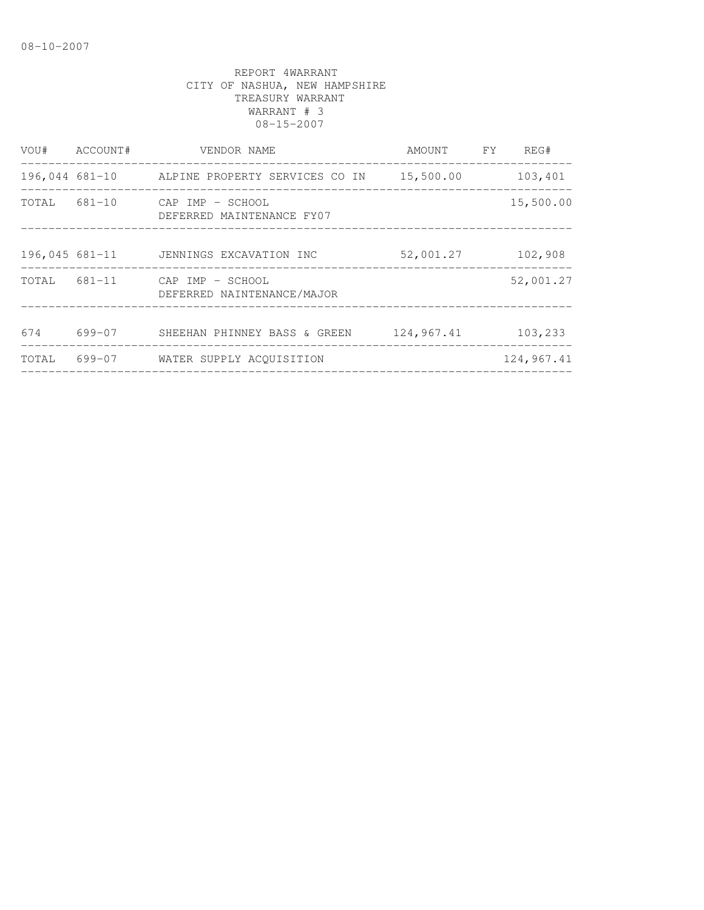| VOU#  | ACCOUNT#       | VENDOR NAME                                                 | AMOUNT FY  | REG#       |
|-------|----------------|-------------------------------------------------------------|------------|------------|
|       |                | 196,044 681-10 ALPINE PROPERTY SERVICES CO IN 15,500.00     |            | 103,401    |
|       |                | TOTAL 681-10 CAP IMP - SCHOOL<br>DEFERRED MAINTENANCE FY07  |            | 15,500.00  |
|       | 196,045 681-11 | JENNINGS EXCAVATION INC                                     | 52,001.27  | 102,908    |
|       |                | TOTAL 681-11 CAP IMP - SCHOOL<br>DEFERRED NAINTENANCE/MAJOR |            | 52,001.27  |
|       |                |                                                             |            |            |
| 674   | 699-07         | SHEEHAN PHINNEY BASS & GREEN                                | 124,967.41 | 103,233    |
| TOTAL |                | 699-07 WATER SUPPLY ACOUISITION                             |            | 124,967.41 |
|       |                |                                                             |            |            |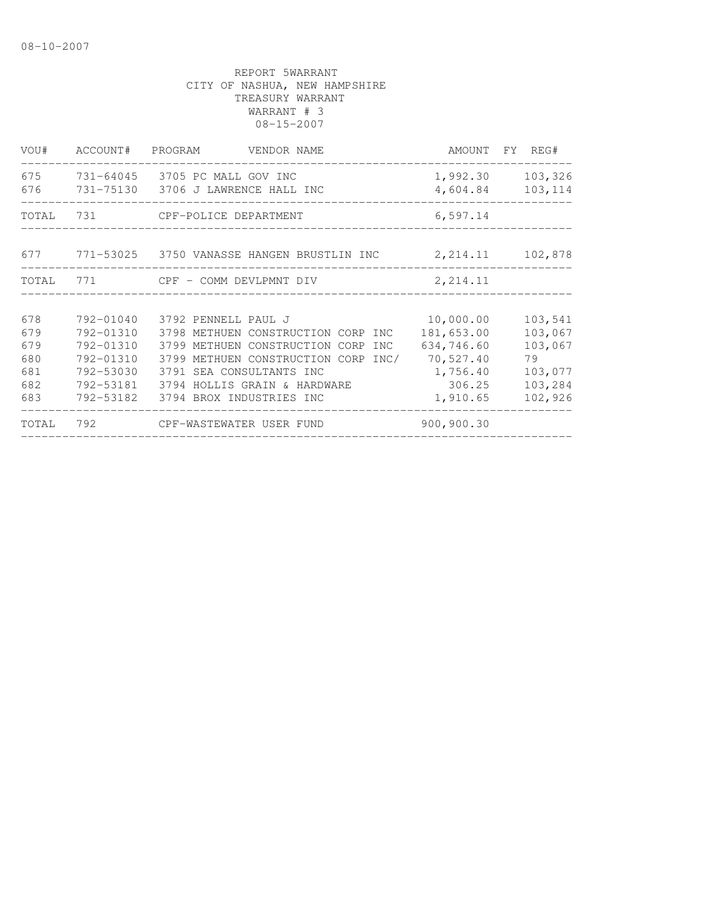| VOU#                                          | ACCOUNT#                                                                                | PROGRAM<br>VENDOR NAME                                                                                                                                                                                                                      | AMOUNT FY REG#                                                                       |                                                                      |
|-----------------------------------------------|-----------------------------------------------------------------------------------------|---------------------------------------------------------------------------------------------------------------------------------------------------------------------------------------------------------------------------------------------|--------------------------------------------------------------------------------------|----------------------------------------------------------------------|
| 675<br>676                                    |                                                                                         | 731-64045 3705 PC MALL GOV INC<br>731-75130 3706 J LAWRENCE HALL INC                                                                                                                                                                        | 1,992.30<br>4,604.84                                                                 | 103,326<br>103,114                                                   |
| TOTAL                                         | 731                                                                                     | CPF-POLICE DEPARTMENT                                                                                                                                                                                                                       | 6, 597.14                                                                            |                                                                      |
|                                               |                                                                                         | 677 771-53025 3750 VANASSE HANGEN BRUSTLIN INC                                                                                                                                                                                              | 2, 214.11                                                                            | 102,878                                                              |
| TOTAL                                         | 771                                                                                     | CPF - COMM DEVLPMNT DIV                                                                                                                                                                                                                     | 2, 214.11                                                                            |                                                                      |
| 678<br>679<br>679<br>680<br>681<br>682<br>683 | 792-01040<br>792-01310<br>792-01310<br>792-01310<br>792-53030<br>792-53181<br>792-53182 | 3792 PENNELL PAUL J<br>3798 METHUEN CONSTRUCTION CORP INC<br>3799 METHUEN CONSTRUCTION CORP<br><b>INC</b><br>3799 METHUEN CONSTRUCTION CORP<br>INC/<br>3791 SEA CONSULTANTS INC<br>3794 HOLLIS GRAIN & HARDWARE<br>3794 BROX INDUSTRIES INC | 10,000.00<br>181,653.00<br>634,746.60<br>70,527.40<br>1,756.40<br>306.25<br>1,910.65 | 103,541<br>103,067<br>103,067<br>79<br>103,077<br>103,284<br>102,926 |
| TOTAL                                         | 792                                                                                     | CPF-WASTEWATER USER FUND                                                                                                                                                                                                                    | 900,900.30                                                                           |                                                                      |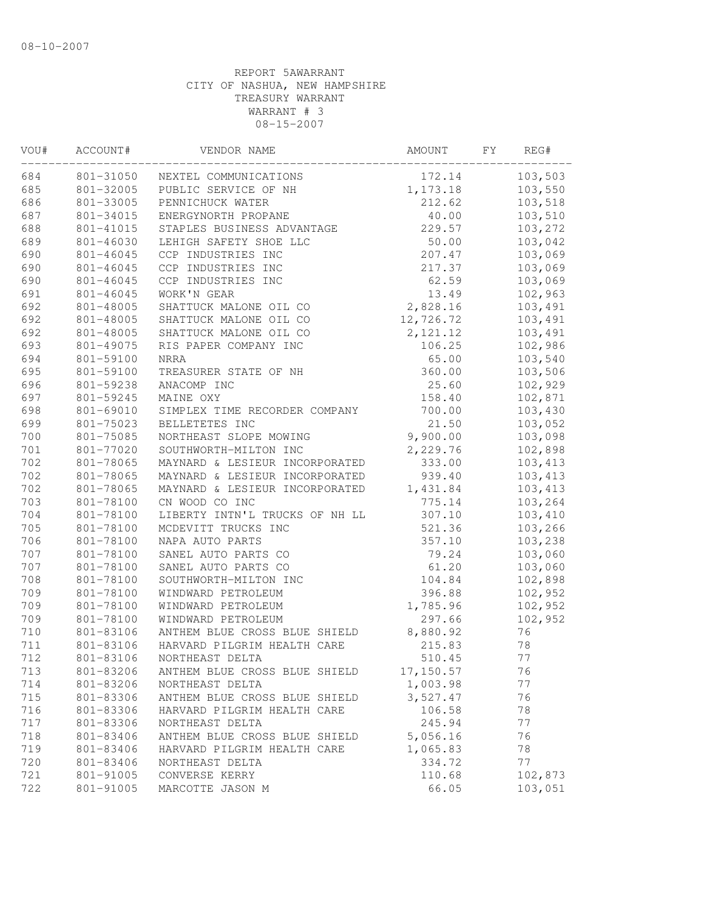| VOU# | ACCOUNT#  | VENDOR NAME                    | AMOUNT    | FY | REG#     |
|------|-----------|--------------------------------|-----------|----|----------|
| 684  | 801-31050 | NEXTEL COMMUNICATIONS          | 172.14    |    | 103,503  |
| 685  | 801-32005 | PUBLIC SERVICE OF NH           | 1,173.18  |    | 103,550  |
| 686  | 801-33005 | PENNICHUCK WATER               | 212.62    |    | 103,518  |
| 687  | 801-34015 | ENERGYNORTH PROPANE            | 40.00     |    | 103,510  |
| 688  | 801-41015 | STAPLES BUSINESS ADVANTAGE     | 229.57    |    | 103,272  |
| 689  | 801-46030 | LEHIGH SAFETY SHOE LLC         | 50.00     |    | 103,042  |
| 690  | 801-46045 | CCP INDUSTRIES INC             | 207.47    |    | 103,069  |
| 690  | 801-46045 | CCP INDUSTRIES INC             | 217.37    |    | 103,069  |
| 690  | 801-46045 | CCP INDUSTRIES INC             | 62.59     |    | 103,069  |
| 691  | 801-46045 | WORK'N GEAR                    | 13.49     |    | 102,963  |
| 692  | 801-48005 | SHATTUCK MALONE OIL CO         | 2,828.16  |    | 103,491  |
| 692  | 801-48005 | SHATTUCK MALONE OIL CO         | 12,726.72 |    | 103,491  |
| 692  | 801-48005 | SHATTUCK MALONE OIL CO         | 2, 121.12 |    | 103,491  |
| 693  | 801-49075 | RIS PAPER COMPANY INC          | 106.25    |    | 102,986  |
| 694  | 801-59100 | <b>NRRA</b>                    | 65.00     |    | 103,540  |
| 695  | 801-59100 | TREASURER STATE OF NH          | 360.00    |    | 103,506  |
| 696  | 801-59238 | ANACOMP INC                    | 25.60     |    | 102,929  |
| 697  | 801-59245 | MAINE OXY                      | 158.40    |    | 102,871  |
| 698  | 801-69010 | SIMPLEX TIME RECORDER COMPANY  | 700.00    |    | 103,430  |
| 699  | 801-75023 | BELLETETES INC                 | 21.50     |    | 103,052  |
| 700  | 801-75085 | NORTHEAST SLOPE MOWING         | 9,900.00  |    | 103,098  |
| 701  | 801-77020 | SOUTHWORTH-MILTON INC          | 2,229.76  |    | 102,898  |
| 702  | 801-78065 | MAYNARD & LESIEUR INCORPORATED | 333.00    |    | 103, 413 |
| 702  | 801-78065 | MAYNARD & LESIEUR INCORPORATED | 939.40    |    | 103,413  |
| 702  | 801-78065 | MAYNARD & LESIEUR INCORPORATED | 1,431.84  |    | 103,413  |
| 703  | 801-78100 | CN WOOD CO INC                 | 775.14    |    | 103,264  |
| 704  | 801-78100 | LIBERTY INTN'L TRUCKS OF NH LL | 307.10    |    | 103,410  |
| 705  | 801-78100 | MCDEVITT TRUCKS INC            | 521.36    |    | 103,266  |
| 706  | 801-78100 | NAPA AUTO PARTS                | 357.10    |    | 103,238  |
| 707  | 801-78100 | SANEL AUTO PARTS CO            | 79.24     |    | 103,060  |
| 707  | 801-78100 | SANEL AUTO PARTS CO            | 61.20     |    | 103,060  |
| 708  | 801-78100 | SOUTHWORTH-MILTON INC          | 104.84    |    | 102,898  |
| 709  | 801-78100 | WINDWARD PETROLEUM             | 396.88    |    | 102,952  |
| 709  | 801-78100 | WINDWARD PETROLEUM             | 1,785.96  |    | 102,952  |
| 709  | 801-78100 | WINDWARD PETROLEUM             | 297.66    |    | 102,952  |
| 710  | 801-83106 | ANTHEM BLUE CROSS BLUE SHIELD  | 8,880.92  |    | 76       |
| 711  | 801-83106 | HARVARD PILGRIM HEALTH CARE    | 215.83    |    | 78       |
| 712  | 801-83106 | NORTHEAST DELTA                | 510.45    |    | 77       |
| 713  | 801-83206 | ANTHEM BLUE CROSS BLUE SHIELD  | 17,150.57 |    | 76       |
| 714  | 801-83206 | NORTHEAST DELTA                | 1,003.98  |    | 77       |
| 715  | 801-83306 | ANTHEM BLUE CROSS BLUE SHIELD  | 3,527.47  |    | 76       |
| 716  | 801-83306 | HARVARD PILGRIM HEALTH CARE    | 106.58    |    | 78       |
| 717  | 801-83306 | NORTHEAST DELTA                | 245.94    |    | 77       |
| 718  | 801-83406 | ANTHEM BLUE CROSS BLUE SHIELD  | 5,056.16  |    | 76       |
| 719  | 801-83406 | HARVARD PILGRIM HEALTH CARE    | 1,065.83  |    | 78       |
| 720  | 801-83406 | NORTHEAST DELTA                | 334.72    |    | 77       |
| 721  | 801-91005 | CONVERSE KERRY                 | 110.68    |    | 102,873  |
| 722  | 801-91005 | MARCOTTE JASON M               | 66.05     |    | 103,051  |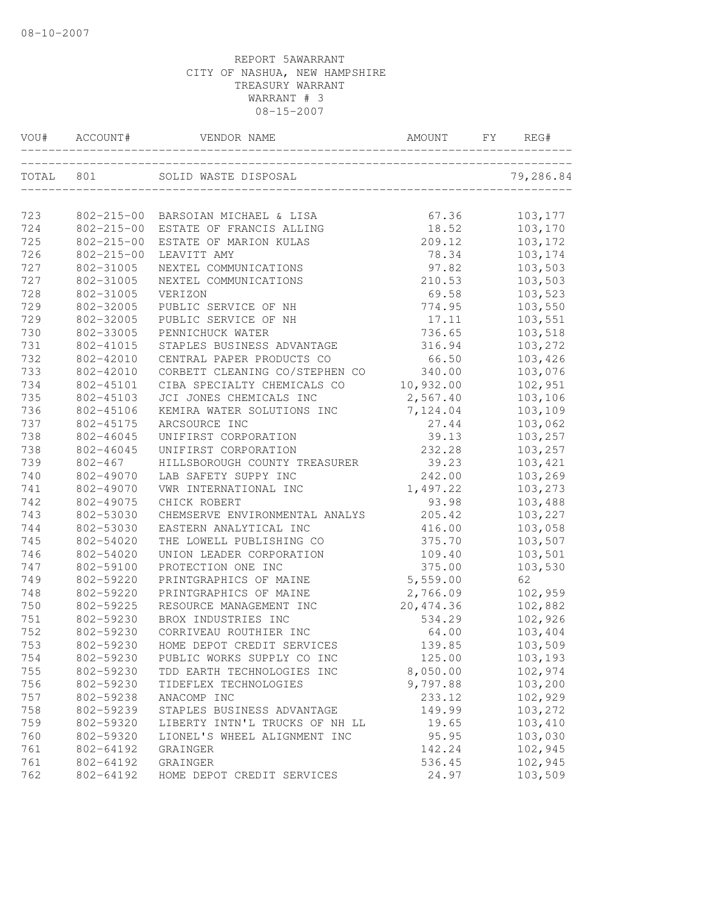| VOU#      | ACCOUNT#                      | VENDOR NAME                        | <b>AMOUNT</b>                | FY | REG#               |
|-----------|-------------------------------|------------------------------------|------------------------------|----|--------------------|
| TOTAL 801 |                               | SOLID WASTE DISPOSAL               | ____________________________ |    | 79,286.84          |
|           |                               |                                    |                              |    |                    |
| 723       |                               | 802-215-00 BARSOIAN MICHAEL & LISA | 67.36                        |    | 103,177            |
| 724       | $802 - 215 - 00$              | ESTATE OF FRANCIS ALLING           | 18.52                        |    | 103,170            |
| 725       | $802 - 215 - 00$              | ESTATE OF MARION KULAS             | 209.12                       |    | 103,172            |
| 726       | $802 - 215 - 00$<br>802-31005 | LEAVITT AMY                        | 78.34                        |    | 103,174<br>103,503 |
| 727       |                               | NEXTEL COMMUNICATIONS              | 97.82                        |    |                    |
| 727       | 802-31005                     | NEXTEL COMMUNICATIONS              | 210.53                       |    | 103,503            |
| 728       | 802-31005                     | VERIZON                            | 69.58                        |    | 103,523            |
| 729       | 802-32005                     | PUBLIC SERVICE OF NH               | 774.95                       |    | 103,550            |
| 729       | 802-32005                     | PUBLIC SERVICE OF NH               | 17.11                        |    | 103,551            |
| 730       | 802-33005                     | PENNICHUCK WATER                   | 736.65                       |    | 103,518            |
| 731       | 802-41015                     | STAPLES BUSINESS ADVANTAGE         | 316.94                       |    | 103,272            |
| 732       | 802-42010                     | CENTRAL PAPER PRODUCTS CO          | 66.50                        |    | 103,426            |
| 733       | 802-42010                     | CORBETT CLEANING CO/STEPHEN CO     | 340.00                       |    | 103,076            |
| 734       | 802-45101                     | CIBA SPECIALTY CHEMICALS CO        | 10,932.00                    |    | 102,951            |
| 735       | 802-45103                     | JCI JONES CHEMICALS INC            | 2,567.40                     |    | 103,106            |
| 736       | 802-45106                     | KEMIRA WATER SOLUTIONS INC         | 7,124.04                     |    | 103,109            |
| 737       | 802-45175                     | ARCSOURCE INC                      | 27.44                        |    | 103,062            |
| 738       | 802-46045                     | UNIFIRST CORPORATION               | 39.13                        |    | 103,257            |
| 738       | 802-46045                     | UNIFIRST CORPORATION               | 232.28                       |    | 103,257            |
| 739       | $802 - 467$                   | HILLSBOROUGH COUNTY TREASURER      | 39.23                        |    | 103,421            |
| 740       | 802-49070                     | LAB SAFETY SUPPY INC               | 242.00                       |    | 103,269            |
| 741       | 802-49070                     | VWR INTERNATIONAL INC              | 1,497.22                     |    | 103,273            |
| 742       | 802-49075                     | CHICK ROBERT                       | 93.98                        |    | 103,488            |
| 743       | 802-53030                     | CHEMSERVE ENVIRONMENTAL ANALYS     | 205.42                       |    | 103,227            |
| 744       | 802-53030                     | EASTERN ANALYTICAL INC             | 416.00                       |    | 103,058            |
| 745       | 802-54020                     | THE LOWELL PUBLISHING CO           | 375.70                       |    | 103,507            |
| 746       | 802-54020                     | UNION LEADER CORPORATION           | 109.40                       |    | 103,501            |
| 747       | 802-59100                     | PROTECTION ONE INC                 | 375.00                       |    | 103,530            |
| 749       | 802-59220                     | PRINTGRAPHICS OF MAINE             | 5,559.00                     |    | 62                 |
| 748       | 802-59220                     | PRINTGRAPHICS OF MAINE             | 2,766.09                     |    | 102,959            |
| 750       | 802-59225                     | RESOURCE MANAGEMENT INC            | 20, 474.36                   |    | 102,882            |
| 751       | 802-59230                     | BROX INDUSTRIES INC                | 534.29                       |    | 102,926            |
| 752       | 802-59230                     | CORRIVEAU ROUTHIER INC             | 64.00                        |    | 103,404            |
| 753       | 802-59230                     | HOME DEPOT CREDIT SERVICES         | 139.85                       |    | 103,509            |
| 754       | 802-59230                     | PUBLIC WORKS SUPPLY CO INC         | 125.00                       |    | 103,193            |
| 755       | 802-59230                     | TDD EARTH TECHNOLOGIES INC         | 8,050.00                     |    | 102,974            |
| 756       | 802-59230                     | TIDEFLEX TECHNOLOGIES              | 9,797.88                     |    | 103,200            |
| 757       | 802-59238                     | ANACOMP INC                        | 233.12                       |    | 102,929            |
| 758       | 802-59239                     | STAPLES BUSINESS ADVANTAGE         | 149.99                       |    | 103,272            |
| 759       | 802-59320                     | LIBERTY INTN'L TRUCKS OF NH LL     | 19.65                        |    | 103,410            |
| 760       | 802-59320                     | LIONEL'S WHEEL ALIGNMENT INC       | 95.95                        |    | 103,030            |
| 761       | 802-64192                     | GRAINGER                           | 142.24                       |    | 102,945            |
| 761       | 802-64192                     | GRAINGER                           | 536.45                       |    | 102,945            |
| 762       | 802-64192                     | HOME DEPOT CREDIT SERVICES         | 24.97                        |    | 103,509            |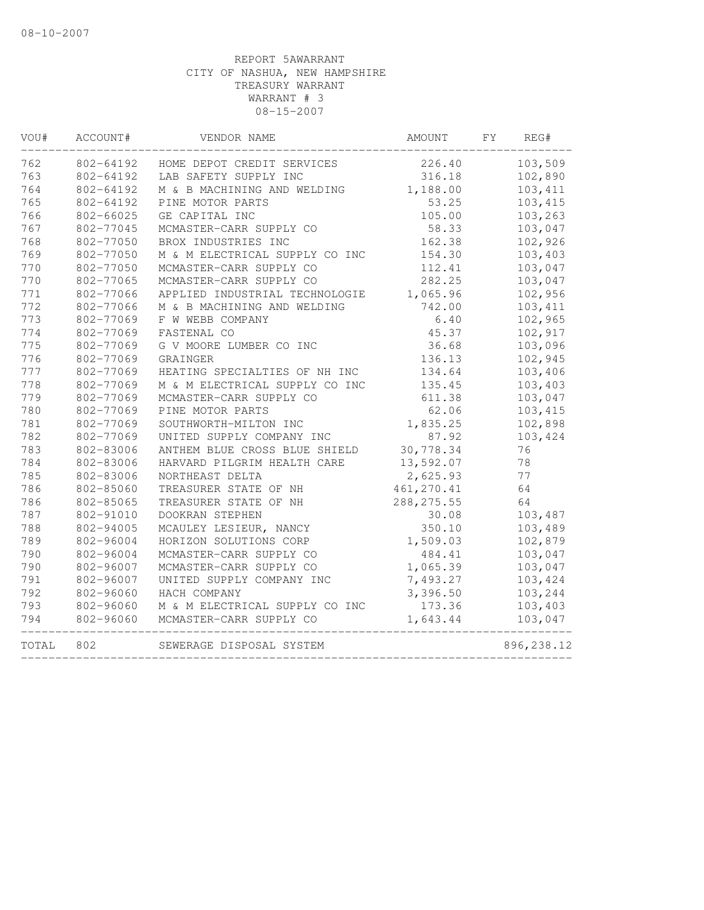| VOU#  | ACCOUNT#  | VENDOR NAME                    | AMOUNT      | FY. | REG#        |
|-------|-----------|--------------------------------|-------------|-----|-------------|
| 762   | 802-64192 | HOME DEPOT CREDIT SERVICES     | 226.40      |     | 103,509     |
| 763   | 802-64192 | LAB SAFETY SUPPLY INC          | 316.18      |     | 102,890     |
| 764   | 802-64192 | M & B MACHINING AND WELDING    | 1,188.00    |     | 103,411     |
| 765   | 802-64192 | PINE MOTOR PARTS               | 53.25       |     | 103,415     |
| 766   | 802-66025 | GE CAPITAL INC                 | 105.00      |     | 103,263     |
| 767   | 802-77045 | MCMASTER-CARR SUPPLY CO        | 58.33       |     | 103,047     |
| 768   | 802-77050 | BROX INDUSTRIES INC            | 162.38      |     | 102,926     |
| 769   | 802-77050 | M & M ELECTRICAL SUPPLY CO INC | 154.30      |     | 103,403     |
| 770   | 802-77050 | MCMASTER-CARR SUPPLY CO        | 112.41      |     | 103,047     |
| 770   | 802-77065 | MCMASTER-CARR SUPPLY CO        | 282.25      |     | 103,047     |
| 771   | 802-77066 | APPLIED INDUSTRIAL TECHNOLOGIE | 1,065.96    |     | 102,956     |
| 772   | 802-77066 | M & B MACHINING AND WELDING    | 742.00      |     | 103,411     |
| 773   | 802-77069 | F W WEBB COMPANY               | 6.40        |     | 102,965     |
| 774   | 802-77069 | FASTENAL CO                    | 45.37       |     | 102,917     |
| 775   | 802-77069 | G V MOORE LUMBER CO INC        | 36.68       |     | 103,096     |
| 776   | 802-77069 | GRAINGER                       | 136.13      |     | 102,945     |
| 777   | 802-77069 | HEATING SPECIALTIES OF NH INC  | 134.64      |     | 103,406     |
| 778   | 802-77069 | M & M ELECTRICAL SUPPLY CO INC | 135.45      |     | 103,403     |
| 779   | 802-77069 | MCMASTER-CARR SUPPLY CO        | 611.38      |     | 103,047     |
| 780   | 802-77069 | PINE MOTOR PARTS               | 62.06       |     | 103,415     |
| 781   | 802-77069 | SOUTHWORTH-MILTON INC          | 1,835.25    |     | 102,898     |
| 782   | 802-77069 | UNITED SUPPLY COMPANY INC      | 87.92       |     | 103,424     |
| 783   | 802-83006 | ANTHEM BLUE CROSS BLUE SHIELD  | 30,778.34   |     | 76          |
| 784   | 802-83006 | HARVARD PILGRIM HEALTH CARE    | 13,592.07   |     | 78          |
| 785   | 802-83006 | NORTHEAST DELTA                | 2,625.93    |     | 77          |
| 786   | 802-85060 | TREASURER STATE OF NH          | 461, 270.41 |     | 64          |
| 786   | 802-85065 | TREASURER STATE OF NH          | 288, 275.55 |     | 64          |
| 787   | 802-91010 | DOOKRAN STEPHEN                | 30.08       |     | 103,487     |
| 788   | 802-94005 | MCAULEY LESIEUR, NANCY         | 350.10      |     | 103,489     |
| 789   | 802-96004 | HORIZON SOLUTIONS CORP         | 1,509.03    |     | 102,879     |
| 790   | 802-96004 | MCMASTER-CARR SUPPLY CO        | 484.41      |     | 103,047     |
| 790   | 802-96007 | MCMASTER-CARR SUPPLY CO        | 1,065.39    |     | 103,047     |
| 791   | 802-96007 | UNITED SUPPLY COMPANY INC      | 7,493.27    |     | 103,424     |
| 792   | 802-96060 | HACH COMPANY                   | 3,396.50    |     | 103,244     |
| 793   | 802-96060 | M & M ELECTRICAL SUPPLY CO INC | 173.36      |     | 103,403     |
| 794   | 802-96060 | MCMASTER-CARR SUPPLY CO        | 1,643.44    |     | 103,047     |
| TOTAL | 802       | SEWERAGE DISPOSAL SYSTEM       |             |     | 896, 238.12 |
|       |           |                                |             |     |             |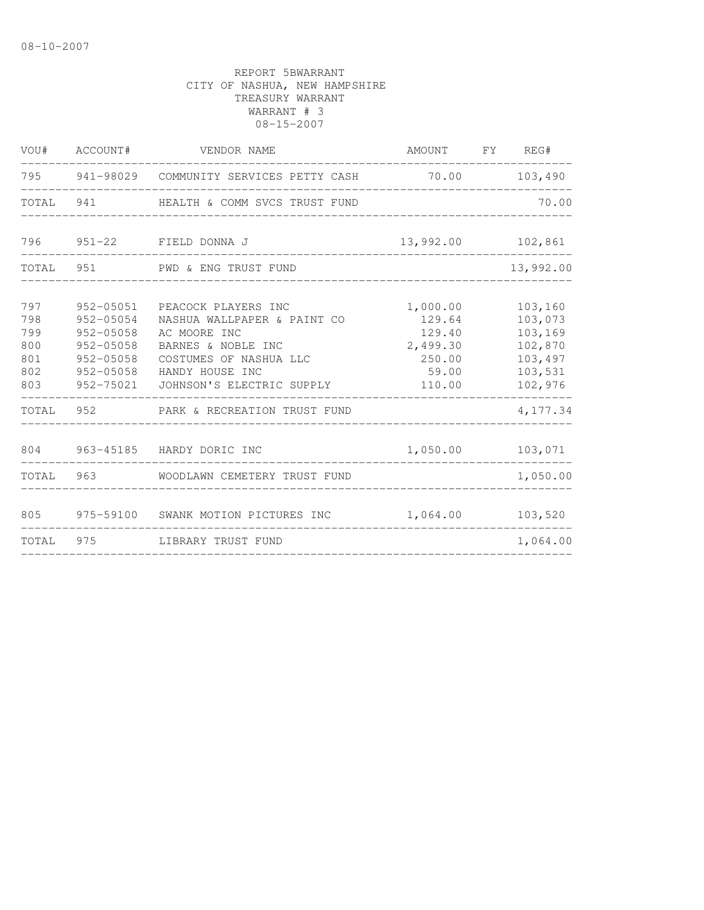|                                               | VOU# ACCOUNT#                                                                               | VENDOR NAME                                                                                                                                                        | AMOUNT FY REG#                                                        |                                                                           |
|-----------------------------------------------|---------------------------------------------------------------------------------------------|--------------------------------------------------------------------------------------------------------------------------------------------------------------------|-----------------------------------------------------------------------|---------------------------------------------------------------------------|
|                                               |                                                                                             | 795 941-98029 COMMUNITY SERVICES PETTY CASH                                                                                                                        | 70.00 103,490                                                         |                                                                           |
| TOTAL                                         |                                                                                             | 941 HEALTH & COMM SVCS TRUST FUND                                                                                                                                  |                                                                       | 70.00                                                                     |
|                                               |                                                                                             | 796 951-22 FIELD DONNA J                                                                                                                                           | 13,992.00 102,861                                                     |                                                                           |
| TOTAL                                         |                                                                                             | 951 PWD & ENG TRUST FUND                                                                                                                                           |                                                                       | 13,992.00                                                                 |
| 797<br>798<br>799<br>800<br>801<br>802<br>803 | 952-05051<br>952-05054<br>952-05058<br>952-05058<br>$952 - 05058$<br>952-05058<br>952-75021 | PEACOCK PLAYERS INC<br>NASHUA WALLPAPER & PAINT CO<br>AC MOORE INC<br>BARNES & NOBLE INC<br>COSTUMES OF NASHUA LLC<br>HANDY HOUSE INC<br>JOHNSON'S ELECTRIC SUPPLY | 1,000.00<br>129.64<br>129.40<br>2,499.30<br>250.00<br>59.00<br>110.00 | 103,160<br>103,073<br>103,169<br>102,870<br>103,497<br>103,531<br>102,976 |
| TOTAL                                         | 952                                                                                         | PARK & RECREATION TRUST FUND                                                                                                                                       | ______________                                                        | 4,177.34                                                                  |
|                                               |                                                                                             | 804 963-45185 HARDY DORIC INC                                                                                                                                      | 1,050.00                                                              | 103,071                                                                   |
| TOTAL                                         |                                                                                             | 963 WOODLAWN CEMETERY TRUST FUND                                                                                                                                   |                                                                       | 1,050.00                                                                  |
| 805                                           |                                                                                             | 975-59100 SWANK MOTION PICTURES INC                                                                                                                                | 1,064.00                                                              | 103,520                                                                   |
| TOTAL                                         | 975                                                                                         | LIBRARY TRUST FUND                                                                                                                                                 |                                                                       | 1,064.00                                                                  |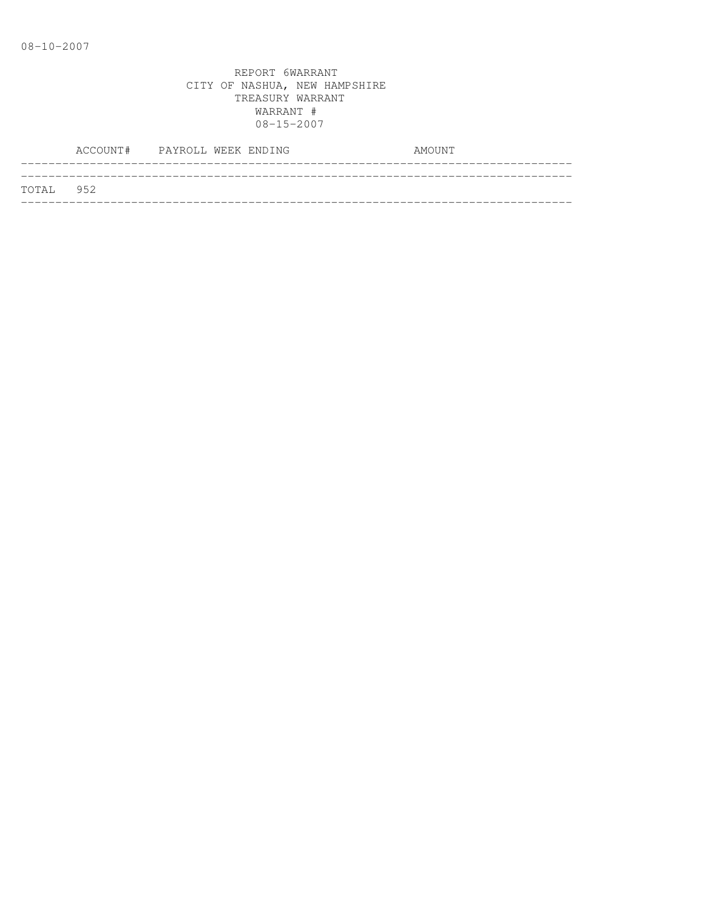|           | ACCOUNT# PAYROLL WEEK ENDING |  |  | AMOUNT |
|-----------|------------------------------|--|--|--------|
| TOTAL 952 |                              |  |  |        |
|           |                              |  |  |        |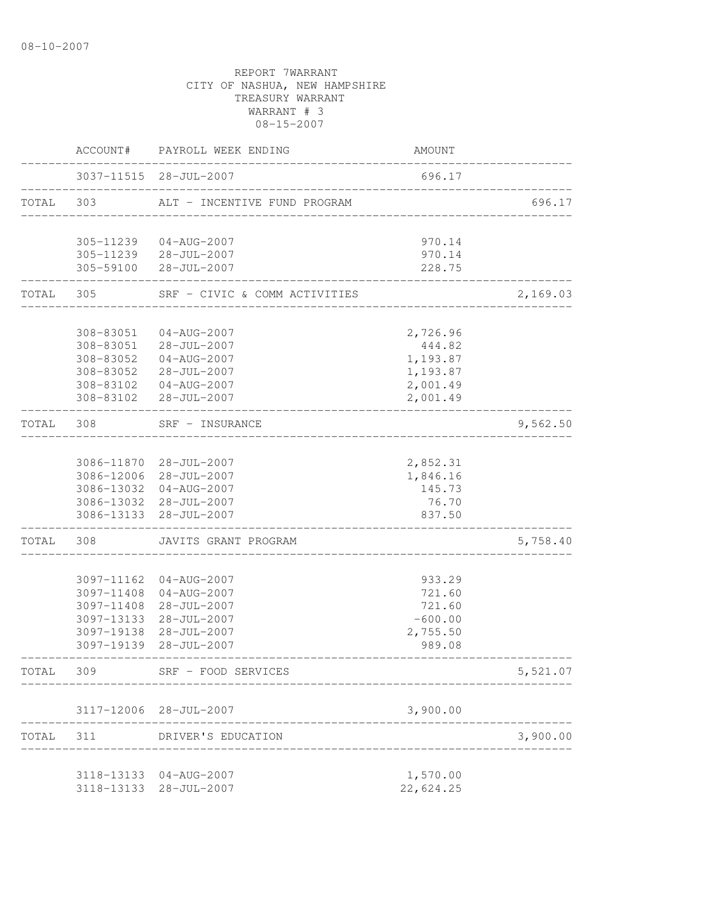REPORT 7WARRANT CITY OF NASHUA, NEW HAMPSHIRE TREASURY WARRANT WARRANT # 3 08-15-2007 ACCOUNT# PAYROLL WEEK ENDING COUNT -------------------------------------------------------------------------------- 3037-11515 28-JUL-2007 696.17 -------------------------------------------------------------------------------- ALT - INCENTIVE FUND PROGRAM 696.17 -------------------------------------------------------------------------------- 305-11239 04-AUG-2007 970.14 305-11239 28-JUL-2007 970.14 305-59100 28-JUL-2007 228.75 -------------------------------------------------------------------------------- TOTAL 305 SRF - CIVIC & COMM ACTIVITIES 2,169.03 -------------------------------------------------------------------------------- 308-83051 04-AUG-2007 2,726.96 308-83051 28-JUL-2007 444.82 308-83052 04-AUG-2007 1,193.87 308-83052 28-JUL-2007 1,193.87 308-83102 04-AUG-2007 2,001.49 308-83102 28-JUL-2007 2,001.49 -------------------------------------------------------------------------------- TOTAL 308 SRF - INSURANCE 9,562.50 -------------------------------------------------------------------------------- 3086-11870 28-JUL-2007 2,852.31 3086-12006 28-JUL-2007 1,846.16 3086-13032 04-AUG-2007 145.73 3086-13032 28-JUL-2007 76.70 3086-13133 28-JUL-2007 837.50 -------------------------------------------------------------------------------- TOTAL 308 JAVITS GRANT PROGRAM 5,758.40 -------------------------------------------------------------------------------- 3097-11162 04-AUG-2007 933.29 3097-11408 04-AUG-2007 721.60 3097-11408 28-JUL-2007 721.60 3097-13133 28-JUL-2007 -600.00 3097-19138 28-JUL-2007 2,755.50 3097-19139 28-JUL-2007 989.08 -------------------------------------------------------------------------------- TOTAL 309 SRF - FOOD SERVICES 5,521.07 -------------------------------------------------------------------------------- 3117-12006 28-JUL-2007 3,900.00 -------------------------------------------------------------------------------- TOTAL 311 DRIVER'S EDUCATION 3,900.00 -------------------------------------------------------------------------------- 3118-13133 04-AUG-2007 1,570.00 3118-13133 28-JUL-2007 22,624.25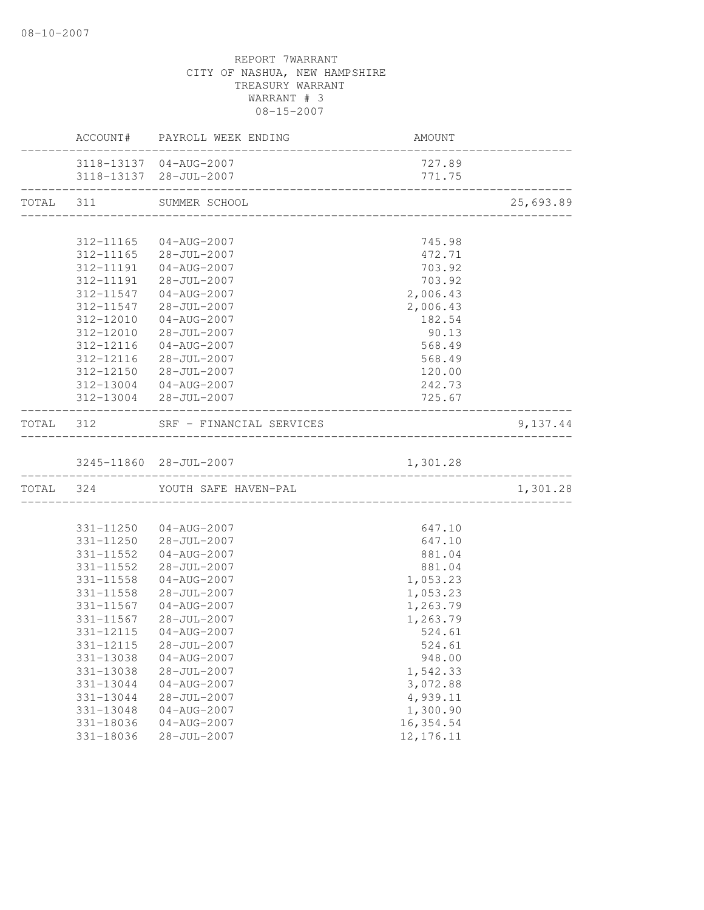|           |                                                                                                                                                          | ACCOUNT# PAYROLL WEEK ENDING                                                                                                                                                                                                                                                                                | AMOUNT                                                                                                                                                             |           |
|-----------|----------------------------------------------------------------------------------------------------------------------------------------------------------|-------------------------------------------------------------------------------------------------------------------------------------------------------------------------------------------------------------------------------------------------------------------------------------------------------------|--------------------------------------------------------------------------------------------------------------------------------------------------------------------|-----------|
|           |                                                                                                                                                          | 3118-13137 04-AUG-2007<br>3118-13137 28-JUL-2007                                                                                                                                                                                                                                                            | 727.89<br>771.75                                                                                                                                                   |           |
|           |                                                                                                                                                          | TOTAL 311 SUMMER SCHOOL                                                                                                                                                                                                                                                                                     |                                                                                                                                                                    | 25,693.89 |
|           |                                                                                                                                                          |                                                                                                                                                                                                                                                                                                             |                                                                                                                                                                    |           |
|           | 312-11547<br>312-12010<br>312-12010<br>312-12116<br>312-12116                                                                                            | 312-11165 04-AUG-2007<br>312-11165 28-JUL-2007<br>312-11191  04-AUG-2007<br>312-11191 28-JUL-2007<br>312-11547 04-AUG-2007<br>28-JUL-2007<br>04-AUG-2007<br>28-JUL-2007<br>$04 - AUG - 2007$<br>28-JUL-2007                                                                                                 | 745.98<br>472.71<br>703.92<br>703.92<br>2,006.43<br>2,006.43<br>182.54<br>90.13<br>568.49<br>568.49                                                                |           |
|           |                                                                                                                                                          | 312-12150 28-JUL-2007                                                                                                                                                                                                                                                                                       | 120.00<br>242.73                                                                                                                                                   |           |
|           |                                                                                                                                                          | 312-13004 04-AUG-2007<br>312-13004 28-JUL-2007                                                                                                                                                                                                                                                              | 725.67                                                                                                                                                             |           |
| TOTAL 312 |                                                                                                                                                          | SRF - FINANCIAL SERVICES                                                                                                                                                                                                                                                                                    |                                                                                                                                                                    | 9,137.44  |
|           |                                                                                                                                                          |                                                                                                                                                                                                                                                                                                             |                                                                                                                                                                    |           |
|           |                                                                                                                                                          | TOTAL 324 YOUTH SAFE HAVEN-PAL                                                                                                                                                                                                                                                                              |                                                                                                                                                                    | 1,301.28  |
|           | 331-11552<br>331-11552<br>331-11558<br>331-11558<br>331-11567<br>331-12115<br>331-12115<br>331-13038<br>331-13038<br>331-13044<br>331-13044<br>331-13048 | 331-11250 04-AUG-2007<br>331-11250 28-JUL-2007<br>04-AUG-2007<br>$28 - JUL - 2007$<br>04-AUG-2007<br>28-JUL-2007<br>$04 - AUG - 2007$<br>331-11567 28-JUL-2007<br>04-AUG-2007<br>$28 - JUL - 2007$<br>$04 - AUG - 2007$<br>$28 - JUL - 2007$<br>$04 - AUG - 2007$<br>$28 - JUL - 2007$<br>$04 - AUG - 2007$ | 647.10<br>647.10<br>881.04<br>881.04<br>1,053.23<br>1,053.23<br>1,263.79<br>1,263.79<br>524.61<br>524.61<br>948.00<br>1,542.33<br>3,072.88<br>4,939.11<br>1,300.90 |           |
|           | 331-18036<br>331-18036                                                                                                                                   | $04 - AUG - 2007$<br>$28 - JUL - 2007$                                                                                                                                                                                                                                                                      | 16, 354.54<br>12, 176.11                                                                                                                                           |           |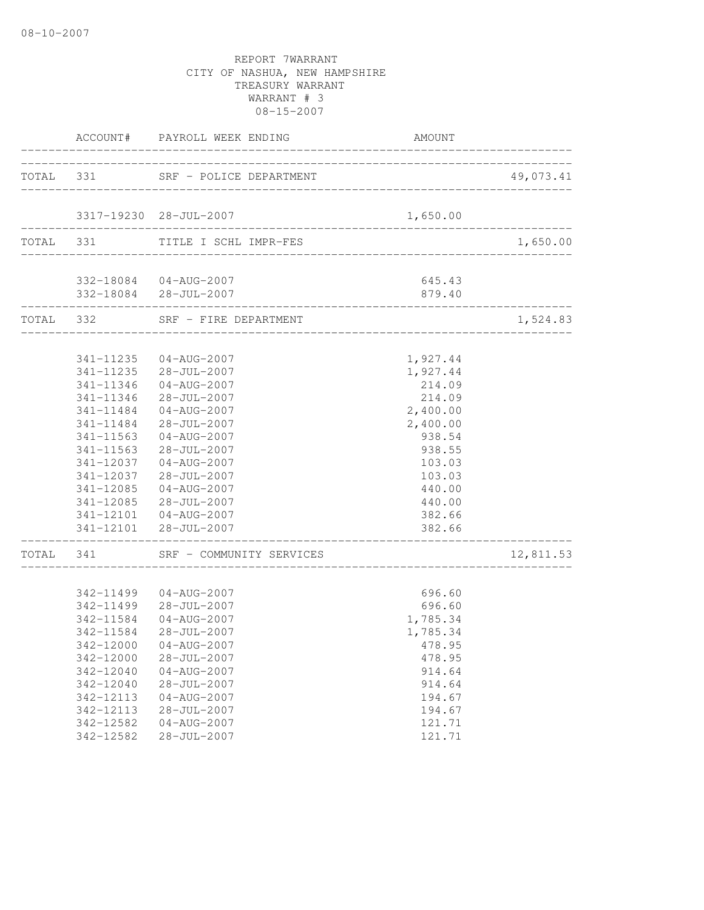|           |           | ACCOUNT# PAYROLL WEEK ENDING      | AMOUNT                  |           |
|-----------|-----------|-----------------------------------|-------------------------|-----------|
|           |           | TOTAL 331 SRF - POLICE DEPARTMENT |                         | 49,073.41 |
|           |           |                                   |                         |           |
|           |           | 3317-19230 28-JUL-2007            | 1,650.00                |           |
|           |           | TOTAL 331 TITLE I SCHL IMPR-FES   |                         | 1,650.00  |
|           |           | 332-18084  04-AUG-2007            | 645.43                  |           |
|           |           | 332-18084 28-JUL-2007             | 879.40                  |           |
|           |           | TOTAL 332 SRF - FIRE DEPARTMENT   | _______________________ | 1,524.83  |
|           |           | 341-11235 04-AUG-2007             | 1,927.44                |           |
|           |           | 341-11235 28-JUL-2007             | 1,927.44                |           |
|           | 341-11346 | $04 - AUG - 2007$                 | 214.09                  |           |
|           | 341-11346 | 28-JUL-2007                       | 214.09                  |           |
|           | 341-11484 | $04 - \text{AUG} - 2007$          | 2,400.00                |           |
|           | 341-11484 | $28 - JUL - 2007$                 | 2,400.00                |           |
|           | 341-11563 | $04 - AUG - 2007$                 | 938.54                  |           |
|           | 341-11563 | $28 - JUL - 2007$                 | 938.55                  |           |
|           | 341-12037 | 04-AUG-2007                       | 103.03                  |           |
|           | 341-12037 | 28-JUL-2007                       | 103.03                  |           |
|           |           | 341-12085  04-AUG-2007            | 440.00                  |           |
|           |           | 341-12085 28-JUL-2007             | 440.00                  |           |
|           |           | 341-12101  04-AUG-2007            | 382.66                  |           |
|           |           | 341-12101 28-JUL-2007             | 382.66                  |           |
| TOTAL 341 |           | SRF - COMMUNITY SERVICES          |                         | 12,811.53 |
|           |           | 342-11499 04-AUG-2007             | 696.60                  |           |
|           |           | 342-11499 28-JUL-2007             | 696.60                  |           |
|           |           | 342-11584 04-AUG-2007             | 1,785.34                |           |
|           | 342-11584 | 28-JUL-2007                       | 1,785.34                |           |
|           |           | 342-12000 04-AUG-2007             | 478.95                  |           |
|           | 342-12000 | $28 - JUL - 2007$                 | 478.95                  |           |
|           | 342-12040 | $04 - AUG - 2007$                 | 914.64                  |           |
|           | 342-12040 | $28 - JUL - 2007$                 | 914.64                  |           |
|           | 342-12113 | $04 - AUG - 2007$                 | 194.67                  |           |
|           | 342-12113 | $28 - JUL - 2007$                 | 194.67                  |           |
|           | 342-12582 | $04 - AUG - 2007$                 | 121.71                  |           |
|           | 342-12582 | $28 - JUL - 2007$                 | 121.71                  |           |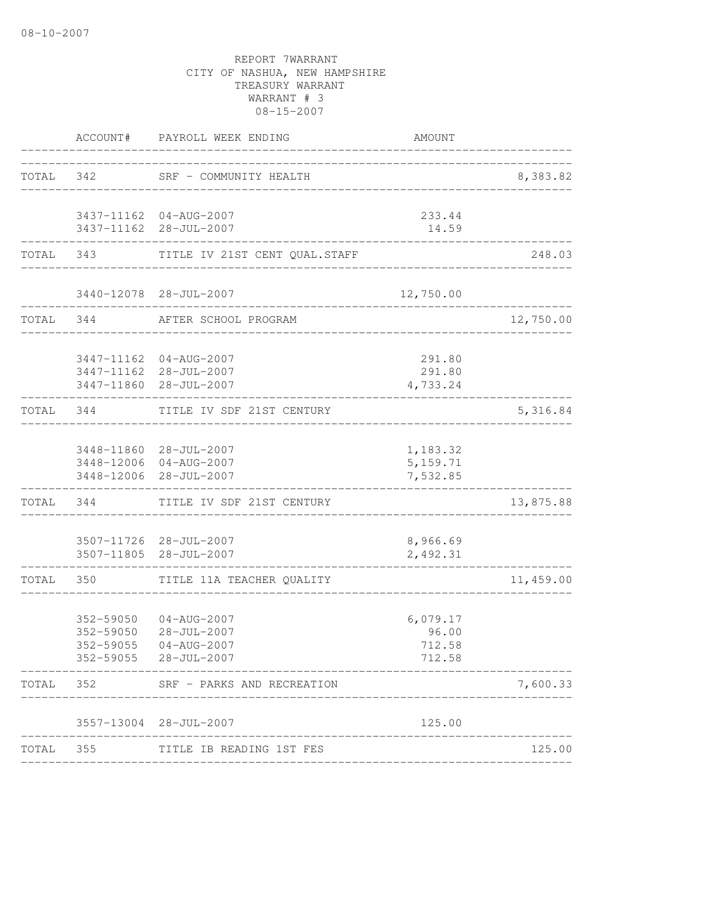|       |           | ACCOUNT# PAYROLL WEEK ENDING                                                                 | AMOUNT                                |                         |
|-------|-----------|----------------------------------------------------------------------------------------------|---------------------------------------|-------------------------|
|       |           | TOTAL 342 SRF - COMMUNITY HEALTH                                                             | _________________________________     | 8,383.82                |
|       |           | 3437-11162 04-AUG-2007<br>3437-11162 28-JUL-2007                                             | 233.44<br>14.59                       |                         |
|       |           | TOTAL 343 TITLE IV 21ST CENT QUAL.STAFF                                                      |                                       | 248.03                  |
|       |           | 3440-12078 28-JUL-2007<br>________________                                                   | 12,750.00                             |                         |
|       | TOTAL 344 | AFTER SCHOOL PROGRAM                                                                         |                                       | 12,750.00               |
|       |           | 3447-11162 04-AUG-2007<br>3447-11162 28-JUL-2007<br>3447-11860 28-JUL-2007                   | 291.80<br>291.80<br>4,733.24          |                         |
|       | TOTAL 344 | TITLE IV SDF 21ST CENTURY<br>_____________________                                           |                                       | 5,316.84<br>___________ |
|       |           | 3448-11860 28-JUL-2007<br>3448-12006 04-AUG-2007<br>3448-12006 28-JUL-2007                   | 1,183.32<br>5,159.71<br>7,532.85      |                         |
|       |           | TOTAL 344 TITLE IV SDF 21ST CENTURY                                                          |                                       | 13,875.88               |
|       |           | 3507-11726 28-JUL-2007<br>3507-11805 28-JUL-2007                                             | 8,966.69<br>2,492.31                  |                         |
| TOTAL | 350       | TITLE 11A TEACHER QUALITY                                                                    |                                       | 11,459.00               |
|       | 352-59050 | 352-59050 04-AUG-2007<br>$28 - JUL - 2007$<br>352-59055 04-AUG-2007<br>352-59055 28-JUL-2007 | 6,079.17<br>96.00<br>712.58<br>712.58 |                         |
| TOTAL | 352       | SRF - PARKS AND RECREATION                                                                   |                                       | 7,600.33                |
|       |           | 3557-13004 28-JUL-2007                                                                       | 125.00                                |                         |
| TOTAL |           | 355 TITLE IB READING 1ST FES                                                                 |                                       | 125.00                  |
|       |           |                                                                                              |                                       |                         |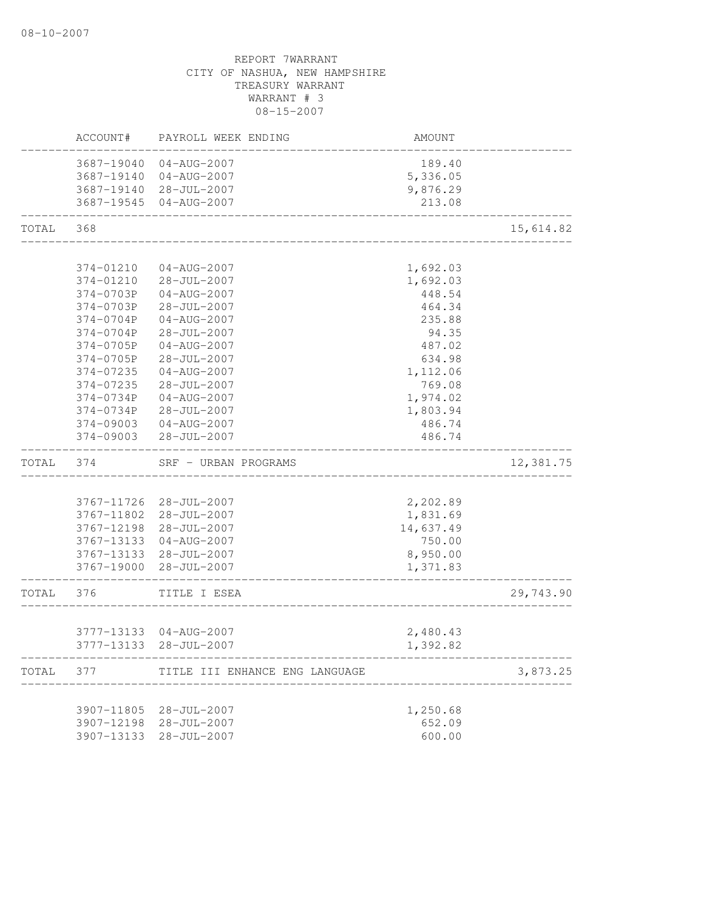|       | ACCOUNT#               | PAYROLL WEEK ENDING              | AMOUNT             |           |
|-------|------------------------|----------------------------------|--------------------|-----------|
|       |                        | 3687-19040 04-AUG-2007           | 189.40             |           |
|       |                        | 3687-19140 04-AUG-2007           | 5,336.05           |           |
|       |                        | 3687-19140 28-JUL-2007           | 9,876.29           |           |
|       |                        | 3687-19545 04-AUG-2007           | 213.08             |           |
| TOTAL | 368                    |                                  |                    | 15,614.82 |
|       |                        |                                  |                    |           |
|       | 374-01210              | 04-AUG-2007                      | 1,692.03           |           |
|       | 374-01210              | 28-JUL-2007                      | 1,692.03           |           |
|       | 374-0703P              | $04 - AUG - 2007$                | 448.54             |           |
|       | 374-0703P              | 28-JUL-2007                      | 464.34             |           |
|       | 374-0704P              | $04 - AUG - 2007$                | 235.88             |           |
|       | 374-0704P              | 28-JUL-2007                      | 94.35              |           |
|       | 374-0705P              | $04 - AUG - 2007$                | 487.02             |           |
|       | 374-0705P              | 28-JUL-2007<br>$04 - AUG - 2007$ | 634.98             |           |
|       | 374-07235              |                                  | 1,112.06<br>769.08 |           |
|       | 374-07235<br>374-0734P | 28-JUL-2007<br>04-AUG-2007       | 1,974.02           |           |
|       | 374-0734P              | $28 - JUL - 2007$                | 1,803.94           |           |
|       | 374-09003              | 04-AUG-2007                      | 486.74             |           |
|       | 374-09003              | 28-JUL-2007                      | 486.74             |           |
| TOTAL | 374                    | SRF - URBAN PROGRAMS             |                    | 12,381.75 |
|       |                        |                                  |                    |           |
|       |                        | 3767-11726 28-JUL-2007           | 2,202.89           |           |
|       |                        | 3767-11802 28-JUL-2007           | 1,831.69           |           |
|       |                        | 3767-12198 28-JUL-2007           | 14,637.49          |           |
|       |                        | 3767-13133 04-AUG-2007           | 750.00             |           |
|       |                        | 3767-13133 28-JUL-2007           | 8,950.00           |           |
|       |                        | 3767-19000 28-JUL-2007           | 1,371.83           |           |
| TOTAL | 376                    | TITLE I ESEA                     |                    | 29,743.90 |
|       |                        |                                  |                    |           |
|       |                        | 3777-13133 04-AUG-2007           | 2,480.43           |           |
|       |                        | 3777-13133 28-JUL-2007           | 1,392.82           |           |
| TOTAL | 377                    | TITLE III ENHANCE ENG LANGUAGE   |                    | 3,873.25  |
|       |                        |                                  |                    |           |
|       |                        | 3907-11805 28-JUL-2007           | 1,250.68           |           |
|       |                        | 3907-12198 28-JUL-2007           | 652.09             |           |
|       |                        | 3907-13133 28-JUL-2007           | 600.00             |           |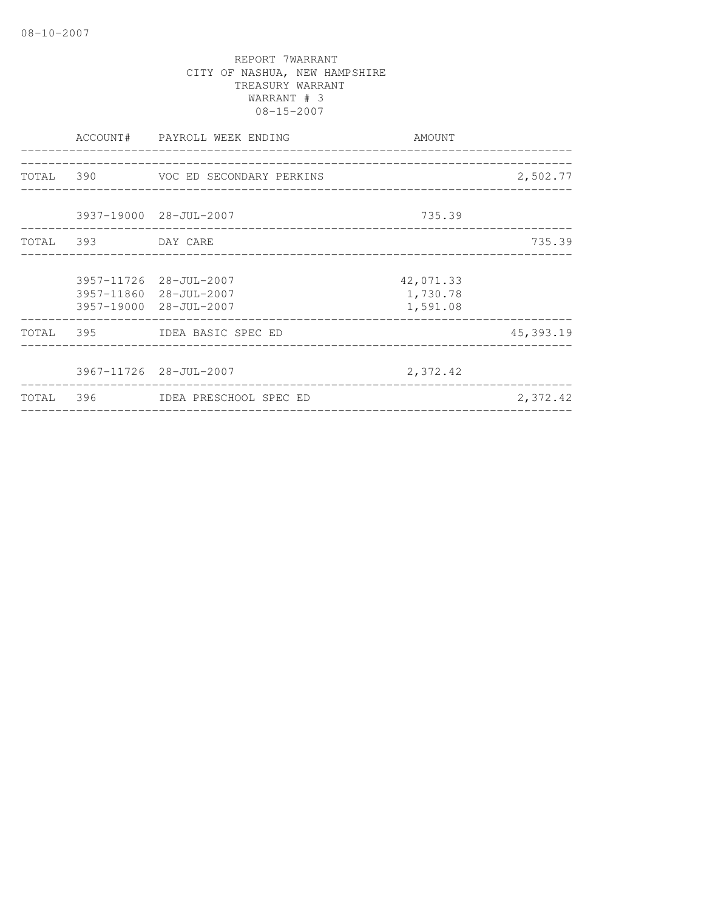|                                                                            | AMOUNT                            |           |
|----------------------------------------------------------------------------|-----------------------------------|-----------|
| TOTAL 390 VOC ED SECONDARY PERKINS                                         |                                   | 2,502.77  |
| 3937-19000 28-JUL-2007                                                     | 735.39                            |           |
| TOTAL 393 DAY CARE                                                         |                                   | 735.39    |
| 3957-11726 28-JUL-2007<br>3957-11860 28-JUL-2007<br>3957-19000 28-JUL-2007 | 42,071.33<br>1,730.78<br>1,591.08 |           |
| TOTAL 395 IDEA BASIC SPEC ED                                               |                                   | 45,393.19 |
| 3967-11726 28-JUL-2007                                                     | 2,372.42                          |           |
| TOTAL 396 IDEA PRESCHOOL SPEC ED                                           | ________________________________  | 2,372.42  |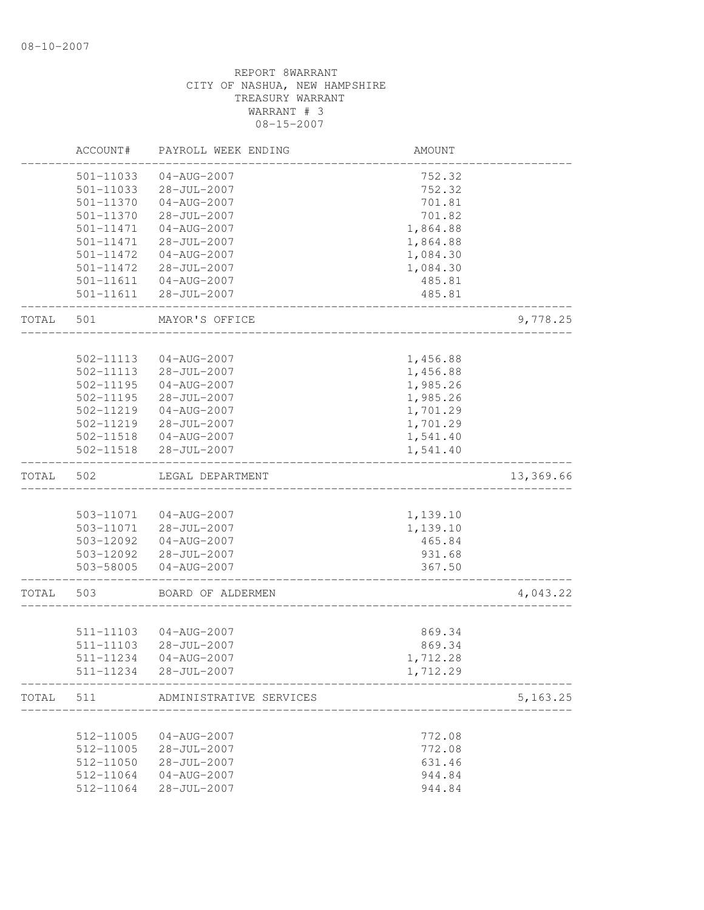|       | ACCOUNT#      | PAYROLL WEEK ENDING      | AMOUNT   |            |
|-------|---------------|--------------------------|----------|------------|
|       | 501-11033     | $04 - AUG - 2007$        | 752.32   |            |
|       | 501-11033     | $28 - JUL - 2007$        | 752.32   |            |
|       | 501-11370     | $04 - AUG - 2007$        | 701.81   |            |
|       | 501-11370     | 28-JUL-2007              | 701.82   |            |
|       | 501-11471     | $04 - AUG - 2007$        | 1,864.88 |            |
|       | 501-11471     | $28 - JUL - 2007$        | 1,864.88 |            |
|       | 501-11472     | 04-AUG-2007              | 1,084.30 |            |
|       | 501-11472     | 28-JUL-2007              | 1,084.30 |            |
|       | 501-11611     | $04 - \text{AUG} - 2007$ | 485.81   |            |
|       | 501-11611     | $28 - JUL - 2007$        | 485.81   |            |
| TOTAL | 501           | MAYOR'S OFFICE           |          | 9,778.25   |
|       |               |                          |          |            |
|       | 502-11113     | $04 - AUG - 2007$        | 1,456.88 |            |
|       | 502-11113     | 28-JUL-2007              | 1,456.88 |            |
|       | 502-11195     | $04 - AUG - 2007$        | 1,985.26 |            |
|       | $502 - 11195$ | $28 - JUL - 2007$        | 1,985.26 |            |
|       | 502-11219     | 04-AUG-2007              | 1,701.29 |            |
|       | 502-11219     | 28-JUL-2007              | 1,701.29 |            |
|       |               | 502-11518  04-AUG-2007   | 1,541.40 |            |
|       | 502-11518     | 28-JUL-2007              | 1,541.40 |            |
| TOTAL | 502           | LEGAL DEPARTMENT         |          | 13,369.66  |
|       |               |                          |          |            |
|       | 503-11071     | 04-AUG-2007              | 1,139.10 |            |
|       | 503-11071     | $28 - JUL - 2007$        | 1,139.10 |            |
|       | 503-12092     | $04 - AUG - 2007$        | 465.84   |            |
|       | 503-12092     | 28-JUL-2007              | 931.68   |            |
|       | 503-58005     | $04 - AUG - 2007$        | 367.50   |            |
| TOTAL | 503           | BOARD OF ALDERMEN        |          | 4,043.22   |
|       |               |                          |          |            |
|       | 511-11103     | 04-AUG-2007              | 869.34   |            |
|       | 511-11103     | $28 - JUL - 2007$        | 869.34   |            |
|       | 511-11234     | 04-AUG-2007              | 1,712.28 |            |
|       | 511-11234     | $28 - JUL - 2007$        | 1,712.29 |            |
| TOTAL | 511           | ADMINISTRATIVE SERVICES  |          | 5, 163. 25 |
|       |               |                          |          |            |
|       | 512-11005     | $04 - AUG - 2007$        | 772.08   |            |
|       | 512-11005     | 28-JUL-2007              | 772.08   |            |
|       | 512-11050     | 28-JUL-2007              | 631.46   |            |
|       | 512-11064     | $04 - AUG - 2007$        | 944.84   |            |
|       | 512-11064     | 28-JUL-2007              | 944.84   |            |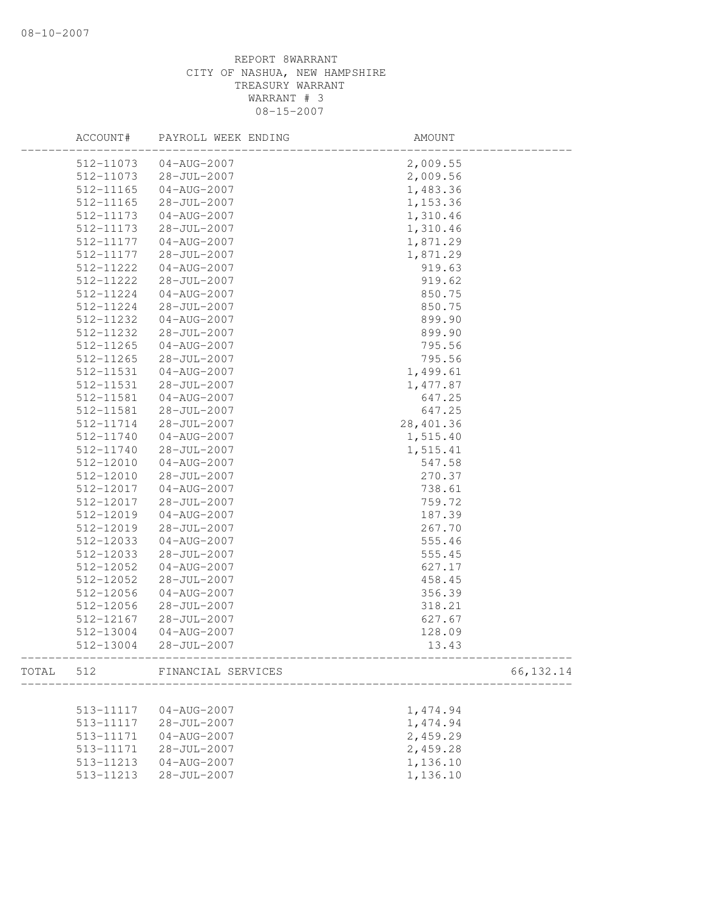|       | ACCOUNT#  | PAYROLL WEEK ENDING | AMOUNT           |            |
|-------|-----------|---------------------|------------------|------------|
|       | 512-11073 | 04-AUG-2007         | 2,009.55         |            |
|       | 512-11073 | 28-JUL-2007         | 2,009.56         |            |
|       | 512-11165 | $04 - AUG - 2007$   | 1,483.36         |            |
|       | 512-11165 | 28-JUL-2007         | 1,153.36         |            |
|       | 512-11173 | 04-AUG-2007         | 1,310.46         |            |
|       | 512-11173 | 28-JUL-2007         | 1,310.46         |            |
|       | 512-11177 | $04 - AUG - 2007$   | 1,871.29         |            |
|       | 512-11177 | $28 - JUL - 2007$   | 1,871.29         |            |
|       | 512-11222 | 04-AUG-2007         | 919.63           |            |
|       | 512-11222 | 28-JUL-2007         | 919.62           |            |
|       | 512-11224 | $04 - AUG - 2007$   | 850.75           |            |
|       | 512-11224 | $28 - JUL - 2007$   | 850.75           |            |
|       | 512-11232 | $04 - AUG - 2007$   | 899.90           |            |
|       | 512-11232 | 28-JUL-2007         | 899.90           |            |
|       | 512-11265 | $04 - AUG - 2007$   | 795.56           |            |
|       | 512-11265 | 28-JUL-2007         | 795.56           |            |
|       | 512-11531 | $04 - AUG - 2007$   | 1,499.61         |            |
|       | 512-11531 | $28 - JUL - 2007$   | 1,477.87         |            |
|       | 512-11581 | $04 - AUG - 2007$   | 647.25           |            |
|       | 512-11581 | $28 - JUL - 2007$   | 647.25           |            |
|       | 512-11714 | $28 - JUL - 2007$   | 28,401.36        |            |
|       | 512-11740 | $04 - AUG - 2007$   | 1,515.40         |            |
|       | 512-11740 | 28-JUL-2007         | 1,515.41         |            |
|       | 512-12010 | $04 - AUG - 2007$   | 547.58           |            |
|       | 512-12010 | 28-JUL-2007         | 270.37           |            |
|       | 512-12017 | $04 - AUG - 2007$   | 738.61           |            |
|       | 512-12017 | $28 - JUL - 2007$   | 759.72           |            |
|       | 512-12019 | 04-AUG-2007         | 187.39           |            |
|       | 512-12019 | 28-JUL-2007         | 267.70           |            |
|       | 512-12033 | $04 - AUG - 2007$   | 555.46           |            |
|       | 512-12033 | 28-JUL-2007         | 555.45           |            |
|       |           | $04 - AUG - 2007$   |                  |            |
|       | 512-12052 |                     | 627.17<br>458.45 |            |
|       | 512-12052 | 28-JUL-2007         |                  |            |
|       | 512-12056 | $04 - AUG - 2007$   | 356.39           |            |
|       | 512-12056 | 28-JUL-2007         | 318.21           |            |
|       | 512-12167 | $28 - JUL - 2007$   | 627.67           |            |
|       | 512-13004 | $04 - AUG - 2007$   | 128.09           |            |
|       | 512-13004 | 28-JUL-2007         | 13.43            |            |
| TOTAL | 512       | FINANCIAL SERVICES  |                  | 66, 132.14 |
|       |           |                     |                  |            |
|       | 513-11117 | $04 - AUG - 2007$   | 1,474.94         |            |
|       | 513-11117 | $28 - JUL - 2007$   | 1,474.94         |            |
|       | 513-11171 | $04 - AUG - 2007$   | 2,459.29         |            |
|       | 513-11171 | 28-JUL-2007         | 2,459.28         |            |
|       | 513-11213 | $04 - AUG - 2007$   | 1,136.10         |            |
|       | 513-11213 | $28 - JUL - 2007$   | 1,136.10         |            |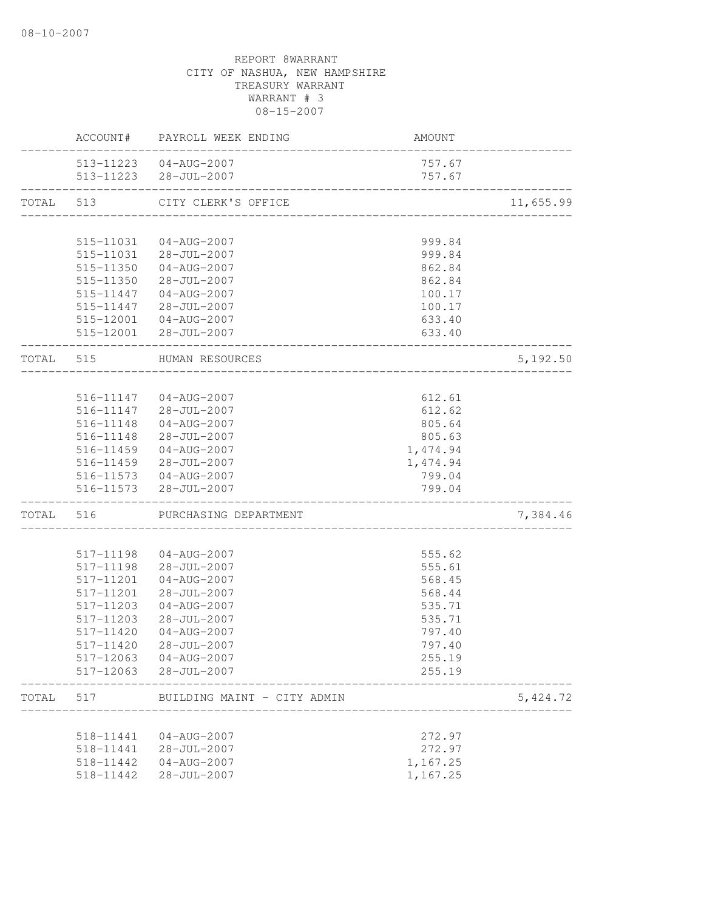|           |           | ACCOUNT# PAYROLL WEEK ENDING                                             | AMOUNT           |           |
|-----------|-----------|--------------------------------------------------------------------------|------------------|-----------|
|           |           | 513-11223  04-AUG-2007<br>513-11223 28-JUL-2007<br>_____________________ | 757.67<br>757.67 |           |
| TOTAL 513 |           | CITY CLERK'S OFFICE                                                      |                  | 11,655.99 |
|           |           |                                                                          |                  |           |
|           | 515-11031 | 04-AUG-2007                                                              | 999.84           |           |
|           | 515-11031 | 28-JUL-2007                                                              | 999.84           |           |
|           | 515-11350 | 04-AUG-2007                                                              | 862.84           |           |
|           | 515-11350 | $28 - JUL - 2007$                                                        | 862.84           |           |
|           | 515-11447 | $04 - AUG - 2007$                                                        | 100.17           |           |
|           |           | 515-11447 28-JUL-2007                                                    | 100.17           |           |
|           |           | 515-12001 04-AUG-2007                                                    | 633.40           |           |
|           |           | 515-12001 28-JUL-2007                                                    | 633.40           |           |
| TOTAL 515 |           | HUMAN RESOURCES                                                          |                  | 5,192.50  |
|           |           |                                                                          |                  |           |
|           |           | 516-11147 04-AUG-2007                                                    | 612.61           |           |
|           | 516-11147 | 28-JUL-2007                                                              | 612.62           |           |
|           | 516-11148 | 04-AUG-2007                                                              | 805.64           |           |
|           |           | 516-11148 28-JUL-2007                                                    | 805.63           |           |
|           | 516-11459 | 04-AUG-2007                                                              | 1,474.94         |           |
|           | 516-11459 | $28 - JUL - 2007$                                                        | 1,474.94         |           |
|           | 516-11573 | 516-11573 04-AUG-2007<br>$28 - JUL - 2007$                               | 799.04<br>799.04 |           |
| TOTAL     | 516       | PURCHASING DEPARTMENT                                                    |                  | 7,384.46  |
|           |           |                                                                          |                  |           |
|           | 517-11198 | 04-AUG-2007                                                              | 555.62           |           |
|           | 517-11198 | $28 - JUL - 2007$                                                        | 555.61           |           |
|           | 517-11201 | $04 - AUG - 2007$                                                        | 568.45           |           |
|           | 517-11201 | 28-JUL-2007                                                              | 568.44           |           |
|           | 517-11203 | $04 - AUG - 2007$                                                        | 535.71           |           |
|           | 517-11203 | 28-JUL-2007                                                              | 535.71           |           |
|           | 517-11420 | $04 - AUG - 2007$                                                        | 797.40           |           |
|           | 517-11420 | 28-JUL-2007                                                              | 797.40           |           |
|           |           | 517-12063 04-AUG-2007                                                    | 255.19           |           |
|           |           | 517-12063 28-JUL-2007                                                    | 255.19           |           |
| TOTAL     | 517       | BUILDING MAINT - CITY ADMIN                                              |                  | 5,424.72  |
|           |           |                                                                          |                  |           |
|           | 518-11441 | 04-AUG-2007                                                              | 272.97           |           |
|           | 518-11441 | 28-JUL-2007                                                              | 272.97           |           |
|           | 518-11442 | $04 - AUG - 2007$                                                        | 1,167.25         |           |
|           | 518-11442 | 28-JUL-2007                                                              | 1,167.25         |           |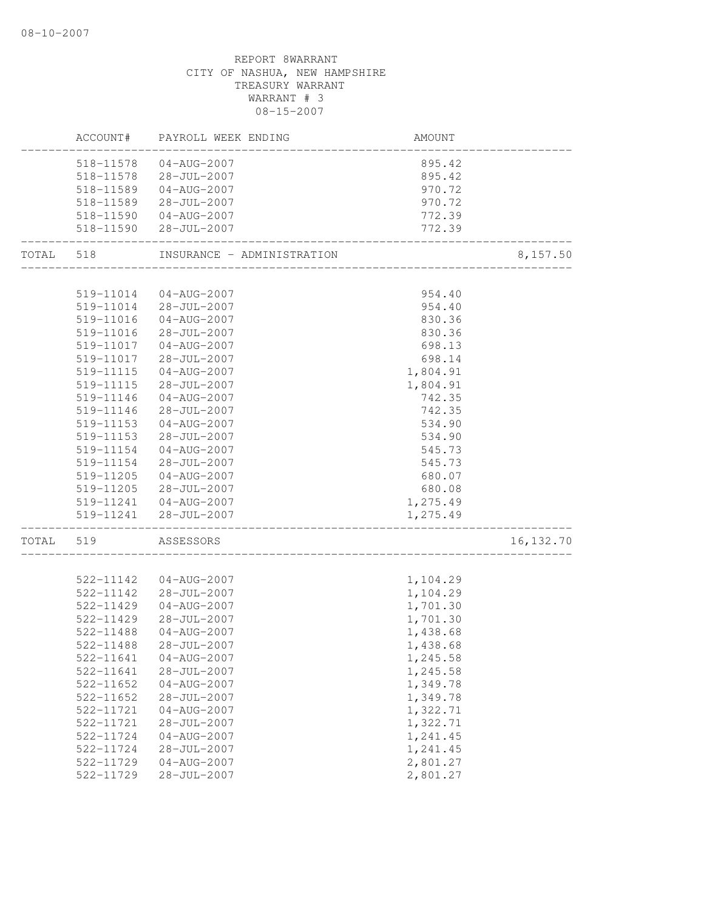|       | ACCOUNT#      | PAYROLL WEEK ENDING        | AMOUNT               |            |
|-------|---------------|----------------------------|----------------------|------------|
|       | 518-11578     | 04-AUG-2007                | 895.42               |            |
|       |               | 518-11578 28-JUL-2007      | 895.42               |            |
|       |               | 518-11589  04-AUG-2007     | 970.72               |            |
|       |               | 518-11589 28-JUL-2007      | 970.72               |            |
|       |               | 518-11590  04-AUG-2007     | 772.39               |            |
|       |               | 518-11590 28-JUL-2007      | 772.39               |            |
| TOTAL | 518           | INSURANCE - ADMINISTRATION |                      | 8,157.50   |
|       |               |                            |                      |            |
|       | 519-11014     | 04-AUG-2007                | 954.40               |            |
|       |               | 519-11014 28-JUL-2007      | 954.40               |            |
|       | 519-11016     | 04-AUG-2007                | 830.36               |            |
|       | 519-11016     | 28-JUL-2007                | 830.36               |            |
|       | 519-11017     | 04-AUG-2007                | 698.13               |            |
|       | 519-11017     | $28 - JUL - 2007$          | 698.14               |            |
|       | 519-11115     | $04 - AUG - 2007$          | 1,804.91             |            |
|       | 519-11115     | 28-JUL-2007                | 1,804.91             |            |
|       | 519-11146     | 04-AUG-2007                | 742.35               |            |
|       | 519-11146     | 28-JUL-2007                | 742.35               |            |
|       | 519-11153     | 04-AUG-2007                | 534.90               |            |
|       | 519-11153     | 28-JUL-2007                | 534.90               |            |
|       | 519-11154     | $04 - AUG - 2007$          | 545.73               |            |
|       | 519-11154     | $28 - JUL - 2007$          | 545.73               |            |
|       | 519-11205     | 04-AUG-2007                | 680.07               |            |
|       | 519-11205     | 28-JUL-2007                | 680.08               |            |
|       |               | 519-11241  04-AUG-2007     | 1,275.49             |            |
|       |               | 519-11241 28-JUL-2007      | 1,275.49             |            |
| TOTAL | 519           | ASSESSORS                  |                      | 16, 132.70 |
|       | 522-11142     | 04-AUG-2007                | 1,104.29             |            |
|       | 522-11142     | $28 - JUL - 2007$          | 1,104.29             |            |
|       | 522-11429     | $04 - AUG - 2007$          | 1,701.30             |            |
|       | 522-11429     | $28 - JUL - 2007$          | 1,701.30             |            |
|       | 522-11488     | $04 - AUG - 2007$          | 1,438.68             |            |
|       | 522-11488     | 28-JUL-2007                |                      |            |
|       | 522-11641     | $04 - AUG - 2007$          | 1,438.68             |            |
|       |               | $28 - JUL - 2007$          | 1,245.58<br>1,245.58 |            |
|       | 522-11641     |                            |                      |            |
|       | $522 - 11652$ | $04 - AUG - 2007$          | 1,349.78             |            |
|       | 522-11652     | $28 - JUL - 2007$          | 1,349.78             |            |
|       | 522-11721     | $04 - AUG - 2007$          | 1,322.71             |            |
|       | 522-11721     | $28 - JUL - 2007$          | 1,322.71             |            |
|       | 522-11724     | $04 - AUG - 2007$          | 1,241.45             |            |
|       | 522-11724     | 28-JUL-2007                | 1,241.45             |            |
|       | 522-11729     | $04 - AUG - 2007$          | 2,801.27             |            |
|       | 522-11729     | $28 - JUL - 2007$          | 2,801.27             |            |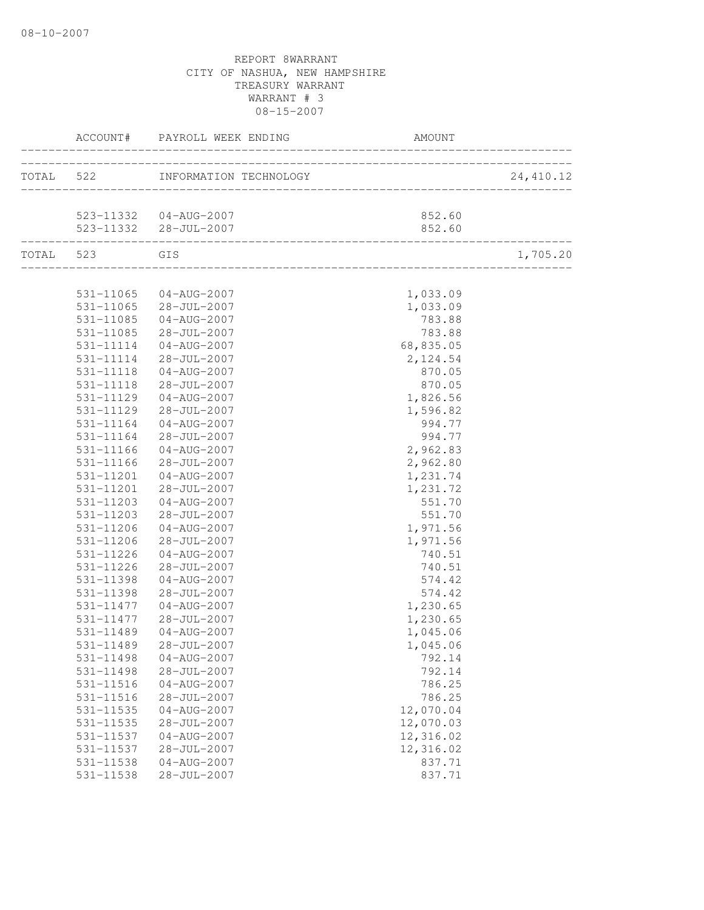|               | ACCOUNT# PAYROLL WEEK ENDING<br>------------ |                                     |            |
|---------------|----------------------------------------------|-------------------------------------|------------|
|               | TOTAL 522 INFORMATION TECHNOLOGY (2)         | ___________________________________ | 24, 410.12 |
|               | 523-11332  04-AUG-2007                       | 852.60                              |            |
|               | 523-11332 28-JUL-2007                        | 852.60                              |            |
| TOTAL 523 GIS |                                              |                                     | 1,705.20   |
|               | 531-11065 04-AUG-2007                        | 1,033.09                            |            |
|               | 531-11065 28-JUL-2007                        | 1,033.09                            |            |
| 531-11085     | 04-AUG-2007                                  | 783.88                              |            |
| 531-11085     | 28-JUL-2007                                  | 783.88                              |            |
| 531-11114     | $04 - AUG - 2007$                            | 68,835.05                           |            |
| 531-11114     | 28-JUL-2007                                  | 2,124.54                            |            |
| 531-11118     | $04 - AUG - 2007$                            | 870.05                              |            |
| 531-11118     | $28 - JUL - 2007$                            | 870.05                              |            |
| 531-11129     | $04 - AUG - 2007$                            | 1,826.56                            |            |
| 531-11129     | $28 - JUL - 2007$                            | 1,596.82                            |            |
| 531-11164     | $04 - AUG - 2007$                            | 994.77                              |            |
| 531-11164     | $28 - JUL - 2007$                            | 994.77                              |            |
| 531-11166     | 04-AUG-2007                                  | 2,962.83                            |            |
| 531-11166     | 28-JUL-2007                                  | 2,962.80                            |            |
| 531-11201     | $04 - AUG - 2007$                            | 1,231.74                            |            |
| 531-11201     | 28-JUL-2007                                  | 1,231.72                            |            |
| 531-11203     | $04 - AUG - 2007$                            | 551.70                              |            |
| 531-11203     | 28-JUL-2007                                  | 551.70                              |            |
| 531-11206     | $04 - AUG - 2007$                            | 1,971.56                            |            |
| 531-11206     | 28-JUL-2007                                  | 1,971.56                            |            |
| 531-11226     | $04 - AUG - 2007$                            | 740.51                              |            |
| 531-11226     | 28-JUL-2007                                  | 740.51                              |            |
| 531-11398     | $04 - AUG - 2007$                            | 574.42                              |            |
| 531-11398     | 28-JUL-2007                                  | 574.42                              |            |
| 531-11477     | $04 - AUG - 2007$                            | 1,230.65                            |            |
| 531-11477     | 28-JUL-2007                                  | 1,230.65                            |            |
| 531-11489     | $04 - AUG - 2007$                            | 1,045.06                            |            |
| 531-11489     | 28-JUL-2007                                  | 1,045.06                            |            |
| 531-11498     | $04 - AUG - 2007$                            | 792.14                              |            |
| 531-11498     | $28 - JUL - 2007$                            | 792.14                              |            |
| 531-11516     | $04 - AUG - 2007$                            | 786.25                              |            |
| 531-11516     | $28 - JUL - 2007$                            | 786.25                              |            |
| 531-11535     | $04 - AUG - 2007$                            | 12,070.04                           |            |
| 531-11535     | 28-JUL-2007                                  | 12,070.03                           |            |
| 531-11537     | $04 - AUG - 2007$                            | 12,316.02                           |            |
| 531-11537     | 28-JUL-2007                                  | 12,316.02                           |            |
| 531-11538     | $04 - AUG - 2007$                            | 837.71                              |            |
| 531-11538     | 28-JUL-2007                                  | 837.71                              |            |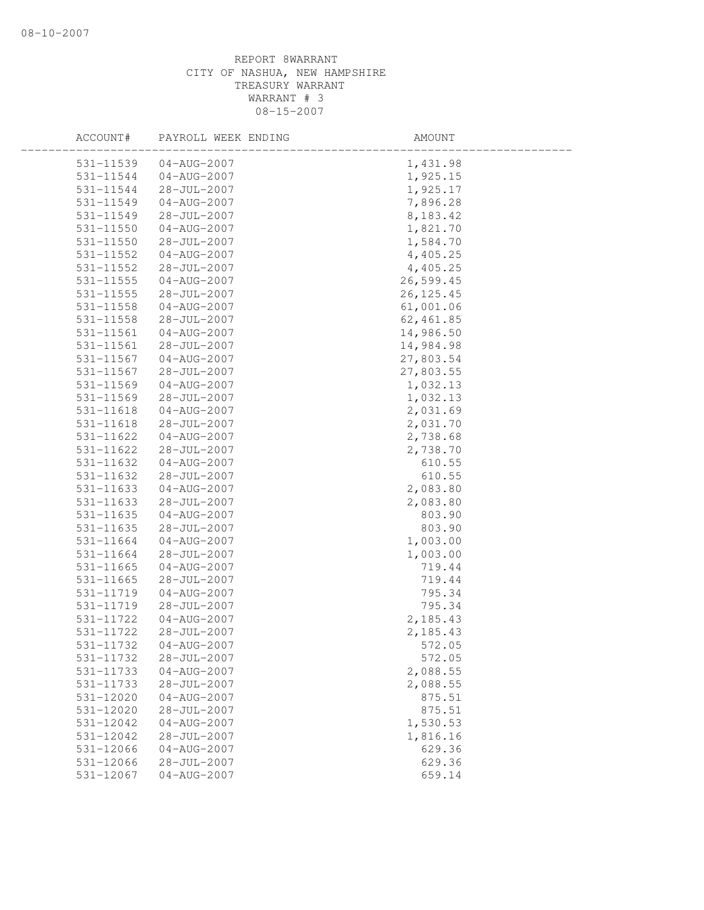| ACCOUNT#      | PAYROLL WEEK ENDING | AMOUNT     |  |
|---------------|---------------------|------------|--|
| 531-11539     | $04 - AUG - 2007$   | 1,431.98   |  |
| 531-11544     | 04-AUG-2007         | 1,925.15   |  |
| 531-11544     | $28 - JUL - 2007$   | 1,925.17   |  |
| 531-11549     | 04-AUG-2007         | 7,896.28   |  |
| 531-11549     | 28-JUL-2007         | 8,183.42   |  |
| 531-11550     | $04 - AUG - 2007$   | 1,821.70   |  |
| 531-11550     | 28-JUL-2007         | 1,584.70   |  |
| 531-11552     | 04-AUG-2007         | 4,405.25   |  |
| 531-11552     | 28-JUL-2007         | 4,405.25   |  |
| $531 - 11555$ | 04-AUG-2007         | 26,599.45  |  |
| 531-11555     | $28 - JUL - 2007$   | 26, 125.45 |  |
| $531 - 11558$ | 04-AUG-2007         | 61,001.06  |  |
| 531-11558     | 28-JUL-2007         | 62,461.85  |  |
| 531-11561     | 04-AUG-2007         | 14,986.50  |  |
| 531-11561     | $28 - JUL - 2007$   | 14,984.98  |  |
| 531-11567     | $04 - AUG - 2007$   | 27,803.54  |  |
| 531-11567     | 28-JUL-2007         | 27,803.55  |  |
| 531-11569     | $04 - AUG - 2007$   | 1,032.13   |  |
| 531-11569     | $28 - JUL - 2007$   | 1,032.13   |  |
| 531-11618     | $04 - AUG - 2007$   | 2,031.69   |  |
| 531-11618     | $28 - JUL - 2007$   | 2,031.70   |  |
| 531-11622     | 04-AUG-2007         | 2,738.68   |  |
| 531-11622     | 28-JUL-2007         | 2,738.70   |  |
| 531-11632     | $04 - AUG - 2007$   | 610.55     |  |
| 531-11632     | 28-JUL-2007         | 610.55     |  |
| 531-11633     | $04 - AUG - 2007$   | 2,083.80   |  |
| 531-11633     | 28-JUL-2007         | 2,083.80   |  |
| 531-11635     | 04-AUG-2007         | 803.90     |  |
| 531-11635     | $28 - JUL - 2007$   | 803.90     |  |
| 531-11664     | $04 - AUG - 2007$   | 1,003.00   |  |
| 531-11664     | 28-JUL-2007         | 1,003.00   |  |
| 531-11665     | $04 - AUG - 2007$   | 719.44     |  |
| 531-11665     | $28 - JUL - 2007$   | 719.44     |  |
| 531-11719     | $04 - AUG - 2007$   | 795.34     |  |
| 531-11719     | 28-JUL-2007         | 795.34     |  |
| 531-11722     | $04 - AUG - 2007$   | 2,185.43   |  |
| 531-11722     | $28 - JUL - 2007$   | 2,185.43   |  |
| 531-11732     | $04 - AUG - 2007$   | 572.05     |  |
| 531-11732     | 28-JUL-2007         | 572.05     |  |
| 531-11733     | $04 - AUG - 2007$   | 2,088.55   |  |
| 531-11733     | $28 - JUL - 2007$   | 2,088.55   |  |
| 531-12020     | $04 - AUG - 2007$   | 875.51     |  |
| 531-12020     | 28-JUL-2007         | 875.51     |  |
| 531-12042     | $04 - AUG - 2007$   | 1,530.53   |  |
| 531-12042     | $28 - JUL - 2007$   | 1,816.16   |  |
| 531-12066     | $04 - AUG - 2007$   | 629.36     |  |
| 531-12066     | 28-JUL-2007         | 629.36     |  |
| 531-12067     | $04 - AUG - 2007$   | 659.14     |  |
|               |                     |            |  |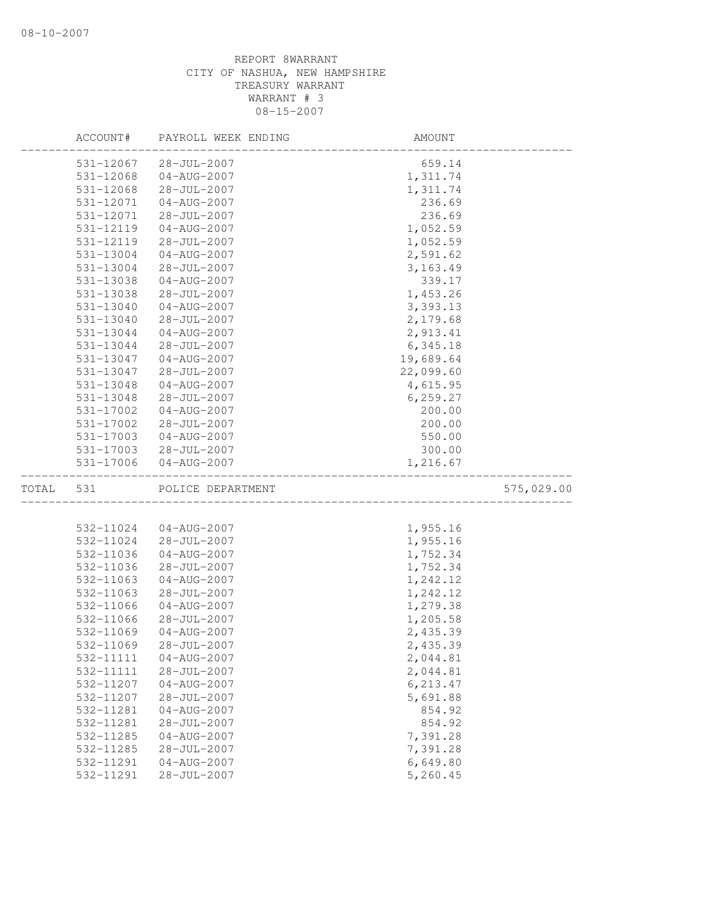|       | ACCOUNT#  | PAYROLL WEEK ENDING | AMOUNT    |            |
|-------|-----------|---------------------|-----------|------------|
|       | 531-12067 | $28 - JUL - 2007$   | 659.14    |            |
|       | 531-12068 | $04 - AUG - 2007$   | 1,311.74  |            |
|       | 531-12068 | $28 - JUL - 2007$   | 1,311.74  |            |
|       | 531-12071 | $04 - AUG - 2007$   | 236.69    |            |
|       | 531-12071 | $28 - JUL - 2007$   | 236.69    |            |
|       | 531-12119 | $04 - AUG - 2007$   | 1,052.59  |            |
|       | 531-12119 | $28 - JUL - 2007$   | 1,052.59  |            |
|       | 531-13004 | $04 - AUG - 2007$   | 2,591.62  |            |
|       | 531-13004 | 28-JUL-2007         | 3, 163.49 |            |
|       | 531-13038 | $04 - AUG - 2007$   | 339.17    |            |
|       | 531-13038 | $28 - JUL - 2007$   | 1,453.26  |            |
|       | 531-13040 | $04 - AUG - 2007$   | 3,393.13  |            |
|       | 531-13040 | 28-JUL-2007         | 2,179.68  |            |
|       | 531-13044 | $04 - AUG - 2007$   | 2,913.41  |            |
|       | 531-13044 | $28 - JUL - 2007$   | 6,345.18  |            |
|       | 531-13047 | $04 - AUG - 2007$   | 19,689.64 |            |
|       | 531-13047 | $28 - JUL - 2007$   | 22,099.60 |            |
|       | 531-13048 | $04 - AUG - 2007$   | 4,615.95  |            |
|       | 531-13048 | $28 - JUL - 2007$   | 6, 259.27 |            |
|       | 531-17002 | $04 - AUG - 2007$   | 200.00    |            |
|       | 531-17002 | $28 - JUL - 2007$   | 200.00    |            |
|       | 531-17003 | $04 - AUG - 2007$   | 550.00    |            |
|       | 531-17003 | 28-JUL-2007         | 300.00    |            |
|       | 531-17006 | $04 - AUG - 2007$   | 1,216.67  |            |
| TOTAL | 531       | POLICE DEPARTMENT   |           | 575,029.00 |
|       |           |                     |           |            |
|       | 532-11024 | $04 - AUG - 2007$   | 1,955.16  |            |
|       | 532-11024 | $28 - JUL - 2007$   | 1,955.16  |            |
|       | 532-11036 | $04 - AUG - 2007$   | 1,752.34  |            |
|       | 532-11036 | 28-JUL-2007         | 1,752.34  |            |
|       | 532-11063 | $04 - AUG - 2007$   | 1,242.12  |            |
|       | 532-11063 | $28 - JUL - 2007$   | 1,242.12  |            |
|       | 532-11066 | $04 - AUG - 2007$   | 1,279.38  |            |
|       | 532-11066 | 28-JUL-2007         | 1,205.58  |            |
|       | 532-11069 | $04 - AUG - 2007$   | 2,435.39  |            |
|       | 532-11069 | $28 - JUL - 2007$   | 2,435.39  |            |
|       | 532-11111 | $04 - AUG - 2007$   | 2,044.81  |            |
|       | 532-11111 | $28 - JUL - 2007$   | 2,044.81  |            |
|       | 532-11207 | $04 - AUG - 2007$   | 6,213.47  |            |
|       | 532-11207 | 28-JUL-2007         | 5,691.88  |            |
|       | 532-11281 | $04 - AUG - 2007$   | 854.92    |            |
|       | 532-11281 | $28 - JUL - 2007$   | 854.92    |            |
|       | 532-11285 | $04 - AUG - 2007$   | 7,391.28  |            |
|       | 532-11285 | $28 - JUL - 2007$   | 7,391.28  |            |
|       | 532-11291 | $04 - AUG - 2007$   | 6,649.80  |            |
|       | 532-11291 | 28-JUL-2007         | 5,260.45  |            |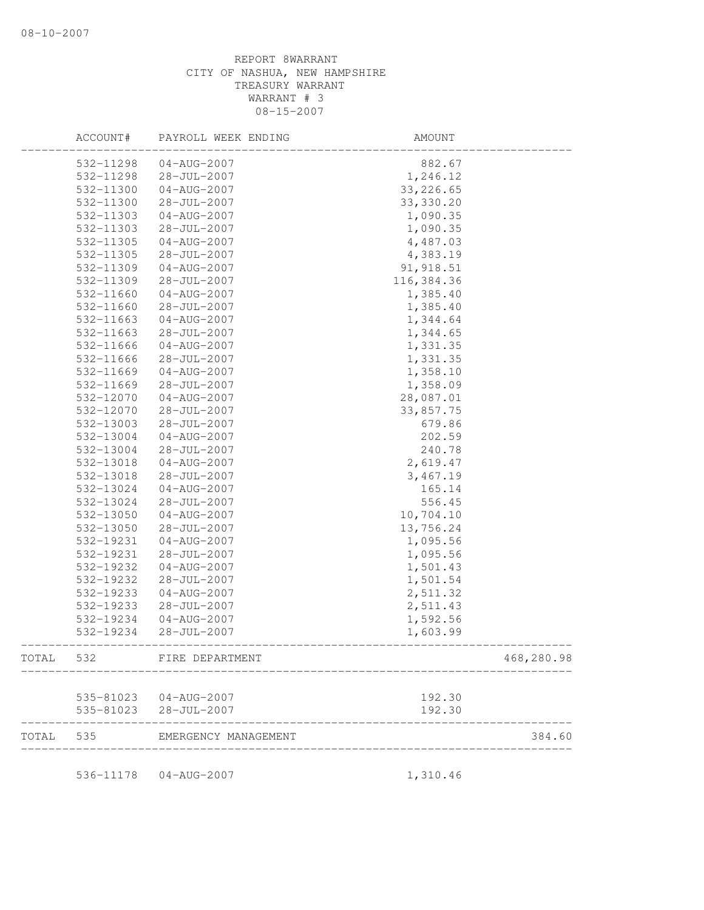|       | ACCOUNT#  | PAYROLL WEEK ENDING    | AMOUNT     |            |
|-------|-----------|------------------------|------------|------------|
|       | 532-11298 | $04 - AUG - 2007$      | 882.67     |            |
|       | 532-11298 | $28 - JUL - 2007$      | 1,246.12   |            |
|       | 532-11300 | $04 - AUG - 2007$      | 33, 226.65 |            |
|       | 532-11300 | $28 - JUL - 2007$      | 33, 330.20 |            |
|       | 532-11303 | 04-AUG-2007            | 1,090.35   |            |
|       | 532-11303 | $28 - JUL - 2007$      | 1,090.35   |            |
|       | 532-11305 | $04 - AUG - 2007$      | 4,487.03   |            |
|       | 532-11305 | 28-JUL-2007            | 4,383.19   |            |
|       | 532-11309 | 04-AUG-2007            | 91, 918.51 |            |
|       | 532-11309 | 28-JUL-2007            | 116,384.36 |            |
|       | 532-11660 | $04 - AUG - 2007$      | 1,385.40   |            |
|       | 532-11660 | 28-JUL-2007            | 1,385.40   |            |
|       | 532-11663 | $04 - AUG - 2007$      | 1,344.64   |            |
|       | 532-11663 | 28-JUL-2007            | 1,344.65   |            |
|       | 532-11666 | $04 - AUG - 2007$      | 1,331.35   |            |
|       | 532-11666 | 28-JUL-2007            | 1,331.35   |            |
|       | 532-11669 | $04 - AUG - 2007$      | 1,358.10   |            |
|       | 532-11669 | $28 - JUL - 2007$      | 1,358.09   |            |
|       | 532-12070 | $04 - AUG - 2007$      | 28,087.01  |            |
|       | 532-12070 | $28 - JUL - 2007$      | 33,857.75  |            |
|       | 532-13003 | $28 - JUL - 2007$      | 679.86     |            |
|       | 532-13004 | $04 - AUG - 2007$      | 202.59     |            |
|       | 532-13004 | 28-JUL-2007            | 240.78     |            |
|       | 532-13018 | $04 - AUG - 2007$      | 2,619.47   |            |
|       | 532-13018 | $28 - JUL - 2007$      | 3,467.19   |            |
|       | 532-13024 | 04-AUG-2007            | 165.14     |            |
|       | 532-13024 | 28-JUL-2007            | 556.45     |            |
|       | 532-13050 | $04 - AUG - 2007$      | 10,704.10  |            |
|       | 532-13050 | $28 - JUL - 2007$      | 13,756.24  |            |
|       | 532-19231 | $04 - AUG - 2007$      | 1,095.56   |            |
|       | 532-19231 | $28 - JUL - 2007$      | 1,095.56   |            |
|       | 532-19232 | $04 - AUG - 2007$      | 1,501.43   |            |
|       | 532-19232 | 28-JUL-2007            | 1,501.54   |            |
|       | 532-19233 | $04 - AUG - 2007$      | 2,511.32   |            |
|       | 532-19233 | 28-JUL-2007            | 2,511.43   |            |
|       | 532-19234 | 04-AUG-2007            | 1,592.56   |            |
|       | 532-19234 | $28 - JUL - 2007$      | 1,603.99   |            |
| TOTAL | 532       | FIRE DEPARTMENT        |            | 468,280.98 |
|       |           |                        |            |            |
|       |           | 535-81023  04-AUG-2007 | 192.30     |            |
|       | 535-81023 | $28 - JUL - 2007$      | 192.30     |            |
| TOTAL | 535       | EMERGENCY MANAGEMENT   |            | 384.60     |
|       | 536-11178 | 04-AUG-2007            |            |            |
|       |           |                        | 1,310.46   |            |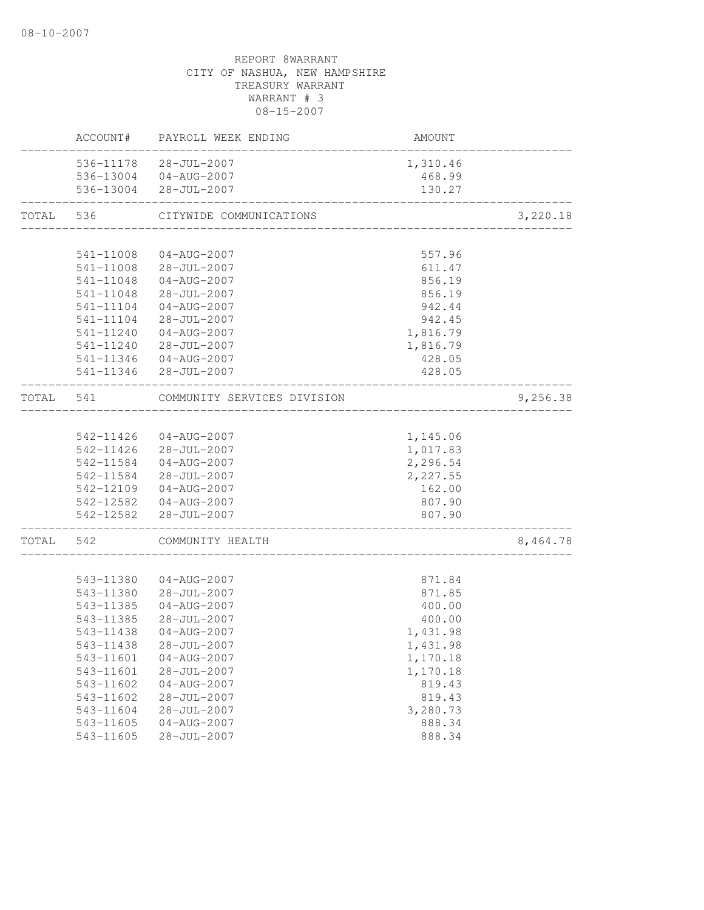|           |                        | ACCOUNT# PAYROLL WEEK ENDING             | AMOUNT                           |          |
|-----------|------------------------|------------------------------------------|----------------------------------|----------|
|           |                        | 536-11178 28-JUL-2007                    | 1,310.46                         |          |
|           |                        | 536-13004 04-AUG-2007                    | 468.99                           |          |
|           |                        | 536-13004 28-JUL-2007                    | 130.27                           |          |
| TOTAL     | 536                    | CITYWIDE COMMUNICATIONS                  | ________________________________ | 3,220.18 |
|           |                        |                                          |                                  |          |
|           | 541-11008              | 04-AUG-2007                              | 557.96                           |          |
|           |                        | 541-11008 28-JUL-2007                    | 611.47                           |          |
|           | 541-11048              | 04-AUG-2007                              | 856.19                           |          |
|           | 541-11048              | 28-JUL-2007                              | 856.19                           |          |
|           | 541-11104              | 04-AUG-2007                              | 942.44                           |          |
|           | 541-11104              | $28 - JUL - 2007$                        | 942.45                           |          |
|           | 541-11240              | $04 - AUG - 2007$                        | 1,816.79                         |          |
|           | 541-11240              | $28 - JUL - 2007$                        | 1,816.79                         |          |
|           | 541-11346              | 04-AUG-2007                              | 428.05                           |          |
|           | 541-11346              | $28 - JUL - 2007$                        | 428.05                           |          |
| TOTAL     | 541                    | COMMUNITY SERVICES DIVISION              |                                  | 9,256.38 |
|           |                        |                                          |                                  |          |
|           | 542-11426              | 04-AUG-2007                              | 1,145.06                         |          |
|           |                        | 542-11426 28-JUL-2007                    | 1,017.83                         |          |
|           | 542-11584              | $04 - AUG - 2007$                        | 2,296.54                         |          |
|           | 542-11584              | 28-JUL-2007                              | 2,227.55                         |          |
|           |                        | 542-12109 04-AUG-2007                    | 162.00                           |          |
|           |                        | 542-12582  04-AUG-2007                   | 807.90                           |          |
|           | 542-12582              | 28-JUL-2007<br>------------------------- | 807.90                           |          |
| TOTAL 542 |                        | COMMUNITY HEALTH                         |                                  | 8,464.78 |
|           |                        |                                          |                                  |          |
|           | 543-11380              | $04 - AUG - 2007$                        | 871.84                           |          |
|           | 543-11380              | 28-JUL-2007                              | 871.85                           |          |
|           | 543-11385              | $04 - AUG - 2007$                        | 400.00                           |          |
|           | 543-11385              | 28-JUL-2007                              | 400.00                           |          |
|           | 543-11438              | $04 - AUG - 2007$                        | 1,431.98                         |          |
|           | 543-11438              | 28-JUL-2007                              | 1,431.98                         |          |
|           | 543-11601              | $04 - AUG - 2007$                        | 1,170.18                         |          |
|           | 543-11601              | 28-JUL-2007                              | 1,170.18                         |          |
|           | 543-11602              | $04 - AUG - 2007$                        | 819.43                           |          |
|           | 543-11602              | 28-JUL-2007                              | 819.43                           |          |
|           | 543-11604              | 28-JUL-2007<br>$04 - AUG - 2007$         | 3,280.73<br>888.34               |          |
|           | 543-11605<br>543-11605 | $28 - JUL - 2007$                        | 888.34                           |          |
|           |                        |                                          |                                  |          |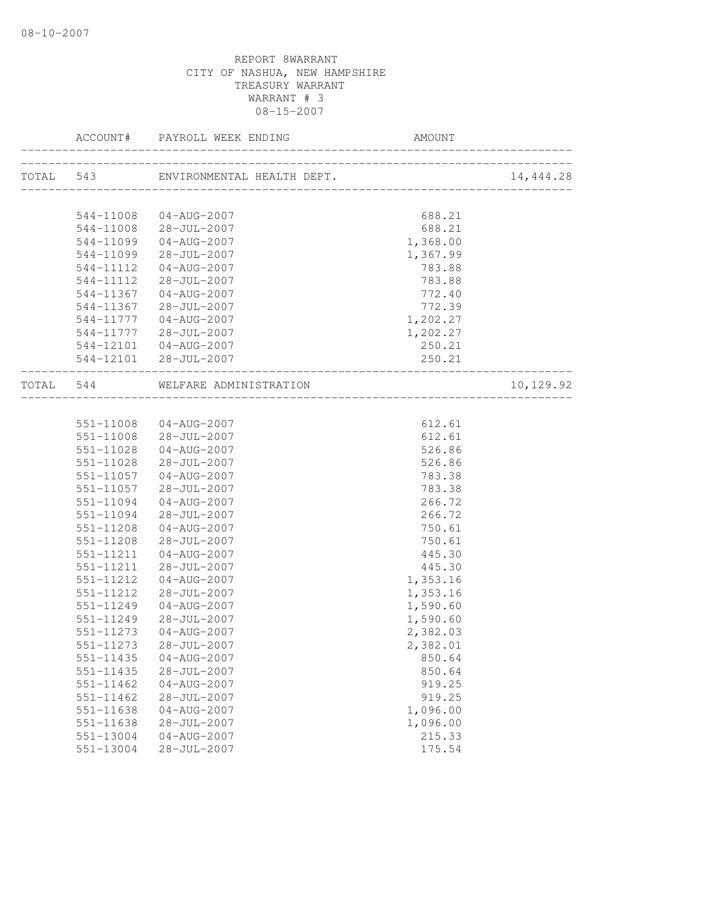| ACCOUNT#               | PAYROLL WEEK ENDING                                       |                               |           |
|------------------------|-----------------------------------------------------------|-------------------------------|-----------|
|                        | TOTAL 543 ENVIRONMENTAL HEALTH DEPT.                      | _____________________________ | 14,444.28 |
|                        |                                                           |                               |           |
| 544-11008              | 544-11008 04-AUG-2007<br>$28 - JUL - 2007$                | 688.21<br>688.21              |           |
| 544-11099              | 04-AUG-2007                                               | 1,368.00                      |           |
| 544-11099              | 28-JUL-2007                                               | 1,367.99                      |           |
| 544-11112              | $04 - AUG - 2007$                                         | 783.88                        |           |
| 544-11112              | 28-JUL-2007                                               | 783.88                        |           |
| 544-11367              | 04-AUG-2007                                               | 772.40                        |           |
| 544-11367              | 28-JUL-2007                                               | 772.39                        |           |
| 544-11777              | $04 - AUG - 2007$                                         | 1,202.27                      |           |
| 544-11777              | $28 - JUL - 2007$                                         | 1,202.27                      |           |
| 544-12101              | $04 - AUG - 2007$                                         | 250.21                        |           |
|                        | 544-12101 28-JUL-2007<br>________________________________ | 250.21                        |           |
|                        | TOTAL 544 WELFARE ADMINISTRATION                          |                               | 10,129.92 |
|                        |                                                           |                               |           |
|                        | 551-11008 04-AUG-2007                                     | 612.61                        |           |
|                        | 551-11008 28-JUL-2007                                     | 612.61                        |           |
| 551-11028              | $04 - AUG - 2007$                                         | 526.86                        |           |
| 551-11028              | $28 - JUL - 2007$                                         | 526.86                        |           |
| 551-11057              | 04-AUG-2007                                               | 783.38                        |           |
| 551-11057              | 28-JUL-2007                                               | 783.38                        |           |
| 551-11094              | 04-AUG-2007                                               | 266.72                        |           |
| 551-11094              | $28 - JUL - 2007$                                         | 266.72                        |           |
| 551-11208              | 04-AUG-2007                                               | 750.61                        |           |
| 551-11208              | 28-JUL-2007                                               | 750.61                        |           |
| 551-11211              | 04-AUG-2007                                               | 445.30                        |           |
| 551-11211              | 28-JUL-2007                                               | 445.30                        |           |
| 551-11212              | $04 - AUG - 2007$                                         | 1,353.16                      |           |
| 551-11212<br>551-11249 | 28-JUL-2007<br>$04 - AUG - 2007$                          | 1,353.16                      |           |
| 551-11249              | 28-JUL-2007                                               | 1,590.60<br>1,590.60          |           |
| 551-11273              | 04-AUG-2007                                               | 2,382.03                      |           |
| 551-11273              | 28-JUL-2007                                               | 2,382.01                      |           |
| 551-11435              | $04 - AUG - 2007$                                         | 850.64                        |           |
| $551 - 11435$          | $28 - JUL - 2007$                                         | 850.64                        |           |
| 551-11462              | $04 - AUG - 2007$                                         | 919.25                        |           |
| 551-11462              | 28-JUL-2007                                               | 919.25                        |           |
| 551-11638              | $04 - AUG - 2007$                                         | 1,096.00                      |           |
| 551-11638              | $28 - JUL - 2007$                                         | 1,096.00                      |           |
| 551-13004              | $04 - AUG - 2007$                                         | 215.33                        |           |
| 551-13004              | 28-JUL-2007                                               | 175.54                        |           |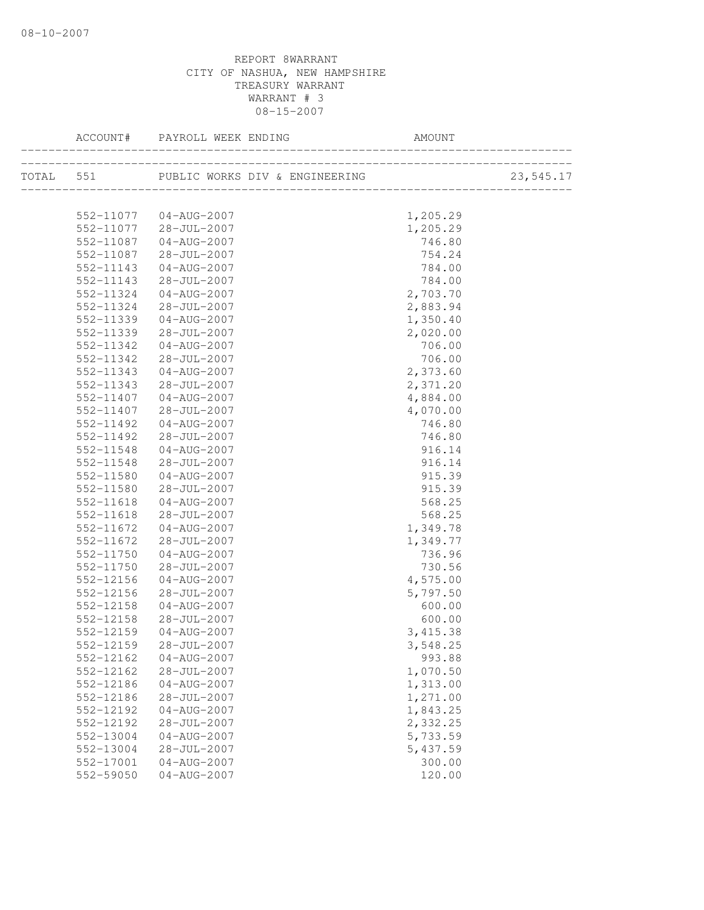|                        |                                  |                      | 23,545.17 |
|------------------------|----------------------------------|----------------------|-----------|
|                        | 552-11077  04-AUG-2007           | 1,205.29             |           |
| 552-11077              | $28 - JUL - 2007$                | 1,205.29             |           |
| 552-11087              | $04 - AUG - 2007$                | 746.80               |           |
| 552-11087              | 28-JUL-2007                      | 754.24               |           |
| 552-11143              | $04 - AUG - 2007$                | 784.00               |           |
| 552-11143              | 28-JUL-2007                      | 784.00               |           |
| 552-11324              | 04-AUG-2007                      | 2,703.70             |           |
| 552-11324              | 28-JUL-2007                      | 2,883.94             |           |
| 552-11339              | 04-AUG-2007                      | 1,350.40             |           |
| 552-11339              | 28-JUL-2007                      | 2,020.00             |           |
| 552-11342              | $04 - AUG - 2007$                | 706.00               |           |
| 552-11342              | 28-JUL-2007                      | 706.00               |           |
| 552-11343              | $04 - AUG - 2007$                | 2,373.60             |           |
| 552-11343              | 28-JUL-2007                      | 2,371.20             |           |
| 552-11407              | $04 - AUG - 2007$                | 4,884.00             |           |
| 552-11407              | 28-JUL-2007                      | 4,070.00             |           |
| 552-11492              | 04-AUG-2007                      | 746.80               |           |
| 552-11492              | $28 - JUL - 2007$                | 746.80               |           |
| 552-11548              | $04 - AUG - 2007$                | 916.14               |           |
| 552-11548              | 28-JUL-2007                      | 916.14               |           |
| 552-11580              | $04 - AUG - 2007$                | 915.39               |           |
| 552-11580              | 28-JUL-2007                      | 915.39               |           |
| 552-11618              | $04 - AUG - 2007$<br>28-JUL-2007 | 568.25               |           |
| 552-11618<br>552-11672 | $04 - AUG - 2007$                | 568.25               |           |
| 552-11672              | 28-JUL-2007                      | 1,349.78<br>1,349.77 |           |
| 552-11750              | $04 - AUG - 2007$                | 736.96               |           |
| 552-11750              | 28-JUL-2007                      | 730.56               |           |
| 552-12156              | $04 - AUG - 2007$                | 4,575.00             |           |
| 552-12156              | 28-JUL-2007                      | 5,797.50             |           |
| 552-12158              | $04 - AUG - 2007$                | 600.00               |           |
| 552-12158              | 28-JUL-2007                      | 600.00               |           |
| 552-12159              | $04 - AUG - 2007$                | 3, 415.38            |           |
| 552-12159              | 28-JUL-2007                      | 3,548.25             |           |
| 552-12162              | $04 - AUG - 2007$                | 993.88               |           |
| 552-12162              | $28 - JUL - 2007$                | 1,070.50             |           |
| 552-12186              | $04 - AUG - 2007$                | 1,313.00             |           |
| 552-12186              | 28-JUL-2007                      | 1,271.00             |           |
| 552-12192              | $04 - AUG - 2007$                | 1,843.25             |           |
| 552-12192              | $28 - JUL - 2007$                | 2,332.25             |           |
| 552-13004              | $04 - AUG - 2007$                | 5,733.59             |           |
| 552-13004              | 28-JUL-2007                      | 5,437.59             |           |
| 552-17001              | $04 - AUG - 2007$                | 300.00               |           |
| 552-59050              | $04 - AUG - 2007$                | 120.00               |           |
|                        |                                  |                      |           |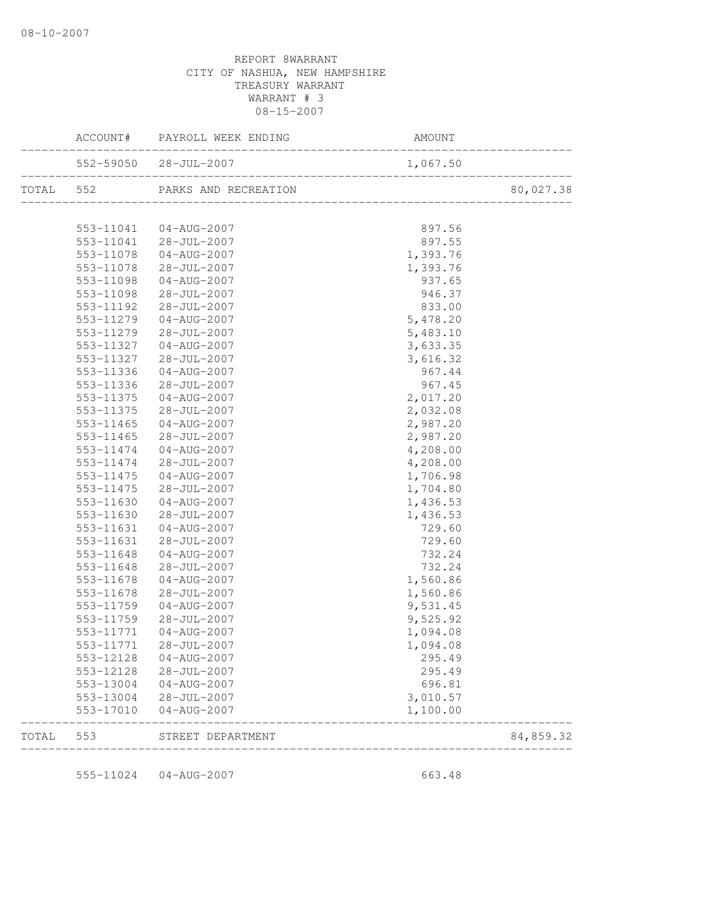|       |                        | ACCOUNT# PAYROLL WEEK ENDING         | AMOUNT           |                         |
|-------|------------------------|--------------------------------------|------------------|-------------------------|
|       |                        | $552-59050$ $28-JUL-2007$ $1,067.50$ |                  | .<br>------------------ |
|       |                        | TOTAL 552 PARKS AND RECREATION       |                  | 80,027.38               |
|       |                        |                                      |                  |                         |
|       | 553-11041              | 04-AUG-2007                          | 897.56           |                         |
|       |                        | 553-11041 28-JUL-2007                | 897.55           |                         |
|       | 553-11078              | 04-AUG-2007                          | 1,393.76         |                         |
|       | 553-11078              | 28-JUL-2007                          | 1,393.76         |                         |
|       | 553-11098              | 04-AUG-2007                          | 937.65           |                         |
|       | 553-11098              | 28-JUL-2007                          | 946.37           |                         |
|       | 553-11192              | 28-JUL-2007                          | 833.00           |                         |
|       | 553-11279              | 04-AUG-2007                          | 5,478.20         |                         |
|       | 553-11279              | 28-JUL-2007                          | 5,483.10         |                         |
|       | 553-11327              | 04-AUG-2007                          | 3,633.35         |                         |
|       | 553-11327              | 28-JUL-2007                          | 3,616.32         |                         |
|       | 553-11336              | 04-AUG-2007                          | 967.44           |                         |
|       | 553-11336              | 28-JUL-2007                          | 967.45           |                         |
|       | 553-11375              | $04 - AUG - 2007$                    | 2,017.20         |                         |
|       | 553-11375              | 28-JUL-2007                          | 2,032.08         |                         |
|       | 553-11465              | $04 - AUG - 2007$                    | 2,987.20         |                         |
|       | 553-11465              | 28-JUL-2007                          | 2,987.20         |                         |
|       | 553-11474              | $04 - AUG - 2007$                    | 4,208.00         |                         |
|       | 553-11474              | 28-JUL-2007                          | 4,208.00         |                         |
|       | 553-11475              | 04-AUG-2007                          | 1,706.98         |                         |
|       | 553-11475              | 28-JUL-2007                          | 1,704.80         |                         |
|       | 553-11630              | 04-AUG-2007                          | 1,436.53         |                         |
|       | 553-11630              | 28-JUL-2007                          | 1,436.53         |                         |
|       | 553-11631              | 04-AUG-2007                          | 729.60           |                         |
|       | 553-11631              | 28-JUL-2007                          | 729.60           |                         |
|       | 553-11648<br>553-11648 | 04-AUG-2007                          | 732.24<br>732.24 |                         |
|       | 553-11678              | 28-JUL-2007<br>04-AUG-2007           | 1,560.86         |                         |
|       | 553-11678              | 28-JUL-2007                          | 1,560.86         |                         |
|       | 553-11759              | 04-AUG-2007                          | 9,531.45         |                         |
|       | 553-11759              | 28-JUL-2007                          | 9,525.92         |                         |
|       | 553-11771              | 04-AUG-2007                          | 1,094.08         |                         |
|       |                        | 553-11771 28-JUL-2007                | 1,094.08         |                         |
|       | 553-12128              | $04 - AUG - 2007$                    | 295.49           |                         |
|       | 553-12128              | 28-JUL-2007                          | 295.49           |                         |
|       | 553-13004              | 04-AUG-2007                          | 696.81           |                         |
|       | 553-13004              | 28-JUL-2007                          | 3,010.57         |                         |
|       | 553-17010              | $04 - AUG - 2007$                    | 1,100.00         |                         |
| TOTAL | 553                    | STREET DEPARTMENT                    |                  | 84,859.32               |

555-11024 04-AUG-2007 663.48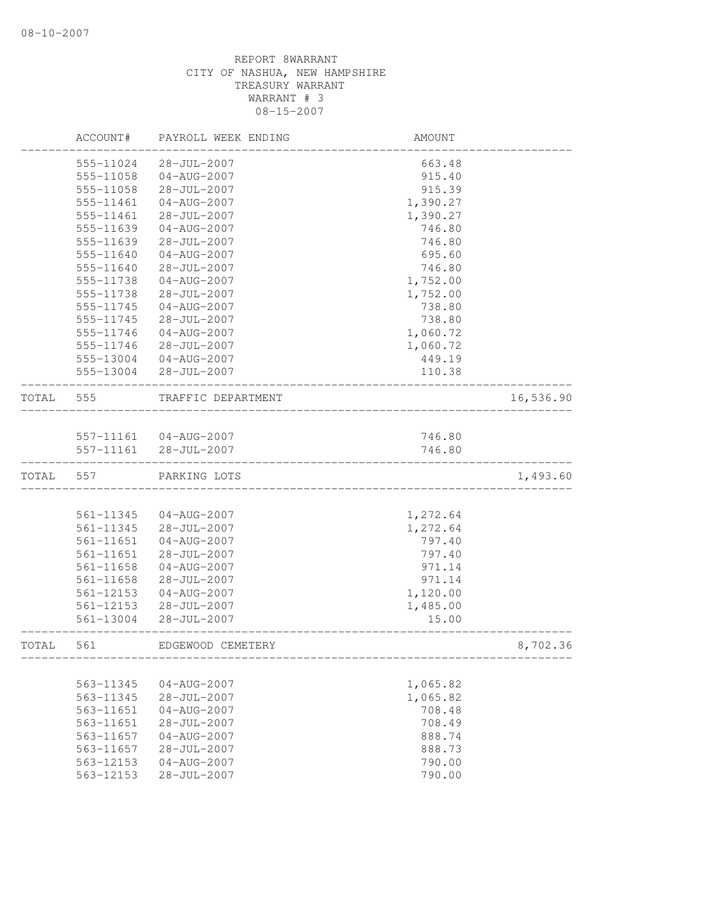|       | ACCOUNT#      | PAYROLL WEEK ENDING    | AMOUNT   |           |
|-------|---------------|------------------------|----------|-----------|
|       | 555-11024     | $28 - JUL - 2007$      | 663.48   |           |
|       | 555-11058     | $04 - AUG - 2007$      | 915.40   |           |
|       | 555-11058     | 28-JUL-2007            | 915.39   |           |
|       | 555-11461     | 04-AUG-2007            | 1,390.27 |           |
|       | 555-11461     | 28-JUL-2007            | 1,390.27 |           |
|       | 555-11639     | $04 - AUG - 2007$      | 746.80   |           |
|       | 555-11639     | $28 - JUL - 2007$      | 746.80   |           |
|       | 555-11640     | $04 - AUG - 2007$      | 695.60   |           |
|       | 555-11640     | $28 - JUL - 2007$      | 746.80   |           |
|       | 555-11738     | $04 - AUG - 2007$      | 1,752.00 |           |
|       | 555-11738     | 28-JUL-2007            | 1,752.00 |           |
|       | 555-11745     | $04 - AUG - 2007$      | 738.80   |           |
|       | 555-11745     | $28 - JUL - 2007$      | 738.80   |           |
|       | 555-11746     | $04 - AUG - 2007$      | 1,060.72 |           |
|       | 555-11746     | $28 - JUL - 2007$      | 1,060.72 |           |
|       | 555-13004     | 04-AUG-2007            | 449.19   |           |
|       | 555-13004     | 28-JUL-2007            | 110.38   |           |
| TOTAL | 555           | TRAFFIC DEPARTMENT     |          | 16,536.90 |
|       |               | 557-11161  04-AUG-2007 | 746.80   |           |
|       | 557-11161     | $28 - JUL - 2007$      | 746.80   |           |
|       |               |                        |          |           |
| TOTAL | 557           | PARKING LOTS           |          | 1,493.60  |
|       |               |                        |          |           |
|       | 561-11345     | $04 - AUG - 2007$      | 1,272.64 |           |
|       | 561-11345     | $28 - JUL - 2007$      | 1,272.64 |           |
|       | 561-11651     | $04 - AUG - 2007$      | 797.40   |           |
|       | 561-11651     | 28-JUL-2007            | 797.40   |           |
|       | 561-11658     | $04 - AUG - 2007$      | 971.14   |           |
|       | 561-11658     | 28-JUL-2007            | 971.14   |           |
|       | $561 - 12153$ | $04 - AUG - 2007$      | 1,120.00 |           |
|       | 561-12153     | 28-JUL-2007            | 1,485.00 |           |
|       | 561-13004     | $28 - JUL - 2007$      | 15.00    |           |
| TOTAL | 561           | EDGEWOOD CEMETERY      |          | 8,702.36  |
|       |               |                        |          |           |
|       | 563-11345     | $04 - AUG - 2007$      | 1,065.82 |           |
|       | 563-11345     | $28 - JUL - 2007$      | 1,065.82 |           |
|       | 563-11651     | $04 - AUG - 2007$      | 708.48   |           |
|       | 563-11651     | $28 - JUL - 2007$      | 708.49   |           |
|       | 563-11657     | $04 - AUG - 2007$      | 888.74   |           |
|       | 563-11657     | $28 - JUL - 2007$      | 888.73   |           |
|       | 563-12153     | $04 - AUG - 2007$      | 790.00   |           |
|       | 563-12153     | 28-JUL-2007            | 790.00   |           |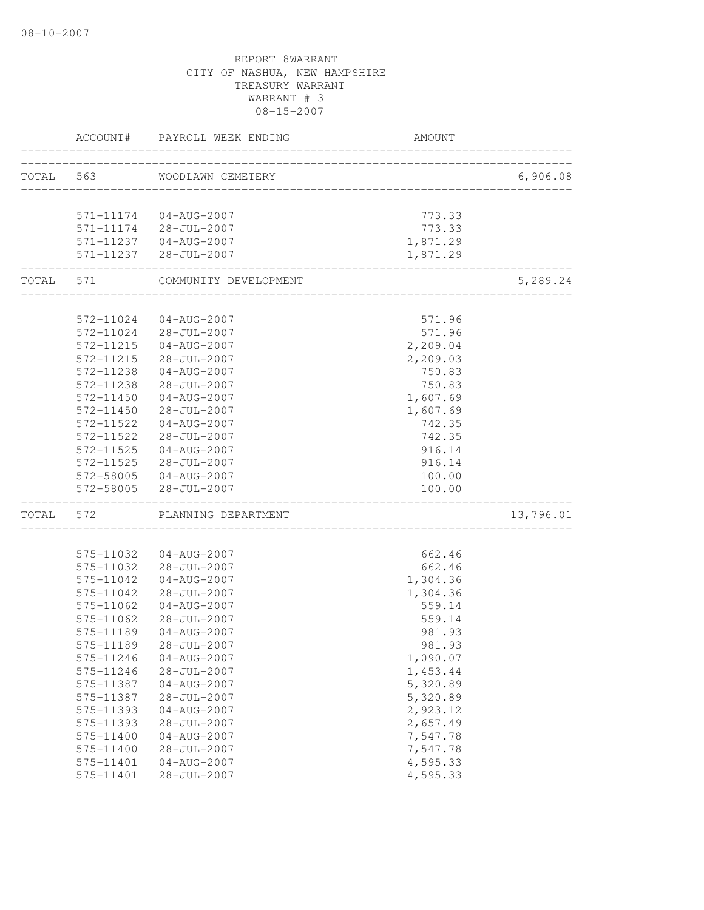|           | ACCOUNT#               | PAYROLL WEEK ENDING                    | <b>AMOUNT</b>                  |           |
|-----------|------------------------|----------------------------------------|--------------------------------|-----------|
|           |                        | TOTAL 563 WOODLAWN CEMETERY            | ______________________________ | 6,906.08  |
|           |                        |                                        |                                |           |
|           |                        | 571-11174  04-AUG-2007                 | 773.33                         |           |
|           |                        | 571-11174 28-JUL-2007                  | 773.33                         |           |
|           |                        | 571-11237 04-AUG-2007                  | 1,871.29                       |           |
|           | -----------------      | 571-11237 28-JUL-2007                  | 1,871.29                       |           |
| TOTAL 571 |                        | COMMUNITY DEVELOPMENT                  |                                | 5,289.24  |
|           |                        |                                        |                                |           |
|           | 572-11024              | 04-AUG-2007                            | 571.96                         |           |
|           | 572-11024              | 28-JUL-2007                            | 571.96                         |           |
|           | 572-11215              | 04-AUG-2007                            | 2,209.04                       |           |
|           | 572-11215              | $28 - JUL - 2007$                      | 2,209.03                       |           |
|           | 572-11238              | $04 - AUG - 2007$                      | 750.83                         |           |
|           | 572-11238              | 28-JUL-2007                            | 750.83                         |           |
|           | 572-11450              | $04 - AUG - 2007$                      | 1,607.69                       |           |
|           | 572-11450              | $28 - JUL - 2007$<br>$04 - AUG - 2007$ | 1,607.69                       |           |
|           | 572-11522<br>572-11522 | $28 - JUL - 2007$                      | 742.35<br>742.35               |           |
|           | 572-11525              | $04 - AUG - 2007$                      | 916.14                         |           |
|           |                        |                                        | 916.14                         |           |
|           | 572-11525              | 28-JUL-2007                            |                                |           |
|           | 572-58005<br>572-58005 | 04-AUG-2007<br>28-JUL-2007             | 100.00<br>100.00               |           |
| TOTAL     | 572                    | PLANNING DEPARTMENT                    |                                | 13,796.01 |
|           |                        |                                        |                                |           |
|           | 575-11032              | 04-AUG-2007                            | 662.46                         |           |
|           | 575-11032              | 28-JUL-2007                            | 662.46                         |           |
|           | 575-11042              | 04-AUG-2007                            | 1,304.36                       |           |
|           | 575-11042              | $28 - JUL - 2007$                      | 1,304.36                       |           |
|           | 575-11062              | $04 - AUG - 2007$                      | 559.14                         |           |
|           | 575-11062              | 28-JUL-2007                            | 559.14                         |           |
|           | 575-11189              | $04 - AUG - 2007$                      | 981.93                         |           |
|           | 575-11189              | $28 - JUL - 2007$                      | 981.93                         |           |
|           | 575-11246              | $04 - AUG - 2007$                      | 1,090.07                       |           |
|           | 575-11246              | $28 - JUL - 2007$                      | 1,453.44                       |           |
|           | 575-11387              | $04 - AUG - 2007$                      | 5,320.89                       |           |
|           | 575-11387              | 28-JUL-2007                            | 5,320.89                       |           |
|           | 575-11393              | $04 - AUG - 2007$                      | 2,923.12                       |           |
|           | 575-11393              | 28-JUL-2007                            | 2,657.49                       |           |
|           | 575-11400              | $04 - AUG - 2007$                      | 7,547.78                       |           |
|           | 575-11400              | 28-JUL-2007                            | 7,547.78                       |           |
|           | 575-11401              | $04 - AUG - 2007$                      | 4,595.33                       |           |
|           | 575-11401              | 28-JUL-2007                            | 4,595.33                       |           |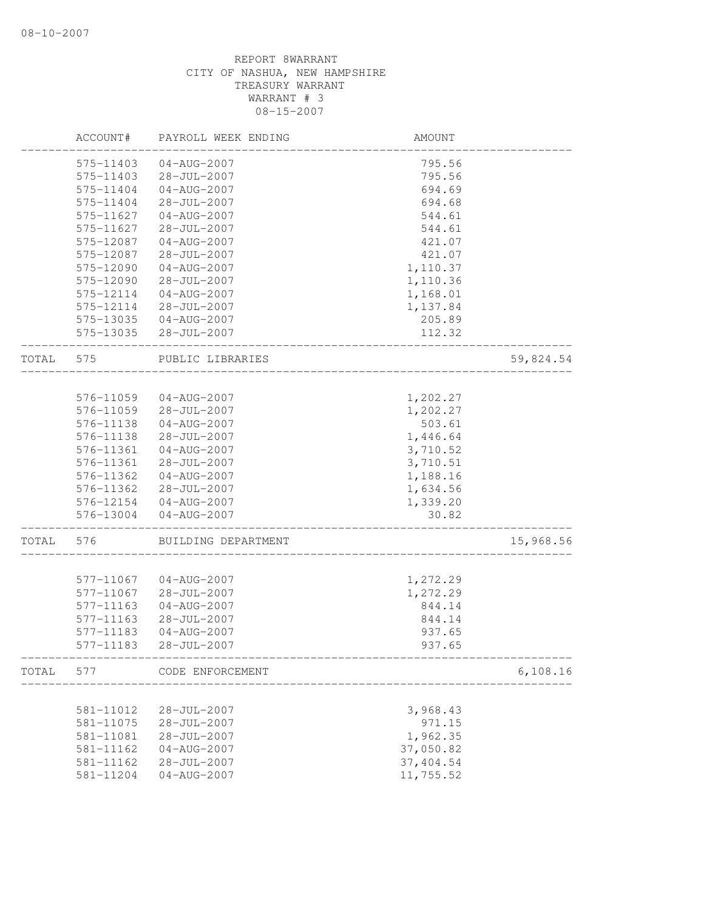|       | ACCOUNT#  | PAYROLL WEEK ENDING | AMOUNT    |           |
|-------|-----------|---------------------|-----------|-----------|
|       | 575-11403 | $04 - AUG - 2007$   | 795.56    |           |
|       | 575-11403 | 28-JUL-2007         | 795.56    |           |
|       | 575-11404 | $04 - AUG - 2007$   | 694.69    |           |
|       | 575-11404 | 28-JUL-2007         | 694.68    |           |
|       | 575-11627 | $04 - AUG - 2007$   | 544.61    |           |
|       | 575-11627 | $28 - JUL - 2007$   | 544.61    |           |
|       | 575-12087 | $04 - AUG - 2007$   | 421.07    |           |
|       | 575-12087 | 28-JUL-2007         | 421.07    |           |
|       | 575-12090 | $04 - AUG - 2007$   | 1,110.37  |           |
|       | 575-12090 | $28 - JUL - 2007$   | 1,110.36  |           |
|       | 575-12114 | $04 - AUG - 2007$   | 1,168.01  |           |
|       | 575-12114 | $28 - JUL - 2007$   | 1,137.84  |           |
|       | 575-13035 | 04-AUG-2007         | 205.89    |           |
|       | 575-13035 | 28-JUL-2007         | 112.32    |           |
| TOTAL | 575       | PUBLIC LIBRARIES    |           | 59,824.54 |
|       |           |                     |           |           |
|       | 576-11059 | 04-AUG-2007         | 1,202.27  |           |
|       | 576-11059 | 28-JUL-2007         | 1,202.27  |           |
|       | 576-11138 | $04 - AUG - 2007$   | 503.61    |           |
|       | 576-11138 | 28-JUL-2007         | 1,446.64  |           |
|       | 576-11361 | $04 - AUG - 2007$   | 3,710.52  |           |
|       | 576-11361 | $28 - JUL - 2007$   | 3,710.51  |           |
|       | 576-11362 | $04 - AUG - 2007$   | 1,188.16  |           |
|       | 576-11362 | $28 - JUL - 2007$   | 1,634.56  |           |
|       | 576-12154 | 04-AUG-2007         | 1,339.20  |           |
|       | 576-13004 | $04 - AUG - 2007$   | 30.82     |           |
| TOTAL | 576       | BUILDING DEPARTMENT |           | 15,968.56 |
|       |           |                     |           |           |
|       | 577-11067 | $04 - AUG - 2007$   | 1,272.29  |           |
|       | 577-11067 | 28-JUL-2007         | 1,272.29  |           |
|       | 577-11163 | $04 - AUG - 2007$   | 844.14    |           |
|       | 577-11163 | $28 - JUL - 2007$   | 844.14    |           |
|       | 577-11183 | $04 - AUG - 2007$   | 937.65    |           |
|       | 577-11183 | $28 - JUL - 2007$   | 937.65    |           |
| TOTAL | 577       | CODE ENFORCEMENT    |           | 6,108.16  |
|       |           |                     |           |           |
|       | 581-11012 | 28-JUL-2007         | 3,968.43  |           |
|       | 581-11075 | $28 - JUL - 2007$   | 971.15    |           |
|       | 581-11081 | 28-JUL-2007         | 1,962.35  |           |
|       | 581-11162 | $04 - AUG - 2007$   | 37,050.82 |           |
|       | 581-11162 | 28-JUL-2007         | 37,404.54 |           |
|       | 581-11204 | $04 - AUG - 2007$   | 11,755.52 |           |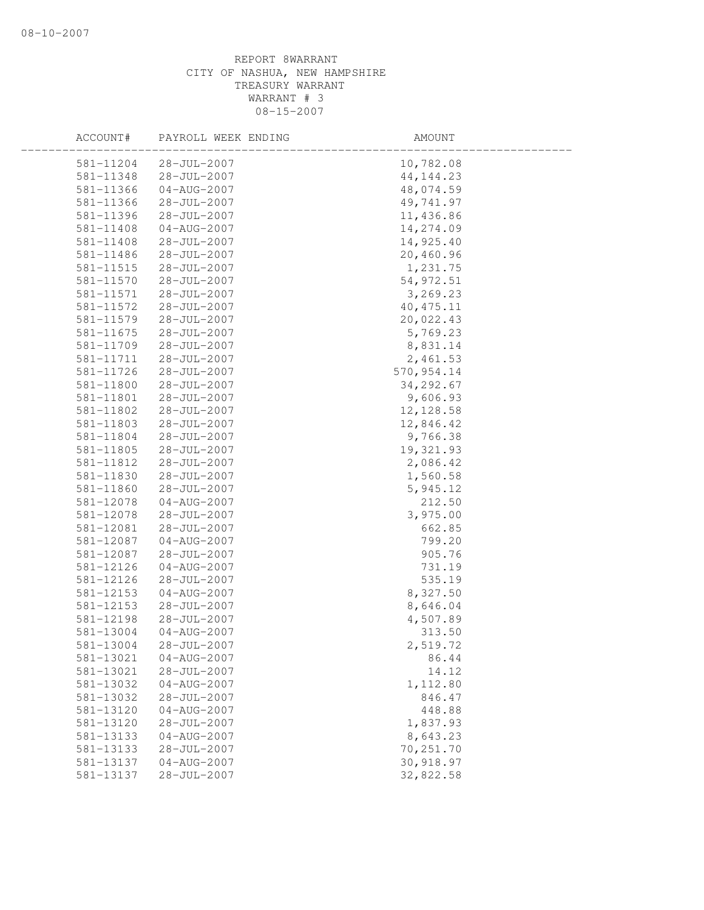| ACCOUNT#  | PAYROLL WEEK ENDING | AMOUNT      |  |
|-----------|---------------------|-------------|--|
| 581-11204 | $28 - JUL - 2007$   | 10,782.08   |  |
| 581-11348 | $28 - JUL - 2007$   | 44, 144. 23 |  |
| 581-11366 | $04 - AUG - 2007$   | 48,074.59   |  |
| 581-11366 | 28-JUL-2007         | 49,741.97   |  |
| 581-11396 | 28-JUL-2007         | 11,436.86   |  |
| 581-11408 | $04 - AUG - 2007$   | 14,274.09   |  |
| 581-11408 | 28-JUL-2007         | 14,925.40   |  |
| 581-11486 | 28-JUL-2007         | 20,460.96   |  |
| 581-11515 | 28-JUL-2007         | 1,231.75    |  |
| 581-11570 | 28-JUL-2007         | 54, 972.51  |  |
| 581-11571 | $28 - JUL - 2007$   | 3,269.23    |  |
| 581-11572 | $28 - JUL - 2007$   | 40, 475.11  |  |
| 581-11579 | 28-JUL-2007         | 20,022.43   |  |
| 581-11675 | 28-JUL-2007         | 5,769.23    |  |
| 581-11709 | $28 - JUL - 2007$   | 8,831.14    |  |
| 581-11711 | 28-JUL-2007         | 2,461.53    |  |
| 581-11726 | 28-JUL-2007         | 570, 954.14 |  |
| 581-11800 | 28-JUL-2007         | 34, 292.67  |  |
| 581-11801 | $28 - JUL - 2007$   | 9,606.93    |  |
| 581-11802 | $28 - JUL - 2007$   | 12, 128.58  |  |
| 581-11803 | $28 - JUL - 2007$   | 12,846.42   |  |
| 581-11804 | $28 - JUL - 2007$   | 9,766.38    |  |
| 581-11805 | 28-JUL-2007         | 19,321.93   |  |
| 581-11812 | 28-JUL-2007         | 2,086.42    |  |
| 581-11830 | 28-JUL-2007         | 1,560.58    |  |
| 581-11860 | 28-JUL-2007         | 5,945.12    |  |
| 581-12078 | 04-AUG-2007         | 212.50      |  |
| 581-12078 | 28-JUL-2007         | 3,975.00    |  |
| 581-12081 | $28 - JUL - 2007$   | 662.85      |  |
| 581-12087 | $04 - AUG - 2007$   | 799.20      |  |
| 581-12087 | 28-JUL-2007         | 905.76      |  |
| 581-12126 | $04 - AUG - 2007$   | 731.19      |  |
| 581-12126 | $28 - JUL - 2007$   | 535.19      |  |
| 581-12153 | $04 - AUG - 2007$   | 8,327.50    |  |
| 581-12153 | 28-JUL-2007         | 8,646.04    |  |
| 581-12198 | 28-JUL-2007         | 4,507.89    |  |
| 581-13004 | $04 - AUG - 2007$   | 313.50      |  |
| 581-13004 | 28-JUL-2007         | 2,519.72    |  |
| 581-13021 | $04 - AUG - 2007$   | 86.44       |  |
| 581-13021 | 28-JUL-2007         | 14.12       |  |
| 581-13032 | $04 - AUG - 2007$   | 1,112.80    |  |
| 581-13032 | 28-JUL-2007         | 846.47      |  |
| 581-13120 | $04 - AUG - 2007$   | 448.88      |  |
| 581-13120 | $28 - JUL - 2007$   | 1,837.93    |  |
| 581-13133 | $04 - AUG - 2007$   | 8,643.23    |  |
| 581-13133 | $28 - JUL - 2007$   | 70,251.70   |  |
| 581-13137 | $04 - AUG - 2007$   | 30,918.97   |  |
| 581-13137 | $28 - JUL - 2007$   | 32,822.58   |  |
|           |                     |             |  |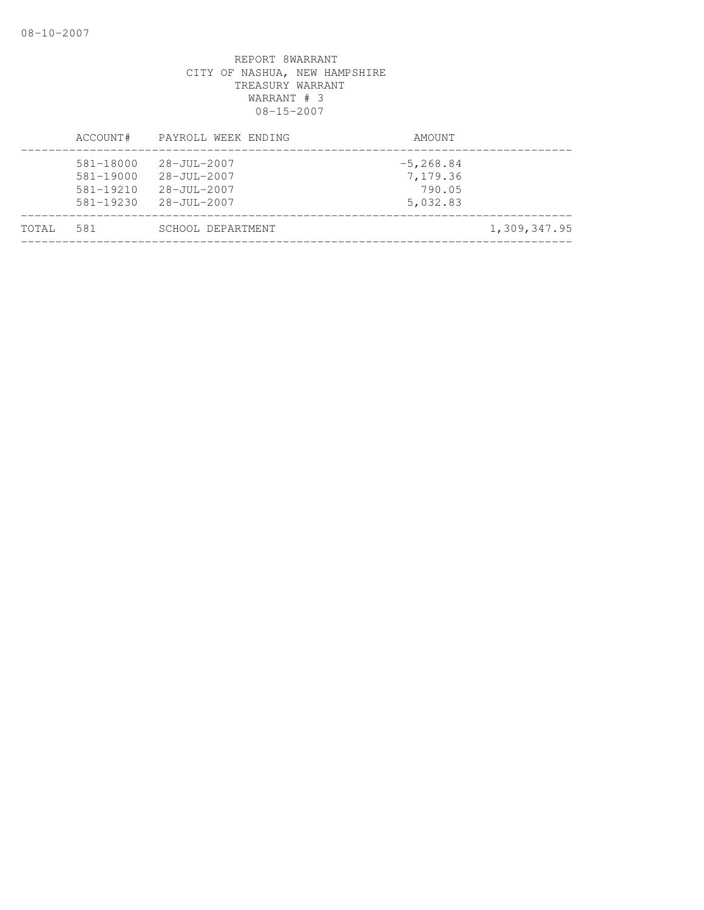|       | ACCOUNT#                                                 | PAYROLL WEEK ENDING                                                  | AMOUNT                                         |              |
|-------|----------------------------------------------------------|----------------------------------------------------------------------|------------------------------------------------|--------------|
|       | 581-18000<br>581-19000<br>$581 - 19210$<br>$581 - 19230$ | $28 - JU1 - 2007$<br>28-JUL-2007<br>$28 - JUL - 2007$<br>28-JUL-2007 | $-5, 268.84$<br>7,179.36<br>790.05<br>5,032.83 |              |
| TOTAL | 581                                                      | SCHOOL DEPARTMENT                                                    |                                                | 1,309,347.95 |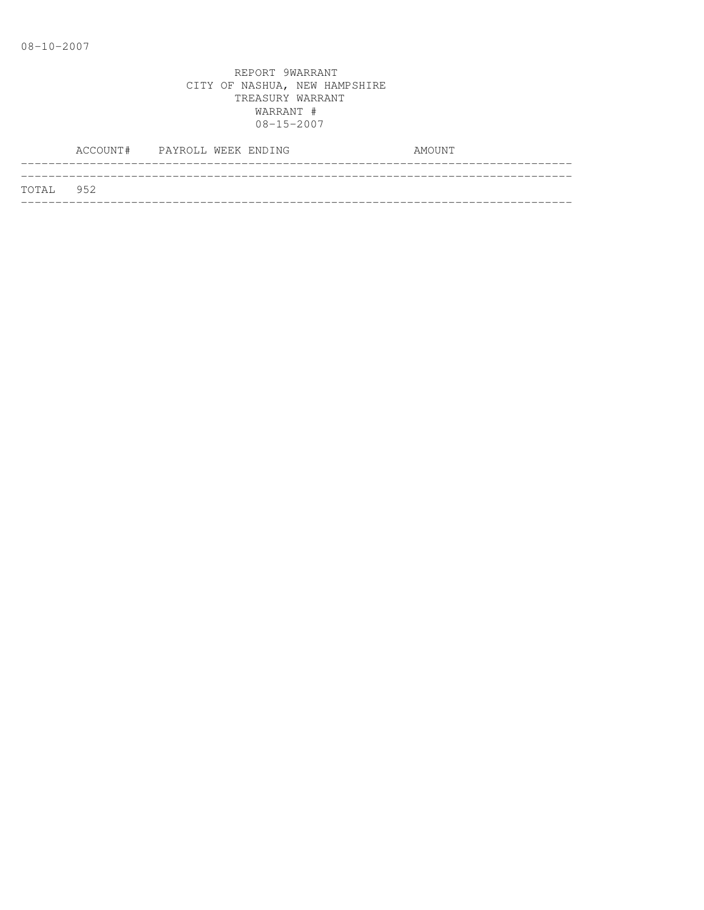|           | ACCOUNT# PAYROLL WEEK ENDING |  |  | AMOUNT |
|-----------|------------------------------|--|--|--------|
|           |                              |  |  |        |
| TOTAL 952 |                              |  |  |        |
|           |                              |  |  |        |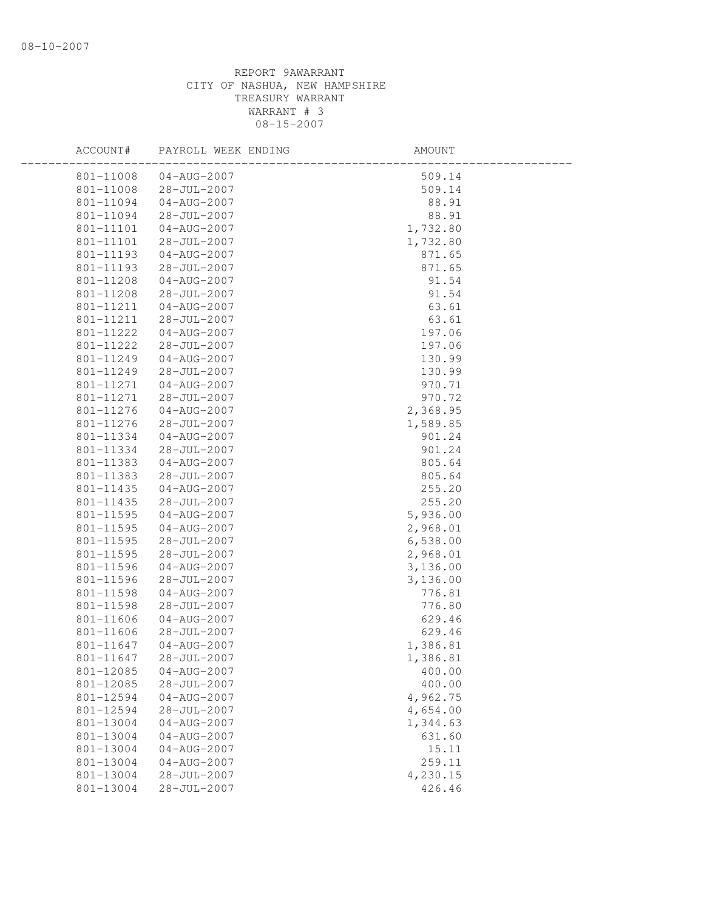| ACCOUNT#  | PAYROLL WEEK ENDING | AMOUNT   |  |
|-----------|---------------------|----------|--|
| 801-11008 | 04-AUG-2007         | 509.14   |  |
| 801-11008 | 28-JUL-2007         | 509.14   |  |
| 801-11094 | 04-AUG-2007         | 88.91    |  |
| 801-11094 | 28-JUL-2007         | 88.91    |  |
| 801-11101 | 04-AUG-2007         | 1,732.80 |  |
| 801-11101 | 28-JUL-2007         | 1,732.80 |  |
| 801-11193 | $04 - AUG - 2007$   | 871.65   |  |
| 801-11193 | 28-JUL-2007         | 871.65   |  |
| 801-11208 | 04-AUG-2007         | 91.54    |  |
| 801-11208 | 28-JUL-2007         | 91.54    |  |
| 801-11211 | $04 - AUG - 2007$   | 63.61    |  |
| 801-11211 | 28-JUL-2007         | 63.61    |  |
| 801-11222 | 04-AUG-2007         | 197.06   |  |
| 801-11222 | $28 - JUL - 2007$   | 197.06   |  |
| 801-11249 | 04-AUG-2007         | 130.99   |  |
| 801-11249 | 28-JUL-2007         | 130.99   |  |
| 801-11271 | $04 - AUG - 2007$   | 970.71   |  |
| 801-11271 | $28 - JUL - 2007$   | 970.72   |  |
| 801-11276 | 04-AUG-2007         | 2,368.95 |  |
| 801-11276 | 28-JUL-2007         | 1,589.85 |  |
| 801-11334 | 04-AUG-2007         | 901.24   |  |
| 801-11334 | 28-JUL-2007         | 901.24   |  |
| 801-11383 | 04-AUG-2007         | 805.64   |  |
| 801-11383 | 28-JUL-2007         | 805.64   |  |
| 801-11435 | 04-AUG-2007         | 255.20   |  |
| 801-11435 | 28-JUL-2007         | 255.20   |  |
| 801-11595 | $04 - AUG - 2007$   | 5,936.00 |  |
| 801-11595 | 04-AUG-2007         | 2,968.01 |  |
| 801-11595 | 28-JUL-2007         | 6,538.00 |  |
| 801-11595 | 28-JUL-2007         | 2,968.01 |  |
| 801-11596 | 04-AUG-2007         | 3,136.00 |  |
| 801-11596 | 28-JUL-2007         | 3,136.00 |  |
| 801-11598 | $04 - AUG - 2007$   | 776.81   |  |
| 801-11598 | 28-JUL-2007         | 776.80   |  |
| 801-11606 | 04-AUG-2007         | 629.46   |  |
| 801-11606 | 28-JUL-2007         | 629.46   |  |
| 801-11647 | 04-AUG-2007         | 1,386.81 |  |
| 801-11647 | 28-JUL-2007         | 1,386.81 |  |
| 801-12085 | $04 - AUG - 2007$   | 400.00   |  |
| 801-12085 | $28 - JUL - 2007$   | 400.00   |  |
| 801-12594 | $04 - AUG - 2007$   | 4,962.75 |  |
| 801-12594 | $28 - JUL - 2007$   | 4,654.00 |  |
| 801-13004 | $04 - AUG - 2007$   | 1,344.63 |  |
| 801-13004 | $04 - AUG - 2007$   | 631.60   |  |
| 801-13004 | $04 - AUG - 2007$   | 15.11    |  |
| 801-13004 | $04 - AUG - 2007$   | 259.11   |  |
| 801-13004 | 28-JUL-2007         | 4,230.15 |  |
| 801-13004 | $28 - JUL - 2007$   | 426.46   |  |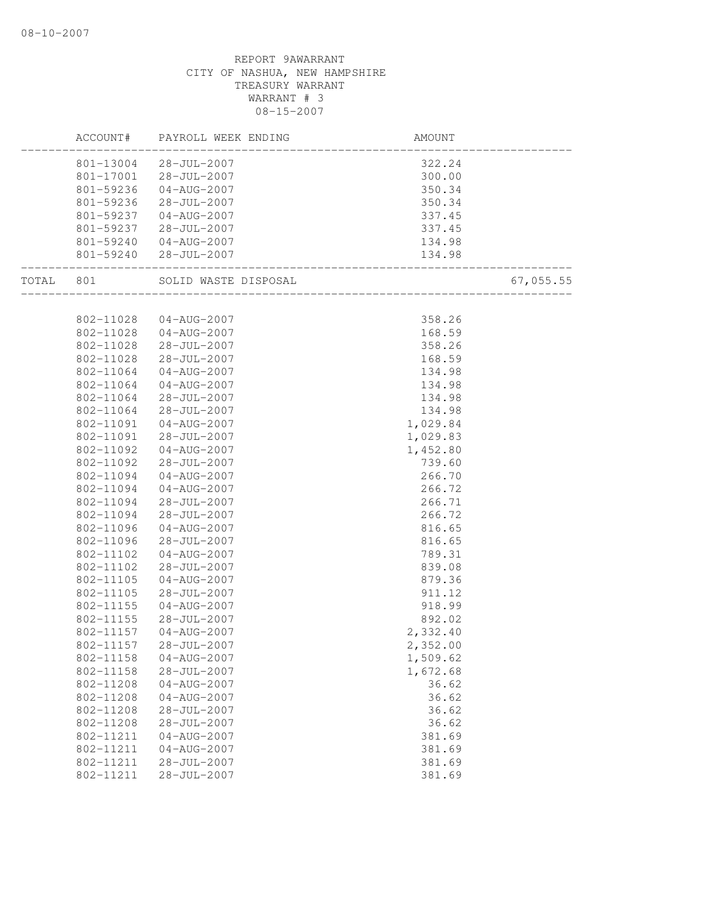|           | ACCOUNT#  | PAYROLL WEEK ENDING      | AMOUNT                                                  |           |
|-----------|-----------|--------------------------|---------------------------------------------------------|-----------|
|           |           | 801-13004 28-JUL-2007    | 322.24                                                  |           |
|           |           | 801-17001 28-JUL-2007    | 300.00                                                  |           |
|           | 801-59236 | 04-AUG-2007              | 350.34                                                  |           |
|           | 801-59236 | 28-JUL-2007              | 350.34                                                  |           |
|           | 801-59237 | $04 - \text{AUG} - 2007$ | 337.45                                                  |           |
|           |           | 801-59237 28-JUL-2007    | 337.45                                                  |           |
|           | 801-59240 | 04-AUG-2007              | 134.98                                                  |           |
|           |           | 801-59240 28-JUL-2007    | .<br>. 134<br>-------------------------------<br>134.98 |           |
| TOTAL 801 |           | SOLID WASTE DISPOSAL     | ________________                                        | 67,055.55 |
|           |           |                          |                                                         |           |
|           | 802-11028 | 04-AUG-2007              | 358.26                                                  |           |
|           | 802-11028 | 04-AUG-2007              | 168.59                                                  |           |
|           | 802-11028 | $28 - JUL - 2007$        | 358.26                                                  |           |
|           | 802-11028 | 28-JUL-2007              | 168.59                                                  |           |
|           | 802-11064 | 04-AUG-2007              | 134.98                                                  |           |
|           | 802-11064 | 04-AUG-2007              | 134.98                                                  |           |
|           | 802-11064 | 28-JUL-2007              | 134.98                                                  |           |
|           | 802-11064 | $28 - JUL - 2007$        | 134.98                                                  |           |
|           | 802-11091 | 04-AUG-2007              | 1,029.84                                                |           |
|           | 802-11091 | $28 - JUL - 2007$        | 1,029.83                                                |           |
|           | 802-11092 | 04-AUG-2007              | 1,452.80                                                |           |
|           | 802-11092 | $28 - JUL - 2007$        | 739.60                                                  |           |
|           | 802-11094 | 04-AUG-2007              | 266.70                                                  |           |
|           | 802-11094 | 04-AUG-2007              | 266.72                                                  |           |
|           | 802-11094 | 28-JUL-2007              | 266.71                                                  |           |
|           | 802-11094 | 28-JUL-2007              | 266.72                                                  |           |
|           | 802-11096 | 04-AUG-2007              | 816.65                                                  |           |
|           | 802-11096 | 28-JUL-2007              | 816.65                                                  |           |
|           | 802-11102 | $04 - AUG - 2007$        | 789.31                                                  |           |
|           | 802-11102 | $28 - JUL - 2007$        | 839.08                                                  |           |
|           | 802-11105 | 04-AUG-2007              | 879.36                                                  |           |
|           | 802-11105 | $28 - JUL - 2007$        | 911.12                                                  |           |
|           | 802-11155 | 04-AUG-2007              | 918.99                                                  |           |
|           | 802-11155 | 28-JUL-2007              | 892.02                                                  |           |
|           | 802-11157 | 04-AUG-2007              | 2,332.40                                                |           |
|           | 802-11157 | $28 - JUL - 2007$        | 2,352.00                                                |           |
|           | 802-11158 | $04 - AUG - 2007$        | 1,509.62                                                |           |
|           | 802-11158 | 28-JUL-2007              | 1,672.68                                                |           |
|           | 802-11208 | $04 - AUG - 2007$        | 36.62                                                   |           |
|           | 802-11208 | $04 - AUG - 2007$        | 36.62                                                   |           |
|           | 802-11208 | 28-JUL-2007              | 36.62                                                   |           |
|           | 802-11208 | $28 - JUL - 2007$        | 36.62                                                   |           |
|           | 802-11211 | $04 - AUG - 2007$        | 381.69                                                  |           |
|           | 802-11211 | $04 - AUG - 2007$        | 381.69                                                  |           |
|           | 802-11211 | 28-JUL-2007              | 381.69                                                  |           |
|           | 802-11211 | $28 - JUL - 2007$        | 381.69                                                  |           |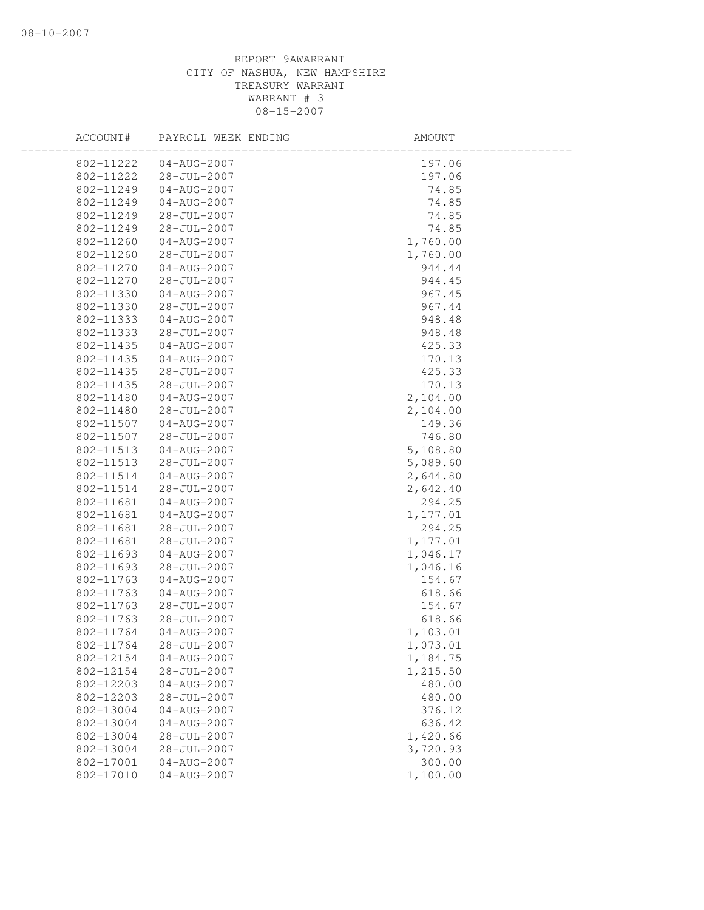| ACCOUNT#  | PAYROLL WEEK ENDING | AMOUNT   |
|-----------|---------------------|----------|
| 802-11222 | $04 - AUG - 2007$   | 197.06   |
| 802-11222 | 28-JUL-2007         | 197.06   |
| 802-11249 | 04-AUG-2007         | 74.85    |
| 802-11249 | 04-AUG-2007         | 74.85    |
| 802-11249 | 28-JUL-2007         | 74.85    |
| 802-11249 | 28-JUL-2007         | 74.85    |
| 802-11260 | $04 - AUG - 2007$   | 1,760.00 |
| 802-11260 | 28-JUL-2007         | 1,760.00 |
| 802-11270 | $04 - AUG - 2007$   | 944.44   |
| 802-11270 | 28-JUL-2007         | 944.45   |
| 802-11330 | $04 - AUG - 2007$   | 967.45   |
| 802-11330 | 28-JUL-2007         | 967.44   |
| 802-11333 | 04-AUG-2007         | 948.48   |
| 802-11333 | 28-JUL-2007         | 948.48   |
| 802-11435 | $04 - AUG - 2007$   | 425.33   |
| 802-11435 | $04 - AUG - 2007$   | 170.13   |
| 802-11435 | $28 - JUL - 2007$   | 425.33   |
| 802-11435 | $28 - JUL - 2007$   | 170.13   |
| 802-11480 | 04-AUG-2007         | 2,104.00 |
| 802-11480 | $28 - JUL - 2007$   | 2,104.00 |
| 802-11507 | 04-AUG-2007         | 149.36   |
| 802-11507 | 28-JUL-2007         | 746.80   |
| 802-11513 | 04-AUG-2007         | 5,108.80 |
| 802-11513 | 28-JUL-2007         | 5,089.60 |
| 802-11514 | 04-AUG-2007         | 2,644.80 |
| 802-11514 | $28 - JUL - 2007$   | 2,642.40 |
| 802-11681 | $04 - AUG - 2007$   | 294.25   |
| 802-11681 | $04 - AUG - 2007$   | 1,177.01 |
| 802-11681 | 28-JUL-2007         | 294.25   |
| 802-11681 | 28-JUL-2007         | 1,177.01 |
| 802-11693 | $04 - AUG - 2007$   | 1,046.17 |
| 802-11693 | 28-JUL-2007         | 1,046.16 |
| 802-11763 | $04 - AUG - 2007$   | 154.67   |
| 802-11763 | $04 - AUG - 2007$   | 618.66   |
| 802-11763 | $28 - JUL - 2007$   | 154.67   |
| 802-11763 | $28 - JUL - 2007$   | 618.66   |
| 802-11764 | $04 - AUG - 2007$   | 1,103.01 |
| 802-11764 | $28 - JUL - 2007$   | 1,073.01 |
| 802-12154 | $04 - AUG - 2007$   | 1,184.75 |
| 802-12154 | 28-JUL-2007         | 1,215.50 |
| 802-12203 | $04 - AUG - 2007$   | 480.00   |
| 802-12203 | $28 - JUL - 2007$   | 480.00   |
| 802-13004 | $04 - AUG - 2007$   | 376.12   |
| 802-13004 | $04 - AUG - 2007$   | 636.42   |
| 802-13004 | $28 - JUL - 2007$   | 1,420.66 |
| 802-13004 | $28 - JUL - 2007$   | 3,720.93 |
| 802-17001 | $04 - AUG - 2007$   | 300.00   |
| 802-17010 | $04 - AUG - 2007$   | 1,100.00 |
|           |                     |          |